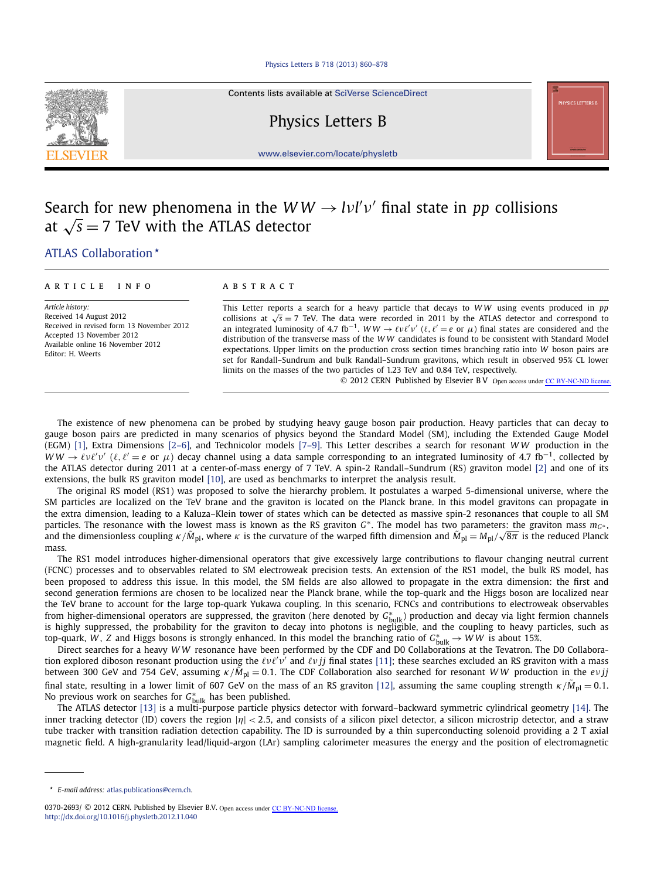#### [Physics Letters B 718 \(2013\) 860–878](http://dx.doi.org/10.1016/j.physletb.2012.11.040)

Contents lists available at [SciVerse ScienceDirect](http://www.ScienceDirect.com/)

# Physics Letters B

[www.elsevier.com/locate/physletb](http://www.elsevier.com/locate/physletb)

# Search for new phenomena in the  $WW \rightarrow l\nu l'\nu'$  final state in *pp* collisions at  $\sqrt{s}$  = 7 TeV with the ATLAS detector

# [.ATLAS Collaboration](#page-6-0)

### article info abstract

*Article history:* Received 14 August 2012 Received in revised form 13 November 2012

Accepted 13 November 2012 Available online 16 November 2012 Editor: H. Weerts

This Letter reports a search for a heavy particle that decays to *W W* using events produced in *pp* collisions at  $\sqrt{s}$  = 7 TeV. The data were recorded in 2011 by the ATLAS detector and correspond to an integrated luminosity of 4.7 fb<sup>-1</sup>.  $WW \to \ell \nu \ell' \nu'$  ( $\ell, \ell' = e$  or  $\mu$ ) final states are considered and the distribution of the transverse mass of the *W W* candidates is found to be consistent with Standard Model expectations. Upper limits on the production cross section times branching ratio into *W* boson pairs are set for Randall–Sundrum and bulk Randall–Sundrum gravitons, which result in observed 95% CL lower limits on the masses of the two particles of 1.23 TeV and 0.84 TeV, respectively.

© 2012 CERN Published by Elsevier BV Open access under [CC BY-NC-ND license.](http://creativecommons.org/licenses/by-nc-nd/4.0/)

The existence of new phenomena can be probed by studying heavy gauge boson pair production. Heavy particles that can decay to gauge boson pairs are predicted in many scenarios of physics beyond the Standard Model (SM), including the Extended Gauge Model (EGM) [\[1\],](#page-6-0) Extra Dimensions [\[2–6\],](#page-6-0) and Technicolor models [\[7–9\].](#page-6-0) This Letter describes a search for resonant *W W* production in the  $WW \to \ell \nu \ell' \nu'$  ( $\ell, \ell' = e$  or  $\mu$ ) decay channel using a data sample corresponding to an integrated luminosity of 4.7 fb<sup>-1</sup>, collected by the ATLAS detector during 2011 at a center-of-mass energy of 7 TeV. A spin-2 Randall–Sundrum (RS) graviton model [\[2\]](#page-6-0) and one of its extensions, the bulk RS graviton model [\[10\],](#page-6-0) are used as benchmarks to interpret the analysis result.

The original RS model (RS1) was proposed to solve the hierarchy problem. It postulates a warped 5-dimensional universe, where the SM particles are localized on the TeV brane and the graviton is located on the Planck brane. In this model gravitons can propagate in the extra dimension, leading to a Kaluza–Klein tower of states which can be detected as massive spin-2 resonances that couple to all SM particles. The resonance with the lowest mass is known as the RS graviton *G*<sup>∗</sup>. The model has two parameters: the graviton mass  $m_{G^*}$ , and the dimensionless coupling  $\kappa/\tilde{M}_{\rm pl}$ , where  $\kappa$  is the curvature of the warped fifth dimension and  $\tilde{M}_{\rm pl} = M_{\rm pl}/\sqrt{8\pi}$  is the reduced Planck and the dimensionless coupling  $\kappa/\tilde{M}_{\rm pl}$ , where  $\kappa$  i mass.

The RS1 model introduces higher-dimensional operators that give excessively large contributions to flavour changing neutral current (FCNC) processes and to observables related to SM electroweak precision tests. An extension of the RS1 model, the bulk RS model, has been proposed to address this issue. In this model, the SM fields are also allowed to propagate in the extra dimension: the first and second generation fermions are chosen to be localized near the Planck brane, while the top-quark and the Higgs boson are localized near the TeV brane to account for the large top-quark Yukawa coupling. In this scenario, FCNCs and contributions to electroweak observables from higher-dimensional operators are suppressed, the graviton (here denoted by  $G^*_{\text{bulk}}$ ) production and decay via light fermion channels is highly suppressed, the probability for the graviton to decay into photons is negligible, and the coupling to heavy particles, such as top-quark, *W* , *Z* and Higgs bosons is strongly enhanced. In this model the branching ratio of  $G^*_{\text{bulk}}\to WW$  is about 15%.

Direct searches for a heavy *W W* resonance have been performed by the CDF and D0 Collaborations at the Tevatron. The D0 Collaboration explored diboson resonant production using the *l*νl<sup>'</sup> *v'* and *l*vjj final states [\[11\];](#page-6-0) these searches excluded an RS graviton with a mass between 300 GeV and 754 GeV, assuming  $κ/\tilde{M}_{pl} = 0.1$ . The CDF Collaboration also searched for resonant *WW* production in the *ev jj* final state, resulting in a lower limit of 607 GeV on the mass of an RS graviton [\[12\],](#page-6-0) assuming the same coupling strength  $\kappa / \tilde{M}_{pl} = 0.1$ . No previous work on searches for G<sub>bulk</sub> has been published.

The ATLAS detector [\[13\]](#page-6-0) is a multi-purpose particle physics detector with forward–backward symmetric cylindrical geometry [\[14\].](#page-6-0) The inner tracking detector (ID) covers the region |*η*| *<* <sup>2</sup>*.*5, and consists of a silicon pixel detector, a silicon microstrip detector, and a straw tube tracker with transition radiation detection capability. The ID is surrounded by a thin superconducting solenoid providing a 2 T axial magnetic field. A high-granularity lead/liquid-argon (LAr) sampling calorimeter measures the energy and the position of electromagnetic



*E-mail address:* [atlas.publications@cern.ch.](mailto:atlas.publications@cern.ch)

<sup>0370-2693/ © 2012</sup> CERN. Published by Elsevier B.V. Open access under [CC BY-NC-ND license.](http://creativecommons.org/licenses/by-nc-nd/4.0/) <http://dx.doi.org/10.1016/j.physletb.2012.11.040>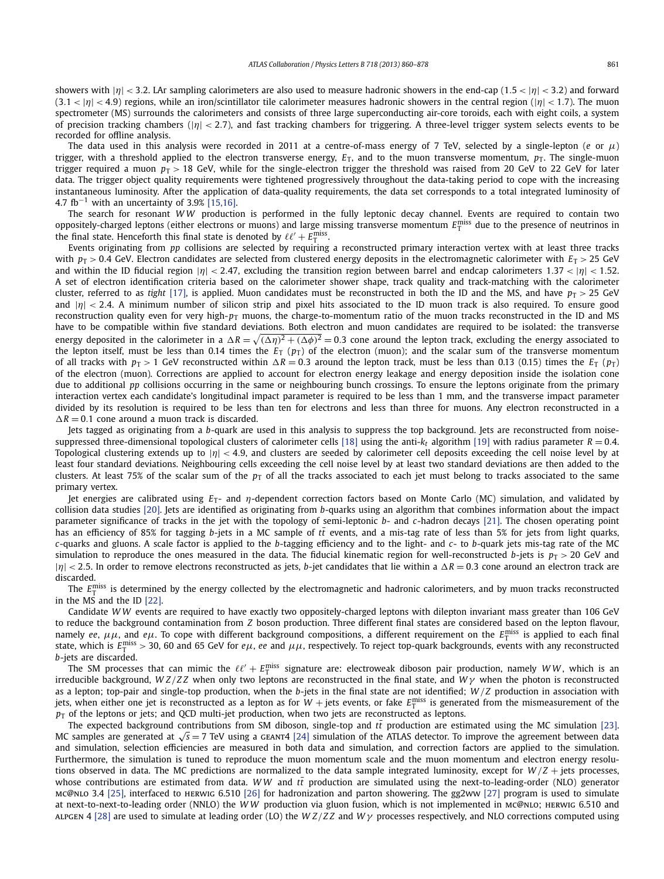showers with |*η*| *<* <sup>3</sup>*.*2. LAr sampling calorimeters are also used to measure hadronic showers in the end-cap (1*.*<sup>5</sup> *<* |*η*| *<* <sup>3</sup>*.*2) and forward  $(3.1 < |\eta| < 4.9)$  regions, while an iron/scintillator tile calorimeter measures hadronic showers in the central region ( $|\eta| < 1.7$ ). The muon spectrometer (MS) surrounds the calorimeters and consists of three large superconducting air-core toroids, each with eight coils, a system of precision tracking chambers (|*η*| *<* <sup>2</sup>*.*7), and fast tracking chambers for triggering. A three-level trigger system selects events to be recorded for offline analysis.

The data used in this analysis were recorded in 2011 at a centre-of-mass energy of 7 TeV, selected by a single-lepton (*e* or *μ*) trigger, with a threshold applied to the electron transverse energy,  $E_T$ , and to the muon transverse momentum,  $p_T$ . The single-muon trigger required a muon  $p_T > 18$  GeV, while for the single-electron trigger the threshold was raised from 20 GeV to 22 GeV for later data. The trigger object quality requirements were tightened progressively throughout the data-taking period to cope with the increasing instantaneous luminosity. After the application of data-quality requirements, the data set corresponds to a total integrated luminosity of 4.7 fb<sup>-1</sup> with an uncertainty of 3.9% [\[15,16\].](#page-6-0)

The search for resonant *W W* production is performed in the fully leptonic decay channel. Events are required to contain two oppositely-charged leptons (either electrons or muons) and large missing transverse momentum  $E_T^{\rm miss}$  due to the presence of neutrinos in the final state. Henceforth this final state is denoted by  $\ell \ell' + E_T^{\text{miss}}$ .

Events originating from *pp* collisions are selected by requiring a reconstructed primary interaction vertex with at least three tracks with  $p_T > 0.4$  GeV. Electron candidates are selected from clustered energy deposits in the electromagnetic calorimeter with  $E_T > 25$  GeV and within the ID fiducial region |*η*| *<* <sup>2</sup>*.*47, excluding the transition region between barrel and endcap calorimeters 1*.*<sup>37</sup> *<* |*η*| *<* <sup>1</sup>*.*52. A set of electron identification criteria based on the calorimeter shower shape, track quality and track-matching with the calorimeter cluster, referred to as *tight* [\[17\],](#page-6-0) is applied. Muon candidates must be reconstructed in both the ID and the MS, and have  $p_T > 25$  GeV and |*η*| *<* <sup>2</sup>*.*4. A minimum number of silicon strip and pixel hits associated to the ID muon track is also required. To ensure good reconstruction quality even for very high- $p<sub>T</sub>$  muons, the charge-to-momentum ratio of the muon tracks reconstructed in the ID and MS have to be compatible within five standard deviations. Both electron and muon candidates are required to be isolated: the transverse energy deposited in the calorimeter in a  $\Delta R = \sqrt{(\Delta \eta)^2 + (\Delta \phi)^2} = 0.3$  cone around the lepton track, excluding the energy associated to the lepton itself, must be less than 0.14 times the  $E_T$  ( $p_T$ ) of the electron (muon); and the scalar sum of the transverse momentum of all tracks with  $p_T > 1$  GeV reconstructed within  $\Delta R = 0.3$  around the lepton track, must be less than 0.13 (0.15) times the  $E_T$  ( $p_T$ ) of the electron (muon). Corrections are applied to account for electron energy leakage and energy deposition inside the isolation cone due to additional *pp* collisions occurring in the same or neighbouring bunch crossings. To ensure the leptons originate from the primary interaction vertex each candidate's longitudinal impact parameter is required to be less than 1 mm, and the transverse impact parameter divided by its resolution is required to be less than ten for electrons and less than three for muons. Any electron reconstructed in a  $\Delta R = 0.1$  cone around a muon track is discarded.

Jets tagged as originating from a *b*-quark are used in this analysis to suppress the top background. Jets are reconstructed from noise-suppressed three-dimensional topological clusters of calorimeter cells [\[18\]](#page-6-0) using the anti- $k_t$  algorithm [\[19\]](#page-6-0) with radius parameter  $R = 0.4$ . Topological clustering extends up to |*η*| *<* <sup>4</sup>*.*9, and clusters are seeded by calorimeter cell deposits exceeding the cell noise level by at least four standard deviations. Neighbouring cells exceeding the cell noise level by at least two standard deviations are then added to the clusters. At least 75% of the scalar sum of the  $p<sub>T</sub>$  of all the tracks associated to each jet must belong to tracks associated to the same primary vertex.

Jet energies are calibrated using *E*T- and *η*-dependent correction factors based on Monte Carlo (MC) simulation, and validated by collision data studies [\[20\].](#page-6-0) Jets are identified as originating from *b*-quarks using an algorithm that combines information about the impact parameter significance of tracks in the jet with the topology of semi-leptonic *b*- and *c*-hadron decays [\[21\].](#page-6-0) The chosen operating point has an efficiency of 85% for tagging *b*-jets in a MC sample of *tt* events, and a mis-tag rate of less than 5% for jets from light quarks, *c*-quarks and gluons. A scale factor is applied to the *b*-tagging efficiency and to the light- and *c*- to *b*-quark jets mis-tag rate of the MC simulation to reproduce the ones measured in the data. The fiducial kinematic region for well-reconstructed *b*-jets is  $p_T > 20$  GeV and  $|\eta|$  < 2.5. In order to remove electrons reconstructed as jets, *b*-jet candidates that lie within a  $\Delta R = 0.3$  cone around an electron track are discarded.

The  $E_{\rm T}^{\rm miss}$  is determined by the energy collected by the electromagnetic and hadronic calorimeters, and by muon tracks reconstructed in the MS and the ID [\[22\].](#page-6-0)

Candidate *W W* events are required to have exactly two oppositely-charged leptons with dilepton invariant mass greater than 106 GeV to reduce the background contamination from *Z* boson production. Three different final states are considered based on the lepton flavour, namely *ee*,  $\mu\mu$ , and  $e\mu$ . To cope with different background compositions, a different requirement on the  $E_{\rm T}^{\rm miss}$  is applied to each final state, which is  $E_{\rm T}^{\rm miss}$   $>$  30, 60 and 65 GeV for *e* $\mu$ *, ee* and  $\mu\mu$ , respectively. To reject top-quark backgrounds, events with any reconstructed *b*-jets are discarded.

The SM processes that can mimic the  $\ell\ell' + E_T^{\text{miss}}$  signature are: electroweak diboson pair production, namely *WW*, which is an irreducible background, *W Z/Z Z* when only two leptons are reconstructed in the final state, and *W γ* when the photon is reconstructed as a lepton; top-pair and single-top production, when the *b*-jets in the final state are not identified; *W /Z* production in association with jets, when either one jet is reconstructed as a lepton as for  $W+$  jets events, or fake  $E_T^{\rm miss}$  is generated from the mismeasurement of the *p*T of the leptons or jets; and QCD multi-jet production, when two jets are reconstructed as leptons.

The expected background contributions from SM diboson, single-top and  $t\bar{t}$  production are estimated using the MC simulation [\[23\].](#page-6-0) MC samples are generated at  $\sqrt{s}$  = 7 TeV using a GEANT4 [\[24\]](#page-6-0) simulation of the ATLAS detector. To improve the agreement between data and simulation, selection efficiencies are measured in both data and simulation, and correction factors are applied to the simulation. Furthermore, the simulation is tuned to reproduce the muon momentum scale and the muon momentum and electron energy resolutions observed in data. The MC predictions are normalized to the data sample integrated luminosity, except for  $W/Z +$  jets processes, whose contributions are estimated from data. *WW* and *tt* production are simulated using the next-to-leading-order (NLO) generator mc@nlo 3.4 [\[25\],](#page-6-0) interfaced to herwig 6.510 [\[26\]](#page-6-0) for hadronization and parton showering. The gg2ww [\[27\]](#page-6-0) program is used to simulate at next-to-next-to-leading order (NNLO) the *WW* production via gluon fusion, which is not implemented in MC@NLO; HERWIG 6.510 and alpgen 4 [\[28\]](#page-6-0) are used to simulate at leading order (LO) the *W Z/Z Z* and *W γ* processes respectively, and NLO corrections computed using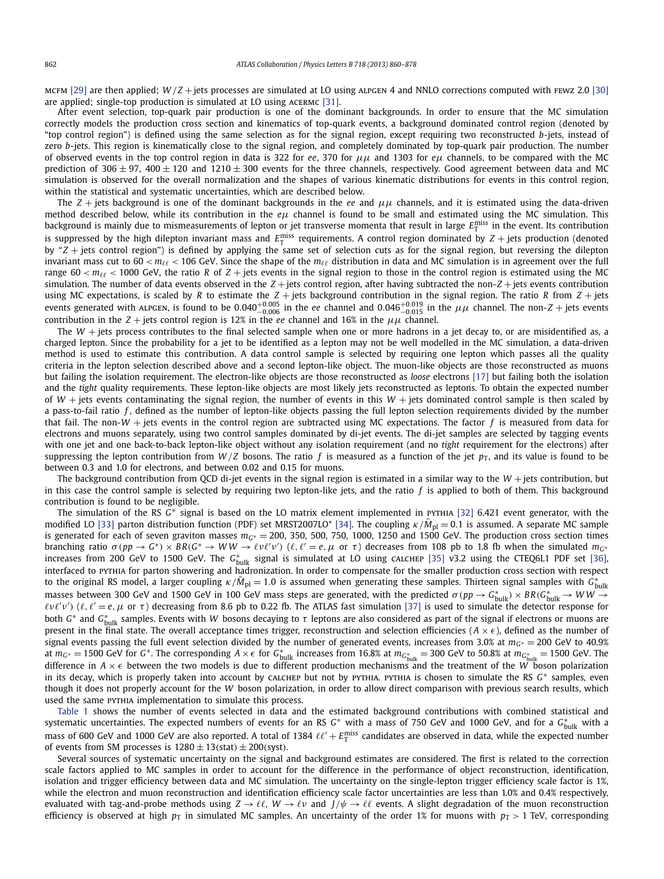MCFM [\[29\]](#page-6-0) are then applied;  $W/Z$  + jets processes are simulated at LO using ALPGEN 4 and NNLO corrections computed with FEWZ 2.0 [\[30\]](#page-6-0) are applied; single-top production is simulated at LO using acermc [\[31\].](#page-6-0)

After event selection, top-quark pair production is one of the dominant backgrounds. In order to ensure that the MC simulation correctly models the production cross section and kinematics of top-quark events, a background dominated control region (denoted by "top control region") is defined using the same selection as for the signal region, except requiring two reconstructed *b*-jets, instead of zero *b*-jets. This region is kinematically close to the signal region, and completely dominated by top-quark pair production. The number of observed events in the top control region in data is 322 for *ee*, 370 for *μμ* and 1303 for *eμ* channels, to be compared with the MC prediction of  $306 \pm 97$ ,  $400 \pm 120$  and  $1210 \pm 300$  events for the three channels, respectively. Good agreement between data and MC simulation is observed for the overall normalization and the shapes of various kinematic distributions for events in this control region, within the statistical and systematic uncertainties, which are described below.

The *Z* + jets background is one of the dominant backgrounds in the *ee* and  $\mu\mu$  channels, and it is estimated using the data-driven method described below, while its contribution in the  $e\mu$  channel is found to be small and estimated using the MC simulation. This background is mainly due to mismeasurements of lepton or jet transverse momenta that result in large  $E_{\rm T}^{\rm miss}$  in the event. Its contribution is suppressed by the high dilepton invariant mass and  $E_T^{\text{miss}}$  requirements. A control region dominated by  $Z + \text{jets}$  production (denoted by "*Z* + jets control region") is defined by applying the same set of selection cuts as for the signal region, but reversing the dilepton invariant mass cut to  $60 < m_{\ell\ell} < 106$  GeV. Since the shape of the  $m_{\ell\ell}$  distribution in data and MC simulation is in agreement over the full range 60  $< m_{\ell\ell}$  < 1000 GeV, the ratio R of Z + jets events in the signal region to those in the control region is estimated using the MC simulation. The number of data events observed in the  $Z +$ jets control region, after having subtracted the non- $Z +$ jets events contribution using MC expectations, is scaled by *R* to estimate the *Z* + jets background contribution in the signal region. The ratio *R* from *Z* + jets events generated with ALPGEN, is found to be  $0.040_{-0.006}^{+0.005}$  in the *ee* channel and  $0.046_{-0.015}^{+0.019}$  in the  $\mu\mu$  channel. The non-*Z* + jets events contribution in the *Z* + jets control region is 12% in the *ee* channel and 16% in the  $\mu\mu$  channel.

The *W* + jets process contributes to the final selected sample when one or more hadrons in a jet decay to, or are misidentified as, a charged lepton. Since the probability for a jet to be identified as a lepton may not be well modelled in the MC simulation, a data-driven method is used to estimate this contribution. A data control sample is selected by requiring one lepton which passes all the quality criteria in the lepton selection described above and a second lepton-like object. The muon-like objects are those reconstructed as muons but failing the isolation requirement. The electron-like objects are those reconstructed as *loose* electrons [\[17\]](#page-6-0) but failing both the isolation and the *tight* quality requirements. These lepton-like objects are most likely jets reconstructed as leptons. To obtain the expected number of *W* + jets events contaminating the signal region, the number of events in this *W* + jets dominated control sample is then scaled by a pass-to-fail ratio *f* , defined as the number of lepton-like objects passing the full lepton selection requirements divided by the number that fail. The non-*W* + jets events in the control region are subtracted using MC expectations. The factor *f* is measured from data for electrons and muons separately, using two control samples dominated by di-jet events. The di-jet samples are selected by tagging events with one jet and one back-to-back lepton-like object without any isolation requirement (and no *tight* requirement for the electrons) after suppressing the lepton contribution from  $W/Z$  bosons. The ratio f is measured as a function of the jet  $p<sub>T</sub>$ , and its value is found to be between 0.3 and 1.0 for electrons, and between 0.02 and 0.15 for muons.

The background contribution from QCD di-jet events in the signal region is estimated in a similar way to the *W* +jets contribution, but in this case the control sample is selected by requiring two lepton-like jets, and the ratio *f* is applied to both of them. This background contribution is found to be negligible.

The simulation of the RS *G*∗ signal is based on the LO matrix element implemented in pythia [\[32\]](#page-6-0) 6.421 event generator, with the modified LO [\[33\]](#page-6-0) parton distribution function (PDF) set MRST2007LO<sup>\*</sup> [\[34\].](#page-6-0) The coupling *κ*/ $\overline{M}_{\text{D1}} = 0.1$  is assumed. A separate MC sample is generated for each of seven graviton masses *mG*<sup>∗</sup> = 200, 350, 500, 750, 1000, 1250 and 1500 GeV. The production cross section times branching ratio  $\sigma(pp\to G^*)\times BR(G^*\to WW\to \ell\nu\ell'\nu')$   $(\ell,\ell'=e,\mu$  or  $\tau)$  decreases from 108 pb to 1.8 fb when the simulated  $m_{G^*}$ increases from 200 GeV to 1500 GeV. The G<sub>bulk</sub> signal is simulated at LO using cа<mark>lснер [\[35\]](#page-6-0) v3.2 using the CTEQ6L1 PDF set</mark> [\[36\],](#page-6-0) interfaced to pythia for parton showering and hadronization. In order to compensate for the smaller production cross section with respect to the original RS model, a larger coupling  $\kappa/\bar{M}_{\rm pl} = 1.0$  is assumed when generating these samples. Thirteen signal samples with  $G^*_{\rm bulk}$ masses between 300 GeV and 1500 GeV in 100 GeV mass steps are generated, with the predicted  $\sigma(pp\to G_{\rm bulk}^*)\times BR(G_{\rm bulk}^*\to WW\to G_{\rm bulk}^*)$  $\ell v \ell' v'$ ) ( $\ell, \ell' = e, \mu$  or  $\tau$ ) decreasing from 8.6 pb to 0.22 fb. The ATLAS fast simulation [\[37\]](#page-6-0) is used to simulate the detector response for  $b$ oth  $G^*$  and  $G^*_{\text{bulk}}$  samples. Events with  $W$  bosons decaying to  $\tau$  leptons are also considered as part of the signal if electrons or muons are present in the final state. The overall acceptance times trigger, reconstruction and selection efficiencies ( $A \times \epsilon$ ), defined as the number of signal events passing the full event selection divided by the number of generated events, increases from 3.0% at  $m_{G^*} = 200$  GeV to 40.9% at  $m_{G^*}=1500$  GeV for  $G^*$ . The corresponding  $A\times\epsilon$  for  $G^*_{\rm bulk}$  increases from 16.8% at  $m_{G^*_{\rm bulk}}=300$  GeV to 50.8% at  $m_{G^*_{\rm bulk}}=1500$  GeV. The difference in  $A \times \epsilon$  between the two models is due to different production mechanisms and the treatment of the *W* boson polarization in its decay, which is properly taken into account by calchep but not by pythia. pythia is chosen to simulate the RS *G*∗ samples, even though it does not properly account for the *W* boson polarization, in order to allow direct comparison with previous search results, which used the same pythia implementation to simulate this process.

[Table 1](#page-3-0) shows the number of events selected in data and the estimated background contributions with combined statistical and systematic uncertainties. The expected numbers of events for an RS G\* with a mass of 750 GeV and 1000 GeV, and for a G<sub></sub><sub>bulk</sub> with a mass of 600 GeV and 1000 GeV are also reported. A total of 1384  $\ell\ell'+E_T^{\rm miss}$  candidates are observed in data, while the expected number of events from SM processes is  $1280 \pm 13$ (stat)  $\pm 200$ (syst).

Several sources of systematic uncertainty on the signal and background estimates are considered. The first is related to the correction scale factors applied to MC samples in order to account for the difference in the performance of object reconstruction, identification, isolation and trigger efficiency between data and MC simulation. The uncertainty on the single-lepton trigger efficiency scale factor is 1%, while the electron and muon reconstruction and identification efficiency scale factor uncertainties are less than 1.0% and 0.4% respectively, evaluated with tag-and-probe methods using  $Z \to \ell \ell$ ,  $W \to \ell \nu$  and  $J/\psi \to \ell \ell$  events. A slight degradation of the muon reconstruction efficiency is observed at high  $p<sub>T</sub>$  in simulated MC samples. An uncertainty of the order 1% for muons with  $p<sub>T</sub> > 1$  TeV, corresponding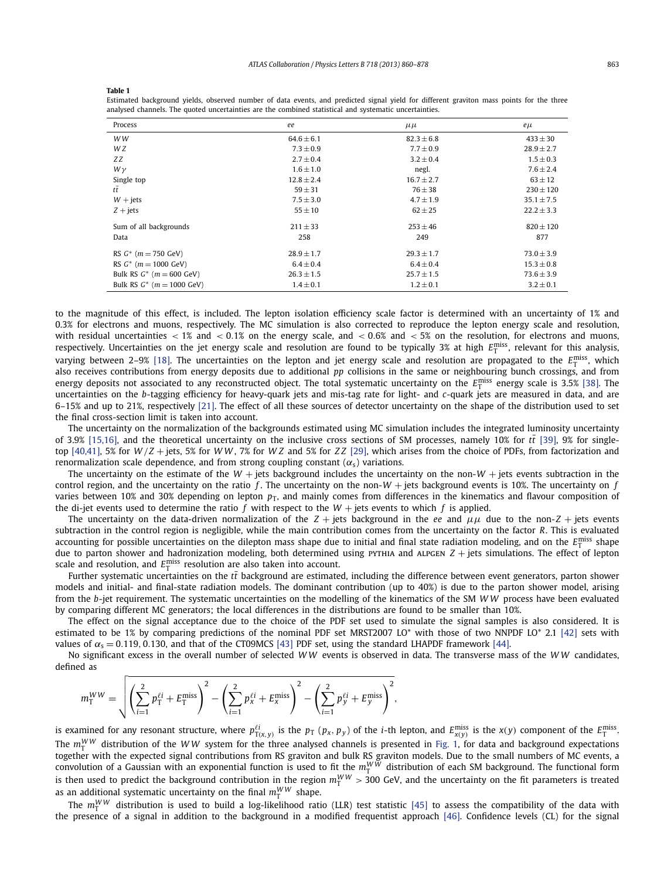| Process                         | ee             | $\mu\mu$       | $e\mu$         |
|---------------------------------|----------------|----------------|----------------|
| WW                              | $64.6 \pm 6.1$ | $82.3 \pm 6.8$ | $433 \pm 30$   |
| W Z                             | $7.3 \pm 0.9$  | $7.7 \pm 0.9$  | $28.9 \pm 2.7$ |
| ZZ                              | $2.7 \pm 0.4$  | $3.2 \pm 0.4$  | $1.5 \pm 0.3$  |
| $W\gamma$                       | $1.6 \pm 1.0$  | negl.          | $7.6 \pm 2.4$  |
| Single top                      | $12.8 \pm 2.4$ | $16.7 \pm 2.7$ | $63 \pm 12$    |
| $t\bar{t}$                      | $59 + 31$      | $76 + 38$      | $230 \pm 120$  |
| $W + jets$                      | $7.5 \pm 3.0$  | $4.7 \pm 1.9$  | $35.1 \pm 7.5$ |
| $Z + jets$                      | $55 \pm 10$    | $62 \pm 25$    | $22.2 \pm 3.3$ |
| Sum of all backgrounds          | $211 \pm 33$   | $253 \pm 46$   | $820 \pm 120$  |
| Data                            | 258            | 249            | 877            |
| RS $G^*$ (m = 750 GeV)          | $28.9 \pm 1.7$ | $29.3 \pm 1.7$ | $73.0 \pm 3.9$ |
| RS $G^*$ ( <i>m</i> = 1000 GeV) | $6.4 \pm 0.4$  | $6.4 \pm 0.4$  | $15.3 \pm 0.8$ |
| Bulk RS $G^*$ (m = 600 GeV)     | $26.3 \pm 1.5$ | $25.7 \pm 1.5$ | $73.6 \pm 3.9$ |
| Bulk RS $G^*$ (m = 1000 GeV)    | $1.4 \pm 0.1$  | $1.2 \pm 0.1$  | $3.2 \pm 0.1$  |

<span id="page-3-0"></span>**Table 1**

Estimated background yields, observed number of data events, and predicted signal yield for different graviton mass points for the three analysed channels. The quoted uncertainties are the combined statistical and systematic uncertainties.

to the magnitude of this effect, is included. The lepton isolation efficiency scale factor is determined with an uncertainty of 1% and 0.3% for electrons and muons, respectively. The MC simulation is also corrected to reproduce the lepton energy scale and resolution, with residual uncertainties *<* 1% and *<* 0*.*1% on the energy scale, and *<* 0*.*6% and *<* 5% on the resolution, for electrons and muons, respectively. Uncertainties on the jet energy scale and resolution are found to be typically 3% at high  $E_{\rm T}^{\rm miss}$ , relevant for this analysis, varying between 2–9% [\[18\].](#page-6-0) The uncertainties on the lepton and jet energy scale and resolution are propagated to the  $E_{\rm T}^{\rm miss}$ , which also receives contributions from energy deposits due to additional *pp* collisions in the same or neighbouring bunch crossings, and from energy deposits not associated to any reconstructed object. The total systematic uncertainty on the  $E_{\rm T}^{\rm miss}$  energy scale is 3.5% [\[38\].](#page-6-0) The uncertainties on the *b*-tagging efficiency for heavy-quark jets and mis-tag rate for light- and *c*-quark jets are measured in data, and are 6–15% and up to 21%, respectively [\[21\].](#page-6-0) The effect of all these sources of detector uncertainty on the shape of the distribution used to set the final cross-section limit is taken into account.

The uncertainty on the normalization of the backgrounds estimated using MC simulation includes the integrated luminosity uncertainty of 3.9% [\[15,16\],](#page-6-0) and the theoretical uncertainty on the inclusive cross sections of SM processes, namely 10% for  $t\bar{t}$  [\[39\],](#page-6-0) 9% for singletop  $[40,41]$ , 5% for  $W/Z$  + jets, 5% for *WW*, 7% for *WZ* and 5% for ZZ [\[29\],](#page-6-0) which arises from the choice of PDFs, from factorization and renormalization scale dependence, and from strong coupling constant  $(\alpha_s)$  variations.

The uncertainty on the estimate of the  $W +$  jets background includes the uncertainty on the non- $W +$  jets events subtraction in the control region, and the uncertainty on the ratio *f* . The uncertainty on the non-*W* + jets background events is 10%. The uncertainty on *f* varies between 10% and 30% depending on lepton  $p<sub>T</sub>$ , and mainly comes from differences in the kinematics and flavour composition of the di-jet events used to determine the ratio  $f$  with respect to the  $W$  + jets events to which  $f$  is applied.

The uncertainty on the data-driven normalization of the  $Z +$  jets background in the *ee* and  $\mu\mu$  due to the non- $Z +$  jets events subtraction in the control region is negligible, while the main contribution comes from the uncertainty on the factor *R*. This is evaluated accounting for possible uncertainties on the dilepton mass shape due to initial and final state radiation modeling, and on the  $E_{\rm T}^{\rm miss}$  shape due to parton shower and hadronization modeling, both determined using PYTHIA and ALPGEN  $Z +$  jets simulations. The effect of lepton scale and resolution, and  $E_{\text{T}}^{\text{miss}}$  resolution are also taken into account.

Further systematic uncertainties on the *tt* background are estimated, including the difference between event generators, parton shower models and initial- and final-state radiation models. The dominant contribution (up to 40%) is due to the parton shower model, arising from the *b*-jet requirement. The systematic uncertainties on the modelling of the kinematics of the SM *W W* process have been evaluated by comparing different MC generators; the local differences in the distributions are found to be smaller than 10%.

The effect on the signal acceptance due to the choice of the PDF set used to simulate the signal samples is also considered. It is estimated to be 1% by comparing predictions of the nominal PDF set MRST2007 LO\* with those of two NNPDF LO\* 2.1 [\[42\]](#page-6-0) sets with values of *α*<sup>s</sup> = <sup>0</sup>*.*119*,* <sup>0</sup>*.*130, and that of the CT09MCS [\[43\]](#page-6-0) PDF set, using the standard LHAPDF framework [\[44\].](#page-6-0)

No significant excess in the overall number of selected *W W* events is observed in data. The transverse mass of the *W W* candidates, defined as

$$
m_{\text{T}}^{WW} = \sqrt{\left(\sum_{i=1}^{2} p_{\text{T}}^{\ell i} + E_{\text{T}}^{\text{miss}}\right)^{2} - \left(\sum_{i=1}^{2} p_{x}^{\ell i} + E_{x}^{\text{miss}}\right)^{2} - \left(\sum_{i=1}^{2} p_{y}^{\ell i} + E_{y}^{\text{miss}}\right)^{2}},
$$

is examined for any resonant structure, where  $p_{T(x,y)}^{\ell i}$  is the  $p_T$   $(p_x, p_y)$  of the *i*-th lepton, and  $E_{x(y)}^{\text{miss}}$  is the  $x(y)$  component of the  $E_T^{\text{miss}}$ . The  $m_\text{T}^{WW}$  distribution of the WW system for the three analysed channels is presented in [Fig. 1,](#page-4-0) for data and background expectations together with the expected signal contributions from RS graviton and bulk RS graviton models. Due to the small numbers of MC events, a convolution of a Gaussian with an exponential function is used to fit the  $m_V^{WW}$  distribution of each SM background. The functional form is then used to predict the background contribution in the region  $m_\text{T}^{WW}>$  300 GeV, and the uncertainty on the fit parameters is treated as an additional systematic uncertainty on the final  $m_{\overline{1}}^{WW}$  shape.

The  $m_\text{T}^{WW}$  distribution is used to build a log-likelihood ratio (LLR) test statistic [\[45\]](#page-6-0) to assess the compatibility of the data with the presence of a signal in addition to the background in a modified frequentist approach [\[46\].](#page-6-0) Confidence levels (CL) for the signal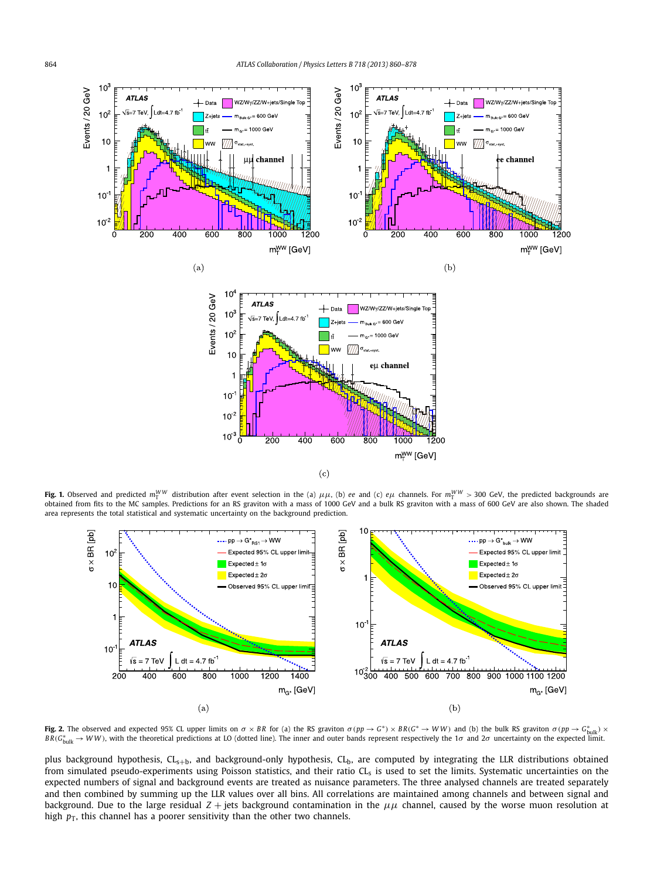<span id="page-4-0"></span>

**Fig. 1.** Observed and predicted  $m_1^{WW}$  distribution after event selection in the (a)  $\mu\mu$ , (b) ee and (c)  $e\mu$  channels. For  $m_1^{WW} >$  300 GeV, the predicted backgrounds are obtained from fits to the MC samples. Pre area represents the total statistical and systematic uncertainty on the background prediction.



**Fig. 2.** The observed and expected 95% CL upper limits on  $\sigma \times BR$  for (a) the RS graviton  $\sigma(pp \to G^*) \times BR(G^* \to WW)$  and (b) the bulk RS graviton  $\sigma(pp \to G^*_{\rm bulk}) \times$  $BR(G_{\text{bulk}}^* \to WW)$ , with the theoretical predictions at LO (dotted line). The inner and outer bands represent respectively the 1 $\sigma$  and 2 $\sigma$  uncertainty on the expected limit.

plus background hypothesis,  $CL_{s+b}$ , and background-only hypothesis,  $CL_b$ , are computed by integrating the LLR distributions obtained from simulated pseudo-experiments using Poisson statistics, and their ratio CL<sub>s</sub> is used to set the limits. Systematic uncertainties on the expected numbers of signal and background events are treated as nuisance parameters. The three analysed channels are treated separately and then combined by summing up the LLR values over all bins. All correlations are maintained among channels and between signal and background. Due to the large residual  $Z +$  jets background contamination in the  $\mu\mu$  channel, caused by the worse muon resolution at high  $p_T$ , this channel has a poorer sensitivity than the other two channels.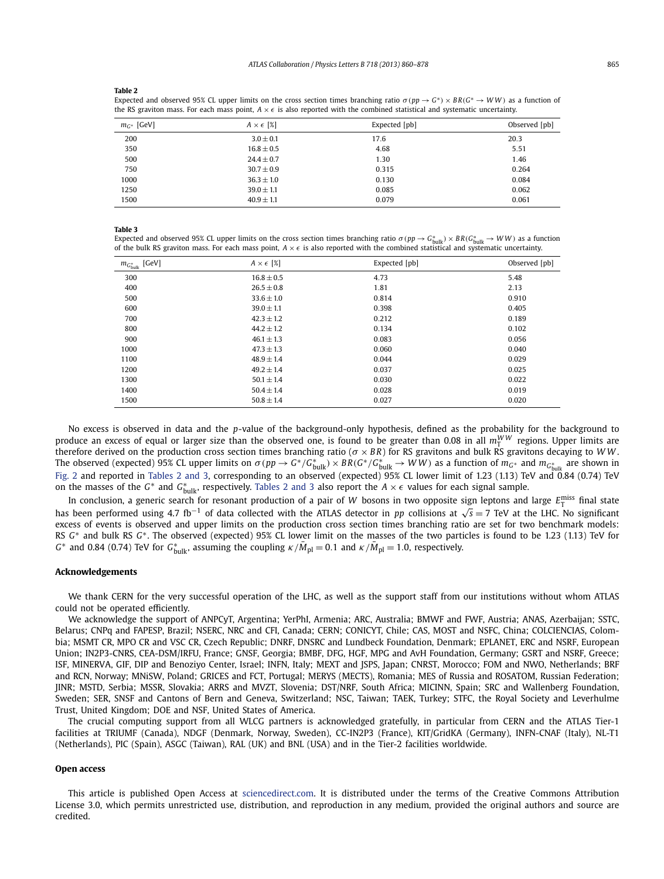**Table 2**

Expected and observed 95% CL upper limits on the cross section times branching ratio  $\sigma(pp \to G^*) \times BR(G^* \to WW)$  as a function of the RS graviton mass. For each mass point,  $A \times \epsilon$  is also reported with the combined statistical and systematic uncertainty.

| $m_{G^*}$ [GeV] | $A \times \epsilon$ [%] | Expected [pb] | Observed [pb] |
|-----------------|-------------------------|---------------|---------------|
| 200             | $3.0 \pm 0.1$           | 17.6          | 20.3          |
| 350             | $16.8 \pm 0.5$          | 4.68          | 5.51          |
| 500             | $24.4 \pm 0.7$          | 1.30          | 1.46          |
| 750             | $30.7 \pm 0.9$          | 0.315         | 0.264         |
| 1000            | $36.3 \pm 1.0$          | 0.130         | 0.084         |
| 1250            | $39.0 \pm 1.1$          | 0.085         | 0.062         |
| 1500            | $40.9 \pm 1.1$          | 0.079         | 0.061         |

#### **Table 3**

Expected and observed 95% CL upper limits on the cross section times branching ratio  $\sigma(pp\to G^*_{\rm bulk})\times BR(G^*_{\rm bulk}\to WW)$  as a function of the bulk RS graviton mass. For each mass point,  $A \times \epsilon$  is also reported with the combined statistical and systematic uncertainty.

| [GeV]<br>$m_{G_{\rm bulk}^*}$ | $A \times \epsilon$ [%] | Expected [pb] | Observed [pb] |
|-------------------------------|-------------------------|---------------|---------------|
| 300                           | $16.8 \pm 0.5$          | 4.73          | 5.48          |
| 400                           | $26.5 \pm 0.8$          | 1.81          | 2.13          |
| 500                           | $33.6 \pm 1.0$          | 0.814         | 0.910         |
| 600                           | $39.0 \pm 1.1$          | 0.398         | 0.405         |
| 700                           | $42.3 \pm 1.2$          | 0.212         | 0.189         |
| 800                           | $44.2 \pm 1.2$          | 0.134         | 0.102         |
| 900                           | $46.1 \pm 1.3$          | 0.083         | 0.056         |
| 1000                          | $47.3 \pm 1.3$          | 0.060         | 0.040         |
| 1100                          | $48.9 \pm 1.4$          | 0.044         | 0.029         |
| 1200                          | $49.2 \pm 1.4$          | 0.037         | 0.025         |
| 1300                          | $50.1 \pm 1.4$          | 0.030         | 0.022         |
| 1400                          | $50.4 \pm 1.4$          | 0.028         | 0.019         |
| 1500                          | $50.8 \pm 1.4$          | 0.027         | 0.020         |

No excess is observed in data and the *p*-value of the background-only hypothesis, defined as the probability for the background to produce an excess of equal or larger size than the observed one, is found to be greater than 0.08 in all  $m_{\rm T}^{WW}$  regions. Upper limits are therefore derived on the production cross section times branching ratio (*σ* × *B R*) for RS gravitons and bulk RS gravitons decaying to *W W* . The observed (expected) 95% CL upper limits on  $\sigma(pp\to G^*/G_{\rm bulk}^*)\times BR(G^*/G_{\rm bulk}^*\to WW)$  as a function of  $m_{G^*}$  and  $m_{G_{\rm bulk}^*}$  are shown in [Fig. 2](#page-4-0) and reported in Tables 2 and 3, corresponding to an observed (expected) 95% CL lower limit of 1.23 (1.13) TeV and 0.84 (0.74) TeV on the masses of the  $G^*$  and  $G^*_{\text{bulk}}$ , respectively. Tables 2 and 3 also report the  $A \times \epsilon$  values for each signal sample.

In conclusion, a generic search for resonant production of a pair of *W* bosons in two opposite sign leptons and large  $E_{\rm T}^{\rm miss}$  final state has been performed using 4.7 fb−<sup>1</sup> of data collected with the ATLAS detector in *pp* collisions at <sup>√</sup>*<sup>s</sup>* <sup>=</sup> 7 TeV at the LHC. No significant excess of events is observed and upper limits on the production cross section times branching ratio are set for two benchmark models: RS *G*∗ and bulk RS *G*∗. The observed (expected) 95% CL lower limit on the masses of the two particles is found to be 1.23 (1.13) TeV for *G*<sup>∗</sup> and 0.84 (0.74) TeV for *G*<sup>\*</sup><sub>bulk</sub>, assuming the coupling *κ/M*<sub>pl</sub> = 0.1 and *κ/M*<sub>pl</sub> = 1.0, respectively.

## **Acknowledgements**

We thank CERN for the very successful operation of the LHC, as well as the support staff from our institutions without whom ATLAS could not be operated efficiently.

We acknowledge the support of ANPCyT, Argentina; YerPhI, Armenia; ARC, Australia; BMWF and FWF, Austria; ANAS, Azerbaijan; SSTC, Belarus; CNPq and FAPESP, Brazil; NSERC, NRC and CFI, Canada; CERN; CONICYT, Chile; CAS, MOST and NSFC, China; COLCIENCIAS, Colombia; MSMT CR, MPO CR and VSC CR, Czech Republic; DNRF, DNSRC and Lundbeck Foundation, Denmark; EPLANET, ERC and NSRF, European Union; IN2P3-CNRS, CEA-DSM/IRFU, France; GNSF, Georgia; BMBF, DFG, HGF, MPG and AvH Foundation, Germany; GSRT and NSRF, Greece; ISF, MINERVA, GIF, DIP and Benoziyo Center, Israel; INFN, Italy; MEXT and JSPS, Japan; CNRST, Morocco; FOM and NWO, Netherlands; BRF and RCN, Norway; MNiSW, Poland; GRICES and FCT, Portugal; MERYS (MECTS), Romania; MES of Russia and ROSATOM, Russian Federation; JINR; MSTD, Serbia; MSSR, Slovakia; ARRS and MVZT, Slovenia; DST/NRF, South Africa; MICINN, Spain; SRC and Wallenberg Foundation, Sweden; SER, SNSF and Cantons of Bern and Geneva, Switzerland; NSC, Taiwan; TAEK, Turkey; STFC, the Royal Society and Leverhulme Trust, United Kingdom; DOE and NSF, United States of America.

The crucial computing support from all WLCG partners is acknowledged gratefully, in particular from CERN and the ATLAS Tier-1 facilities at TRIUMF (Canada), NDGF (Denmark, Norway, Sweden), CC-IN2P3 (France), KIT/GridKA (Germany), INFN-CNAF (Italy), NL-T1 (Netherlands), PIC (Spain), ASGC (Taiwan), RAL (UK) and BNL (USA) and in the Tier-2 facilities worldwide.

## **Open access**

This article is published Open Access at [sciencedirect.com.](http://www.sciencedirect.com) It is distributed under the terms of the Creative Commons Attribution License 3.0, which permits unrestricted use, distribution, and reproduction in any medium, provided the original authors and source are credited.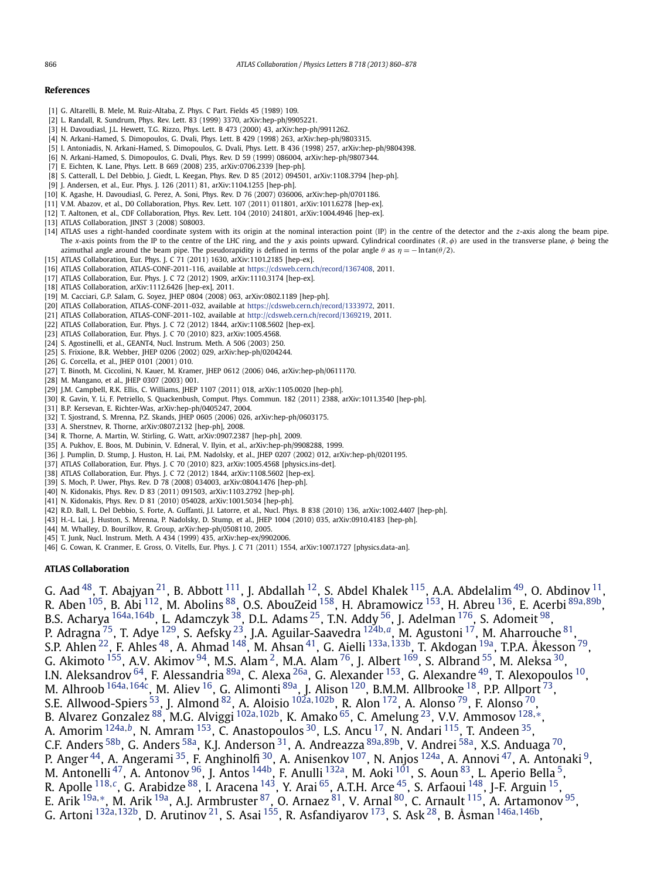#### <span id="page-6-0"></span>**References**

- [1] G. Altarelli, B. Mele, M. Ruiz-Altaba, Z. Phys. C Part. Fields 45 (1989) 109.
- [2] L. Randall, R. Sundrum, Phys. Rev. Lett. 83 (1999) 3370, arXiv:hep-ph/9905221.
- [3] H. Davoudiasl, J.L. Hewett, T.G. Rizzo, Phys. Lett. B 473 (2000) 43, arXiv:hep-ph/9911262.
- [4] N. Arkani-Hamed, S. Dimopoulos, G. Dvali, Phys. Lett. B 429 (1998) 263, arXiv:hep-ph/9803315.
- [5] I. Antoniadis, N. Arkani-Hamed, S. Dimopoulos, G. Dvali, Phys. Lett. B 436 (1998) 257, arXiv:hep-ph/9804398.
- [6] N. Arkani-Hamed, S. Dimopoulos, G. Dvali, Phys. Rev. D 59 (1999) 086004, arXiv:hep-ph/9807344.
- [7] E. Eichten, K. Lane, Phys. Lett. B 669 (2008) 235, arXiv:0706.2339 [hep-ph].
- [8] S. Catterall, L. Del Debbio, J. Giedt, L. Keegan, Phys. Rev. D 85 (2012) 094501, arXiv:1108.3794 [hep-ph].
- [9] J. Andersen, et al., Eur. Phys. J. 126 (2011) 81, arXiv:1104.1255 [hep-ph].
- [10] K. Agashe, H. Davoudiasl, G. Perez, A. Soni, Phys. Rev. D 76 (2007) 036006, arXiv:hep-ph/0701186.
- [11] V.M. Abazov, et al., D0 Collaboration, Phys. Rev. Lett. 107 (2011) 011801, arXiv:1011.6278 [hep-ex].
- [12] T. Aaltonen, et al., CDF Collaboration, Phys. Rev. Lett. 104 (2010) 241801, arXiv:1004.4946 [hep-ex].
- [13] ATLAS Collaboration, IINST 3 (2008) S08003.
- [14] ATLAS uses a right-handed coordinate system with its origin at the nominal interaction point (IP) in the centre of the detector and the *z*-axis along the beam pipe. The *x*-axis points from the IP to the centre of the LHC ring, and the *y* axis points upward. Cylindrical coordinates *(R,φ)* are used in the transverse plane, *φ* being the azimuthal angle around the beam pipe. The pseudorapidity is defined in terms of the polar angle  $\theta$  as  $\eta = -\ln \tan(\theta/2)$ .
- [15] ATLAS Collaboration, Eur. Phys. J. C 71 (2011) 1630, arXiv:1101.2185 [hep-ex].
- [16] ATLAS Collaboration, ATLAS-CONF-2011-116, available at <https://cdsweb.cern.ch/record/1367408>, 2011.
- [17] ATLAS Collaboration, Eur. Phys. J. C 72 (2012) 1909, arXiv:1110.3174 [hep-ex].
- [18] ATLAS Collaboration, arXiv:1112.6426 [hep-ex], 2011.
- [19] M. Cacciari, G.P. Salam, G. Soyez, JHEP 0804 (2008) 063, arXiv:0802.1189 [hep-ph].
- [20] ATLAS Collaboration, ATLAS-CONF-2011-032, available at <https://cdsweb.cern.ch/record/1333972>, 2011.
- [21] ATLAS Collaboration, ATLAS-CONF-2011-102, available at <http://cdsweb.cern.ch/record/1369219>, 2011.
- [22] ATLAS Collaboration, Eur. Phys. J. C 72 (2012) 1844, arXiv:1108.5602 [hep-ex].
- [23] ATLAS Collaboration, Eur. Phys. J. C 70 (2010) 823, arXiv:1005.4568.
- [24] S. Agostinelli, et al., GEANT4, Nucl. Instrum. Meth. A 506 (2003) 250.
- [25] S. Frixione, B.R. Webber, JHEP 0206 (2002) 029, arXiv:hep-ph/0204244.
- [26] G. Corcella, et al., JHEP 0101 (2001) 010.
- [27] T. Binoth, M. Ciccolini, N. Kauer, M. Kramer, JHEP 0612 (2006) 046, arXiv:hep-ph/0611170.
- [28] M. Mangano, et al., IHEP 0307 (2003) 001.
- [29] J.M. Campbell, R.K. Ellis, C. Williams, JHEP 1107 (2011) 018, arXiv:1105.0020 [hep-ph].
- [30] R. Gavin, Y. Li, F. Petriello, S. Quackenbush, Comput. Phys. Commun. 182 (2011) 2388, arXiv:1011.3540 [hep-ph].
- [31] B.P. Kersevan, E. Richter-Was, arXiv:hep-ph/0405247, 2004.
- [32] T. Sjostrand, S. Mrenna, P.Z. Skands, JHEP 0605 (2006) 026, arXiv:hep-ph/0603175.
- [33] A. Sherstnev, R. Thorne, arXiv:0807.2132 [hep-ph], 2008.
- [34] R. Thorne, A. Martin, W. Stirling, G. Watt, arXiv:0907.2387 [hep-ph], 2009.
- [35] A. Pukhov, E. Boos, M. Dubinin, V. Edneral, V. Ilyin, et al., arXiv:hep-ph/9908288, 1999.
- [36] J. Pumplin, D. Stump, J. Huston, H. Lai, P.M. Nadolsky, et al., JHEP 0207 (2002) 012, arXiv:hep-ph/0201195.
- [37] ATLAS Collaboration, Eur. Phys. J. C 70 (2010) 823, arXiv:1005.4568 [physics.ins-det].
- [38] ATLAS Collaboration, Eur. Phys. J. C 72 (2012) 1844, arXiv:1108.5602 [hep-ex].
- [39] S. Moch, P. Uwer, Phys. Rev. D 78 (2008) 034003, arXiv:0804.1476 [hep-ph].
- [40] N. Kidonakis, Phys. Rev. D 83 (2011) 091503, arXiv:1103.2792 [hep-ph].
- [41] N. Kidonakis, Phys. Rev. D 81 (2010) 054028, arXiv:1001.5034 [hep-ph].
- [42] R.D. Ball, L. Del Debbio, S. Forte, A. Guffanti, J.I. Latorre, et al., Nucl. Phys. B 838 (2010) 136, arXiv:1002.4407 [hep-ph].
- [43] H.-L. Lai, J. Huston, S. Mrenna, P. Nadolsky, D. Stump, et al., JHEP 1004 (2010) 035, arXiv:0910.4183 [hep-ph].
- [44] M. Whalley, D. Bourilkov, R. Group, arXiv:hep-ph/0508110, 2005.
- [45] T. Junk, Nucl. Instrum. Meth. A 434 (1999) 435, arXiv:hep-ex/9902006.
- [46] G. Cowan, K. Cranmer, E. Gross, O. Vitells, Eur. Phys. J. C 71 (2011) 1554, arXiv:1007.1727 [physics.data-an].

# **ATLAS Collaboration**

G. Aad  $^{48}$  $^{48}$  $^{48}$ , T. Abajyan  $^{21}$ , B. Abbott  $^{111}$ , J. Abdallah  $^{12}$ , S. Abdel Khalek  $^{115}$ , A.A. Abdelalim  $^{49}$  $^{49}$  $^{49}$ , O. Abdinov  $^{11}$ , R. Aben [105](#page-16-0), B. Abi [112,](#page-16-0) M. Abolins [88,](#page-16-0) O.S. AbouZeid [158,](#page-17-0) H. Abramowicz [153,](#page-17-0) H. Abreu [136,](#page-17-0) E. Acerbi [89a](#page-16-0)*,*[89b,](#page-16-0) B.S. Acharya [164a](#page-17-0)*,*[164b,](#page-17-0) L. Adamczyk [38,](#page-15-0) D.L. Adams [25,](#page-15-0) T.N. Addy [56,](#page-16-0) J. Adelman [176](#page-17-0), S. Adomeit [98,](#page-16-0) P. Adragna [75](#page-16-0), T. Adye [129,](#page-17-0) S. Aefsky [23,](#page-15-0) J.A. Aguilar-Saavedra [124b](#page-17-0)*,[a](#page-17-0)*, M. Agustoni [17](#page-15-0), M. Aharrouche [81,](#page-16-0) S.P. Ahlen [22,](#page-15-0) F. Ahles [48,](#page-16-0) A. Ahmad [148,](#page-17-0) M. Ahsan [41,](#page-15-0) G. Aielli [133a](#page-17-0)*,*[133b,](#page-17-0) T. Akdogan [19a,](#page-15-0) T.P.A. Åkesson [79](#page-16-0), G. Akimoto  $^{155}$  $^{155}$  $^{155}$ , A.V. Akimov  $^{94}$ , M.S. Alam  $^2$ , M.A. Alam  $^{76}$ , J. Albert  $^{169}$ , S. Albrand  $^{55}$ , M. Aleksa  $^{30}$ , I.N. Aleksandrov <sup>64</sup>, F. Alessandria <sup>[89a](#page-16-0)</sup>, C. Alexa <sup>26a</sup>, G. Alexander <sup>153</sup>, G. Alexandre <sup>49</sup>, T. Alexopoulos <sup>10</sup>, M. Alhroob [164a](#page-17-0)*,*[164c](#page-17-0), M. Aliev [16,](#page-15-0) G. Alimonti [89a,](#page-16-0) J. Alison [120,](#page-16-0) B.M.M. Allbrooke [18,](#page-15-0) P.P. Allport [73](#page-16-0), S.E. Allwood-Spiers [53,](#page-16-0) J. Almond [82,](#page-16-0) A. Aloisio [102a](#page-16-0)*,*[102b,](#page-16-0) R. Alon [172,](#page-17-0) A. Alonso [79,](#page-16-0) F. Alonso [70,](#page-16-0) B. Alvarez Gonzalez [88,](#page-16-0) M.G. Alviggi [102a](#page-16-0)*,*[102b,](#page-16-0) K. Amako [65,](#page-16-0) C. Amelung [23,](#page-15-0) V.V. Ammosov [128](#page-17-0)*,*[∗](#page-18-0), A. Amorim [124a](#page-16-0)*,[b](#page-17-0)*, N. Amram [153,](#page-17-0) C. Anastopoulos [30,](#page-15-0) L.S. Ancu [17](#page-15-0), N. Andari [115,](#page-16-0) T. Andeen [35,](#page-15-0) C.F. Anders [58b,](#page-16-0) G. Anders [58a,](#page-16-0) K.J. Anderson [31,](#page-15-0) A. Andreazza [89a](#page-16-0)*,*[89b,](#page-16-0) V. Andrei [58a,](#page-16-0) X.S. Anduaga [70,](#page-16-0) P. Anger<sup>44</sup>, A. Angerami <sup>35</sup>, F. Anghinolfi <sup>30</sup>, A. Anisenkov <sup>107</sup>, N. Anjos <sup>[124a](#page-16-0)</sup>, A. Annovi <sup>47</sup>, A. Antonaki <sup>[9](#page-15-0)</sup>, M. Antonelli  $^{47}$ , A. Antonov  $^{96}$ , J. Antos  $^{144\text{b}}$ , F. Anulli  $^{132\text{a}}$ , M. Aoki  $^{101}$ , S. Aoun  $^{83}$ , L. Aperio Bella  $^5$ , R. Apolle [118](#page-16-0)*,[c](#page-17-0)*, G. Arabidze [88,](#page-16-0) I. Aracena [143,](#page-17-0) Y. Arai [65,](#page-16-0) A.T.H. Arce [45,](#page-15-0) S. Arfaoui [148,](#page-17-0) J-F. Arguin [15,](#page-15-0) E. Arik [19a](#page-15-0)*,*[∗](#page-18-0), M. Arik [19a,](#page-15-0) A.J. Armbruster [87,](#page-16-0) O. Arnaez [81](#page-16-0), V. Arnal [80,](#page-16-0) C. Arnault [115,](#page-16-0) A. Artamonov [95,](#page-16-0) G. Artoni [132a](#page-17-0)*,*[132b,](#page-17-0) D. Arutinov [21,](#page-15-0) S. Asai [155,](#page-17-0) R. Asfandiyarov [173,](#page-17-0) S. Ask [28,](#page-15-0) B. Åsman [146a](#page-17-0)*,*[146b,](#page-17-0)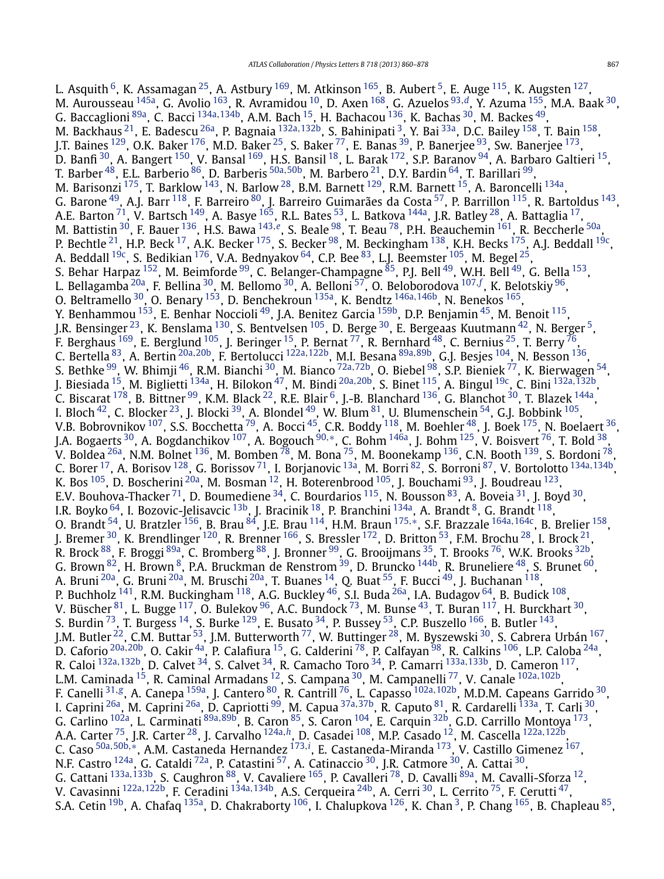L. Asquith  $^6$ , K. Assamagan  $^{25}$ , A. Astbury  $^{169}$ , M. Atkinson  $^{165}$ , B. Aubert  $^5$ , E. Auge  $^{115}$ , K. Augsten  $^{127},$ M. Aurousseau [145a,](#page-17-0) G. Avolio [163,](#page-17-0) R. Avramidou [10,](#page-15-0) D. Axen [168,](#page-17-0) G. Azuelos [93](#page-16-0)*,[d](#page-17-0)*, Y. Azuma [155,](#page-17-0) M.A. Baak [30,](#page-15-0) G. Baccaglioni [89a,](#page-16-0) C. Bacci [134a](#page-17-0)*,*[134b,](#page-17-0) A.M. Bach [15,](#page-15-0) H. Bachacou [136,](#page-17-0) K. Bachas [30,](#page-15-0) M. Backes [49,](#page-16-0) M. Backhaus [21,](#page-15-0) E. Badescu [26a,](#page-15-0) P. Bagnaia [132a](#page-17-0)*,*[132b,](#page-17-0) S. Bahinipati [3,](#page-15-0) Y. Bai [33a,](#page-15-0) D.C. Bailey [158,](#page-17-0) T. Bain [158,](#page-17-0) J.T. Baines <sup>129</sup>, O.K. Baker <sup>176</sup>, M.D. Baker <sup>25</sup>, S. Baker <sup>77</sup>, E. Banas <sup>39</sup>, P. Banerjee <sup>93</sup>, Sw. Banerjee <sup>173</sup>, D. Banfi $^{\rm 30}$  $^{\rm 30}$  $^{\rm 30}$ , A. Bangert  $^{\rm 150}$  $^{\rm 150}$  $^{\rm 150}$ , V. Bansal  $^{\rm 169}$ , H.S. Bansil  $^{\rm 18}$  $^{\rm 18}$  $^{\rm 18}$ , L. Barak  $^{\rm 172}$ , S.P. Baranov  $^{\rm 94}$ , A. Barbaro Galtieri  $^{\rm 15}$ , T. Barber [48,](#page-16-0) E.L. Barberio [86,](#page-16-0) D. Barberis [50a](#page-16-0)*,*[50b,](#page-16-0) M. Barbero [21,](#page-15-0) D.Y. Bardin [64,](#page-16-0) T. Barillari [99,](#page-16-0) M. Barisonzi  $^{175}$  $^{175}$  $^{175}$ , T. Barklow  $^{143}$ , N. Barlow  $^{28}$ , B.M. Barnett  $^{129}$  $^{129}$  $^{129}$ , R.M. Barnett  $^{15}$ , A. Baroncelli  $^{134}$ , G. Barone  $^{49}$  $^{49}$  $^{49}$ , A.J. Barr  $^{118}$ , F. Barreiro  $^{80}$ , J. Barreiro Guimarães da Costa  $^{57}$ , P. Barrillon  $^{115}$ , R. Bartoldus  $^{143}$ , A.E. Barton <sup>71</sup>, V. Bartsch <sup>149</sup>, A. Basye <sup>165</sup>, R.L. Bates <sup>53</sup>, L. Batkova <sup>[144a](#page-17-0)</sup>, J.R. Batley <sup>28</sup>, A. Battaglia <sup>17</sup>, M. Battistin [30,](#page-15-0) F. Bauer [136,](#page-17-0) H.S. Bawa [143](#page-17-0)*,[e](#page-17-0)*, S. Beale [98,](#page-16-0) T. Beau [78](#page-16-0), P.H. Beauchemin [161,](#page-17-0) R. Beccherle [50a,](#page-16-0) P. Bechtle  $^{21}$ , H.P. Beck <sup>17</sup>, A.K. Becker <sup>175</sup>, S. Becker <sup>98</sup>, M. Beckingham <sup>138</sup>, K.H. Becks  $^{175}$ , A.J. Beddall  $^{19c}$ , A. Beddall <sup>[19c](#page-15-0)</sup>, S. Bedikian <sup>[176](#page-17-0)</sup>, V.A. Bednyakov <sup>64</sup>, C.P. Bee <sup>83</sup>, L.J. Beemster <sup>[105](#page-16-0)</sup>, M. Begel <sup>25</sup>, S. Behar Harpaz <sup>152</sup>, M. Beimforde <sup>99</sup>, C. Belanger-Champagne <sup>85</sup>, P.J. Bell <sup>49</sup>, W.H. Bell <sup>49</sup>, G. Bella <sup>153</sup>, L. Bellagamba [20a,](#page-15-0) F. Bellina [30,](#page-15-0) M. Bellomo [30,](#page-15-0) A. Belloni [57,](#page-16-0) O. Beloborodova [107](#page-16-0)*,[f](#page-17-0)* , K. Belotskiy [96,](#page-16-0) O. Beltramello [30,](#page-15-0) O. Benary [153](#page-17-0), D. Benchekroun [135a,](#page-17-0) K. Bendtz [146a](#page-17-0)*,*[146b,](#page-17-0) N. Benekos [165,](#page-17-0) Y. Benhammou <sup>153</sup>, E. Benhar Noccioli <sup>[49](#page-16-0)</sup>, J.A. Benitez Garcia <sup>159b</sup>, D.P. Benjamin <sup>45</sup>, M. Benoit <sup>115</sup>, J.R. Bensinger <sup>23</sup>, K. Benslama <sup>130</sup>, S. Bentvelsen <sup>105</sup>, D. Berge <sup>30</sup>, E. Bergeaas Kuutmann <sup>42</sup>, N. Berger <sup>5</sup>, F. Berghaus  $^{169}$ , E. Berglund  $^{105}$ , J. Beringer  $^{15}$ , P. Bernat  $^{77}$ , R. Bernhard  $^{48}$ , C. Bernius  $^{25}$ , T. Berry  $^{76}$ , C. Bertella [83,](#page-16-0) A. Bertin [20a](#page-15-0)*,*[20b,](#page-15-0) F. Bertolucci [122a](#page-16-0)*,*[122b](#page-16-0), M.I. Besana [89a](#page-16-0)*,*[89b,](#page-16-0) G.J. Besjes [104,](#page-16-0) N. Besson [136](#page-17-0), S. Bethke [99,](#page-16-0) W. Bhimji [46,](#page-15-0) R.M. Bianchi [30,](#page-15-0) M. Bianco [72a](#page-16-0)*,*[72b,](#page-16-0) O. Biebel [98,](#page-16-0) S.P. Bieniek [77,](#page-16-0) K. Bierwagen [54,](#page-16-0) J. Biesiada [15,](#page-15-0) M. Biglietti [134a,](#page-17-0) H. Bilokon [47,](#page-16-0) M. Bindi [20a](#page-15-0)*,*[20b](#page-15-0), S. Binet [115,](#page-16-0) A. Bingul [19c,](#page-15-0) C. Bini [132a](#page-17-0)*,*[132b,](#page-17-0) C. Biscarat  $178$ , B. Bittner  $99$ , K.M. Black  $^{22}$ , R.E. Blair  $^6$ , J.-B. Blanchard  $136$ , G. Blanchot  $^{30}$ , T. Blazek  $144a$ , I. Bloch  $^{42}$ , C. Blocker  $^{23}$ , J. Blocki  $^{39}$ , A. Blondel  $^{49}$ , W. Blum  $^{81}$ , U. Blumenschein  $^{54}$ , G.J. Bobbink  $^{105}$ , V.B. Bobrovnikov  $^{107}$ , S.S. Bocchetta  $^{79}$ , A. Bocci  $^{45}$ , C.R. Boddy  $^{118}$ , M. Boehler  $^{48}$ , J. Boek  $^{175}$ , N. Boelaert  $^{36}$ , J.A. Bogaerts [30,](#page-15-0) A. Bogdanchikov [107,](#page-16-0) A. Bogouch [90](#page-16-0)*,*[∗](#page-18-0), C. Bohm [146a,](#page-17-0) J. Bohm [125,](#page-17-0) V. Boisvert [76,](#page-16-0) T. Bold [38,](#page-15-0) V. Boldea  $^{26a}$ , N.M. Bolnet  $^{136}$  $^{136}$  $^{136}$ , M. Bomben  $^{78}$ , M. Bona  $^{75}$ , M. Boonekamp  $^{136}$ , C.N. Booth  $^{139}$ , S. Bordoni  $^{78}$ , C. Borer [17,](#page-15-0) A. Borisov [128,](#page-17-0) G. Borissov [71,](#page-16-0) I. Borjanovic [13a,](#page-15-0) M. Borri [82,](#page-16-0) S. Borroni [87,](#page-16-0) V. Bortolotto [134a](#page-17-0)*,*[134b,](#page-17-0) K. Bos  $^{105}$ , D. Boscherini  $^{20a}$ , M. Bosman  $^{12}$ , H. Boterenbrood  $^{105}$ , J. Bouchami  $^{93}$ , J. Boudreau  $^{123},$ E.V. Bouhova-Thacker  $^{71}$ , D. Boumediene  $^{34}$  $^{34}$  $^{34}$ , C. Bourdarios  $^{115}$ , N. Bousson  $^{83}$ , A. Boveia  $^{31}$ , J. Boyd  $^{30}$ , I.R. Boyko  $^{64}$ , I. Bozovic-Jelisavcic  $^{13b}$ , J. Bracinik  $^{18}$  $^{18}$  $^{18}$ , P. Branchini  $^{134a}$ , A. Brandt  $^{8}$ , G. Brandt  $^{118}$ , O. Brandt [54,](#page-16-0) U. Bratzler [156,](#page-17-0) B. Brau [84,](#page-16-0) J.E. Brau [114,](#page-16-0) H.M. Braun [175](#page-17-0)*,*[∗](#page-18-0), S.F. Brazzale [164a](#page-17-0)*,*[164c,](#page-17-0) B. Brelier [158,](#page-17-0) J. Bremer  $^{30}$ , K. Brendlinger  $^{120}$ , R. Brenner  $^{166}$ , S. Bressler  $^{172}$  $^{172}$  $^{172}$ , D. Britton  $^{53}$ , F.M. Brochu  $^{28}$ , I. Brock  $^{21}$ , R. Brock  $^{88}$ , F. Broggi  $^{89\mathrm{a}}$ , C. Bromberg  $^{88}$ , J. Bronner  $^{99}$ , G. Brooijmans  $^{35}$ , T. Brooks  $^{76}$ , W.K. Brooks  $^{32\mathrm{b}}$ , G. Brown  $^{82}$ , H. Brown  $^8$ , P.A. Bruckman de Renstrom  $^{39}$  $^{39}$  $^{39}$ , D. Bruncko  $^{144\mathrm{b}}$ , R. Bruneliere  $^{48}$ , S. Brunet  $^{60}$ , A. Bruni <sup>20a</sup>, G. Bruni <sup>20a</sup>, M. Bruschi <sup>20a</sup>, T. Buanes <sup>14</sup>, Q. Buat <sup>55</sup>, F. Bucci <sup>49</sup>, J. Buchanan <sup>118</sup>, P. Buchholz  $^{141}$ , R.M. Buckingham  $^{118}$ , A.G. Buckley  $^{46}$ , S.I. Buda  $^{26a}$ , I.A. Budagov  $^{64}$  $^{64}$  $^{64}$ , B. Budick  $^{108}$ , V. Büscher  $^{81}$ , L. Bugge  $^{117}$ , O. Bulekov  $^{96}$ , A.C. Bundock  $^{73}$ , M. Bunse  $^{43}$ , T. Buran  $^{117}$ , H. Burckhart  $^{30}$ , S. Burdin  $^{73}$ , T. Burgess  $^{14}$ , S. Burke  $^{129}$ , E. Busato  $^{34}$ , P. Bussey  $^{53}$ , C.P. Buszello  $^{166}$  $^{166}$  $^{166}$ , B. Butler  $^{143}$ , J.M. Butler <sup>22</sup>, C.M. Buttar <sup>53</sup>, J.M. Butterworth <sup>77</sup>, W. Buttinger <sup>28</sup>, M. Byszewski <sup>[30](#page-15-0)</sup>, S. Cabrera Urbán <sup>167</sup>, D. Caforio [20a](#page-15-0)*,*[20b,](#page-15-0) O. Cakir [4a,](#page-15-0) P. Calafiura [15,](#page-15-0) G. Calderini [78,](#page-16-0) P. Calfayan [98,](#page-16-0) R. Calkins [106,](#page-16-0) L.P. Caloba [24a,](#page-15-0) R. Caloi [132a](#page-17-0)*,*[132b,](#page-17-0) D. Calvet [34,](#page-15-0) S. Calvet [34,](#page-15-0) R. Camacho Toro [34,](#page-15-0) P. Camarri [133a](#page-17-0)*,*[133b,](#page-17-0) D. Cameron [117,](#page-16-0) L.M. Caminada [15,](#page-15-0) R. Caminal Armadans [12,](#page-15-0) S. Campana [30,](#page-15-0) M. Campanelli [77,](#page-16-0) V. Canale [102a](#page-16-0)*,*[102b,](#page-16-0) F. Canelli [31](#page-15-0)*,[g](#page-17-0)*, A. Canepa [159a,](#page-17-0) J. Cantero [80,](#page-16-0) R. Cantrill [76,](#page-16-0) L. Capasso [102a](#page-16-0)*,*[102b](#page-16-0), M.D.M. Capeans Garrido [30,](#page-15-0) I. Caprini [26a,](#page-15-0) M. Caprini [26a,](#page-15-0) D. Capriotti [99,](#page-16-0) M. Capua [37a](#page-15-0)*,*[37b,](#page-15-0) R. Caputo [81,](#page-16-0) R. Cardarelli [133a,](#page-17-0) T. Carli [30,](#page-15-0) G. Carlino [102a,](#page-16-0) L. Carminati [89a](#page-16-0)*,*[89b,](#page-16-0) B. Caron [85,](#page-16-0) S. Caron [104,](#page-16-0) E. Carquin [32b,](#page-15-0) G.D. Carrillo Montoya [173,](#page-17-0) A.A. Carter [75,](#page-16-0) J.R. Carter [28,](#page-15-0) J. Carvalho [124a](#page-16-0)*,[h](#page-17-0)*, D. Casadei [108,](#page-16-0) M.P. Casado [12](#page-15-0), M. Cascella [122a](#page-16-0)*,*[122b,](#page-16-0) C. Caso [50a](#page-16-0)*,*[50b](#page-16-0)*,*[∗](#page-18-0), A.M. Castaneda Hernandez [173](#page-17-0)*,[i](#page-17-0)* , E. Castaneda-Miranda [173,](#page-17-0) V. Castillo Gimenez [167,](#page-17-0) N.F. Castro <sup>124a</sup>, G. Cataldi <sup>72a</sup>, P. Catastini <sup>57</sup>, A. Catinaccio <sup>30</sup>, J.R. Catmore <sup>30</sup>, A. Cattai <sup>30</sup>, G. Cattani [133a](#page-17-0)*,*[133b](#page-17-0), S. Caughron [88,](#page-16-0) V. Cavaliere [165,](#page-17-0) P. Cavalleri [78,](#page-16-0) D. Cavalli [89a,](#page-16-0) M. Cavalli-Sforza [12,](#page-15-0) V. Cavasinni [122a](#page-16-0)*,*[122b,](#page-16-0) F. Ceradini [134a](#page-17-0)*,*[134b,](#page-17-0) A.S. Cerqueira [24b,](#page-15-0) A. Cerri [30,](#page-15-0) L. Cerrito [75,](#page-16-0) F. Cerutti [47,](#page-16-0) S.A. Cetin <sup>19b</sup>, A. Chafaq <sup>1[3](#page-15-0)5a</sup>, D. Chakraborty <sup>106</sup>, I. Chalupkova <sup>126</sup>, K. Chan <sup>3</sup>, P. Chang <sup>165</sup>, B. Chapleau <sup>85</sup>,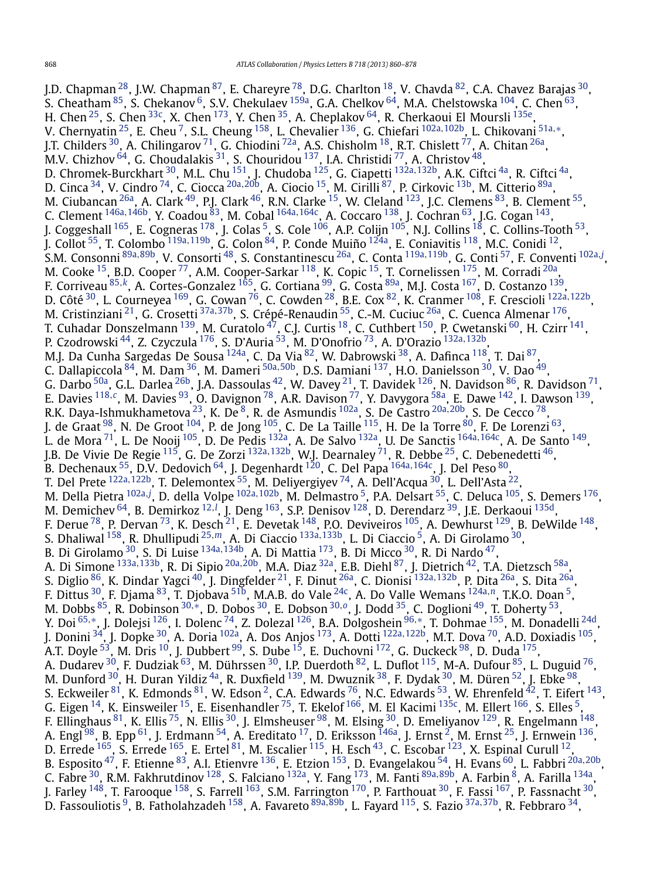J.D. Chapman <sup>28</sup>, J.W. Chapman <sup>[87](#page-16-0)</sup>, E. Chareyre <sup>78</sup>, D.G. Charlton <sup>18</sup>, V. Chavda <sup>82</sup>, C.A. Chavez Barajas <sup>30</sup>, S. Cheatham  $85$ , S. Chekanov  $^6$ , S.V. Chekulaev  $^{159a}$ , G.A. Chelkov  $^{64}$ , M.A. Chelstowska  $^{104}$ , C. Chen  $^{63}$ , H. Chen <sup>25</sup>, S. Chen <sup>33c</sup>, X. Chen <sup>173</sup>, Y. Chen <sup>35</sup>, A. Cheplakov <sup>64</sup>, R. Cherkaoui El Moursli <sup>[135e](#page-17-0)</sup>, V. Chernyatin [25](#page-15-0), E. Cheu [7,](#page-15-0) S.L. Cheung [158,](#page-17-0) L. Chevalier [136,](#page-17-0) G. Chiefari [102a](#page-16-0)*,*[102b,](#page-16-0) L. Chikovani [51a](#page-16-0)*,*[∗](#page-18-0), J.T. Childers  $^{30}$ , A. Chilingarov  $^{71}$ , G. Chiodini  $^{72}$ a, A.S. Chisholm  $^{18}$ , R.T. Chislett  $^{77}$ , A. Chitan  $^{26}$ a, M.V. Chizhov  $^{64}$ , G. Choudalakis  $^{31}$ , S. Chouridou  $^{137}$ , I.A. Christidi  $^{77}$ , A. Christov  $^{48}$ , D. Chromek-Burckhart [30,](#page-15-0) M.L. Chu [151,](#page-17-0) J. Chudoba [125,](#page-17-0) G. Ciapetti [132a](#page-17-0)*,*[132b](#page-17-0), A.K. Ciftci [4a,](#page-15-0) R. Ciftci [4a,](#page-15-0) D. Cinca [34,](#page-15-0) V. Cindro [74,](#page-16-0) C. Ciocca [20a](#page-15-0)*,*[20b,](#page-15-0) A. Ciocio [15,](#page-15-0) M. Cirilli [87,](#page-16-0) P. Cirkovic [13b,](#page-15-0) M. Citterio [89a,](#page-16-0) M. Ciubancan <sup>26a</sup>, A. Clark <sup>49</sup>, P.J. Clark <sup>46</sup>, R.N. Clarke <sup>[15](#page-15-0)</sup>, W. Cleland <sup>123</sup>, J.C. Clemens <sup>83</sup>, B. Clement <sup>55</sup>, C. Clement [146a](#page-17-0)*,*[146b,](#page-17-0) Y. Coadou [83,](#page-16-0) M. Cobal [164a](#page-17-0)*,*[164c,](#page-17-0) A. Coccaro [138](#page-17-0), J. Cochran [63,](#page-16-0) J.G. Cogan [143,](#page-17-0) J. Coggeshall <sup>165</sup>, E. Cogneras <sup>178</sup>, J. Colas <sup>5</sup>, S. Cole <sup>106</sup>, A.P. Colijn <sup>[105](#page-16-0)</sup>, N.J. Collins <sup>18</sup>, C. Collins-Tooth <sup>53</sup>, J. Collot [55,](#page-16-0) T. Colombo [119a](#page-16-0)*,*[119b,](#page-16-0) G. Colon [84,](#page-16-0) P. Conde Muiño [124a](#page-16-0), E. Coniavitis [118,](#page-16-0) M.C. Conidi [12,](#page-15-0) S.M. Consonni [89a](#page-16-0)*,*[89b,](#page-16-0) V. Consorti [48,](#page-16-0) S. Constantinescu [26a,](#page-15-0) C. Conta [119a](#page-16-0)*,*[119b](#page-16-0), G. Conti [57,](#page-16-0) F. Conventi [102a](#page-16-0)*,[j](#page-17-0)* , M. Cooke <sup>15</sup>, B.D. Cooper <sup>77</sup>, A.M. Cooper-Sarkar <sup>118</sup>, K. Copic <sup>15</sup>, T. Cornelissen <sup>[175](#page-17-0)</sup>, M. Corradi <sup>20a</sup>, F. Corriveau [85](#page-16-0)*,[k](#page-17-0)*, A. Cortes-Gonzalez [165,](#page-17-0) G. Cortiana [99,](#page-16-0) G. Costa [89a,](#page-16-0) M.J. Costa [167,](#page-17-0) D. Costanzo [139,](#page-17-0) D. Côté [30,](#page-15-0) L. Courneyea [169,](#page-17-0) G. Cowan [76,](#page-16-0) C. Cowden [28,](#page-15-0) B.E. Cox [82,](#page-16-0) K. Cranmer [108,](#page-16-0) F. Crescioli [122a](#page-16-0)*,*[122b,](#page-16-0) M. Cristinziani [21,](#page-15-0) G. Crosetti [37a](#page-15-0)*,*[37b,](#page-15-0) S. Crépé-Renaudin [55,](#page-16-0) C.-M. Cuciuc [26a,](#page-15-0) C. Cuenca Almenar [176,](#page-17-0) T. Cuhadar Donszelmann <sup>139</sup>, M. Curatolo <sup>47</sup>, C.J. Curtis <sup>18</sup>, C. Cuthbert <sup>150</sup>, P. Cwetanski <sup>60</sup>, H. Czirr <sup>141</sup>, P. Czodrowski [44,](#page-15-0) Z. Czyczula [176,](#page-17-0) S. D'Auria [53,](#page-16-0) M. D'Onofrio [73,](#page-16-0) A. D'Orazio [132a](#page-17-0)*,*[132b,](#page-17-0) M.J. Da Cunha Sargedas De Sousa <sup>124a</sup>, C. Da Via <sup>[82](#page-16-0)</sup>, W. Dabrowski <sup>38</sup>, A. Dafinca <sup>118</sup>, T. Dai <sup>87</sup>, C. Dallapiccola [84,](#page-16-0) M. Dam [36,](#page-15-0) M. Dameri [50a](#page-16-0)*,*[50b,](#page-16-0) D.S. Damiani [137](#page-17-0), H.O. Danielsson [30,](#page-15-0) V. Dao [49,](#page-16-0) G. Darbo  $^{50\text{a}}$ , G.L. Darlea  $^{26\text{b}}$ , J.A. Dassoulas  $^{42}$ , W. Davey  $^{21}$ , T. Davidek  $^{126}$ , N. Davidson  $^{86}$  $^{86}$  $^{86}$ , R. Davidson  $^{71}$  $^{71}$  $^{71}$ , E. Davies [118](#page-16-0)*,[c](#page-17-0)*, M. Davies [93,](#page-16-0) O. Davignon [78,](#page-16-0) A.R. Davison [77,](#page-16-0) Y. Davygora [58a,](#page-16-0) E. Dawe [142,](#page-17-0) I. Dawson [139,](#page-17-0) R.K. Daya-Ishmukhametova [23,](#page-15-0) K. De [8,](#page-15-0) R. de Asmundis [102a,](#page-16-0) S. De Castro [20a](#page-15-0)*,*[20b,](#page-15-0) S. De Cecco [78,](#page-16-0) J. de Graat  $^{98}$ , N. De Groot  $^{104}$ , P. de Jong  $^{105}$ , C. De La Taille  $^{115}$ , H. De la Torre  $^{80}$ , F. De Lorenzi  $^{63}$  $^{63}$  $^{63}$ , L. de Mora [71,](#page-16-0) L. De Nooij [105,](#page-16-0) D. De Pedis [132a,](#page-17-0) A. De Salvo [132a,](#page-17-0) U. De Sanctis [164a](#page-17-0)*,*[164c,](#page-17-0) A. De Santo [149,](#page-17-0) J.B. De Vivie De Regie [115](#page-16-0), G. De Zorzi [132a](#page-17-0)*,*[132b,](#page-17-0) W.J. Dearnaley [71,](#page-16-0) R. Debbe [25,](#page-15-0) C. Debenedetti [46](#page-15-0), B. Dechenaux [55,](#page-16-0) D.V. Dedovich [64,](#page-16-0) J. Degenhardt [120,](#page-16-0) C. Del Papa [164a](#page-17-0)*,*[164c,](#page-17-0) J. Del Peso [80,](#page-16-0) T. Del Prete [122a](#page-16-0)*,*[122b,](#page-16-0) T. Delemontex [55](#page-16-0), M. Deliyergiyev [74,](#page-16-0) A. Dell'Acqua [30,](#page-15-0) L. Dell'Asta [22,](#page-15-0) M. Della Pietra <sup>[102a](#page-16-0),[j](#page-17-0)</sup>, D. della Volpe <sup>102a,102b</sup>, M. Delmastro <sup>5</sup>, P.A. Delsart <sup>[55](#page-16-0)</sup>, C. Deluca <sup>105</sup>, S. Demers <sup>176</sup>, M. Demichev <sup>64</sup>, B. Demirkoz <sup>[12](#page-15-0), [</sup>, J. Deng <sup>[163](#page-17-0)</sup>, S.P. Denisov <sup>[128](#page-17-0)</sup>, D. Derendarz <sup>39</sup>, J.E. Derkaoui <sup>135d</sup>, F. Derue  $^{78}$ , P. Dervan  $^{73}$  $^{73}$  $^{73}$ , K. Desch  $^{21}$ , E. Devetak  $^{148}$ , P.O. Deviveiros  $^{105}$ , A. Dewhurst  $^{129}$ , B. DeWilde  $^{148}$ , S. Dhaliwal [158,](#page-17-0) R. Dhullipudi [25](#page-15-0)*,[m](#page-17-0)*, A. Di Ciaccio [133a](#page-17-0)*,*[133b,](#page-17-0) L. Di Ciaccio [5,](#page-15-0) A. Di Girolamo [30,](#page-15-0) B. Di Girolamo [30,](#page-15-0) S. Di Luise [134a](#page-17-0)*,*[134b,](#page-17-0) A. Di Mattia [173,](#page-17-0) B. Di Micco [30,](#page-15-0) R. Di Nardo [47,](#page-16-0) A. Di Simone [133a](#page-17-0)*,*[133b,](#page-17-0) R. Di Sipio [20a](#page-15-0)*,*[20b](#page-15-0), M.A. Diaz [32a,](#page-15-0) E.B. Diehl [87,](#page-16-0) J. Dietrich [42,](#page-15-0) T.A. Dietzsch [58a,](#page-16-0) S. Diglio [86,](#page-16-0) K. Dindar Yagci [40,](#page-15-0) J. Dingfelder [21,](#page-15-0) F. Dinut [26a,](#page-15-0) C. Dionisi [132a](#page-17-0)*,*[132b,](#page-17-0) P. Dita [26a,](#page-15-0) S. Dita [26a,](#page-15-0) F. Dittus [30,](#page-15-0) F. Djama [83,](#page-16-0) T. Djobava [51b,](#page-16-0) M.A.B. do Vale [24c](#page-15-0), A. Do Valle Wemans [124a](#page-16-0)*,[n](#page-17-0)*, T.K.O. Doan [5,](#page-15-0) M. Dobbs [85,](#page-16-0) R. Dobinson [30](#page-15-0)*,*[∗](#page-18-0), D. Dobos [30,](#page-15-0) E. Dobson [30](#page-15-0)*,[o](#page-17-0)*, J. Dodd [35,](#page-15-0) C. Doglioni [49,](#page-16-0) T. Doherty [53,](#page-16-0) Y. Doi [65](#page-16-0)*,*[∗](#page-18-0), J. Dolejsi [126,](#page-17-0) I. Dolenc [74,](#page-16-0) Z. Dolezal [126,](#page-17-0) B.A. Dolgoshein [96](#page-16-0)*,*[∗](#page-18-0), T. Dohmae [155,](#page-17-0) M. Donadelli [24d,](#page-15-0) J. Donini [34,](#page-15-0) J. Dopke [30,](#page-15-0) A. Doria [102a,](#page-16-0) A. Dos Anjos [173,](#page-17-0) A. Dotti [122a](#page-16-0)*,*[122b,](#page-16-0) M.T. Dova [70,](#page-16-0) A.D. Doxiadis [105,](#page-16-0) A.T. Doyle  $^{53}$ , M. Dris  $^{10}$ , J. Dubbert  $^{99}$ , S. Dube  $^{15}$ , E. Duchovni  $^{172}$ , G. Duckeck  $^{98}$ , D. Duda  $^{175}$ , A. Dudarev <sup>[30](#page-15-0)</sup>, F. Dudziak <sup>63</sup>, M. Dührssen <sup>30</sup>, I.P. Duerdoth <sup>82</sup>, L. Duflot <sup>115</sup>, M-A. Dufour <sup>85</sup>, L. Duguid <sup>[76](#page-16-0)</sup>, M. Dunford <sup>30</sup>, H. Duran Yildiz <sup>[4a](#page-15-0)</sup>, R. Duxfield <sup>139</sup>, M. Dwuznik <sup>38</sup>, F. Dydak <sup>30</sup>, M. Düren <sup>52</sup>, J. Ebke <sup>98</sup>, S. Eckweiler  $^{81}$ , K. Edmonds  $^{81}$ , W. Edson  $^2$ , C.A. Edwards  $^{76}$ , N.C. Edwards  $^{53}$ , W. Ehrenfeld  $^{42}$ , T. Eifert  $^{143}$ , G. Eigen  $^{14}$ , K. Einsweiler  $^{15}$ , E. Eisenhandler  $^{75}$ , T. Ekelof  $^{166}$  $^{166}$  $^{166}$ , M. El Kacimi  $^{135\mathrm{c}}$ , M. Ellert  $^{166}$ , S. Elles  $^5$ , F. Ellinghaus <sup>81</sup>, K. Ellis <sup>75</sup>, N. Ellis <sup>[30](#page-15-0)</sup>, J. Elmsheuser <sup>98</sup>, M. Elsing <sup>30</sup>, D. Emeliyanov <sup>129</sup>, R. Engelmann <sup>148</sup>, A. Engl <sup>98</sup>, B. Epp <sup>61</sup>, J. Erdmann <sup>54</sup>, A. Ereditato <sup>17</sup>, D. Eriksson <sup>146a</sup>, J. Ernst <sup>[2](#page-15-0)</sup>, M. Ernst <sup>25</sup>, J. Ernwein <sup>136</sup>, D. Errede  $^{165}$  $^{165}$  $^{165}$ , S. Errede  $^{165}$ , E. Ertel  $^{81}$ , M. Escalier  $^{115}$ , H. Esch  $^{43}$ , C. Escobar  $^{123}$ , X. Espinal Curull  $^{12}$ , B. Esposito [47,](#page-16-0) F. Etienne [83,](#page-16-0) A.I. Etienvre [136,](#page-17-0) E. Etzion [153,](#page-17-0) D. Evangelakou [54,](#page-16-0) H. Evans [60,](#page-16-0) L. Fabbri [20a](#page-15-0)*,*[20b](#page-15-0), C. Fabre [30,](#page-15-0) R.M. Fakhrutdinov [128,](#page-17-0) S. Falciano [132a,](#page-17-0) Y. Fang [173,](#page-17-0) M. Fanti [89a](#page-16-0)*,*[89b,](#page-16-0) A. Farbin [8,](#page-15-0) A. Farilla [134a,](#page-17-0) J. Farley <sup>148</sup>, T. Farooque <sup>158</sup>, S. Farrell <sup>[163](#page-17-0)</sup>, S.M. Farrington <sup>170</sup>, P. Farthouat <sup>[30](#page-15-0)</sup>, F. Fassi <sup>167</sup>, P. Fassnacht <sup>30</sup>, D. Fassouliotis [9,](#page-15-0) B. Fatholahzadeh [158,](#page-17-0) A. Favareto [89a](#page-16-0)*,*[89b,](#page-16-0) L. Fayard [115,](#page-16-0) S. Fazio [37a](#page-15-0)*,*[37b,](#page-15-0) R. Febbraro [34](#page-15-0),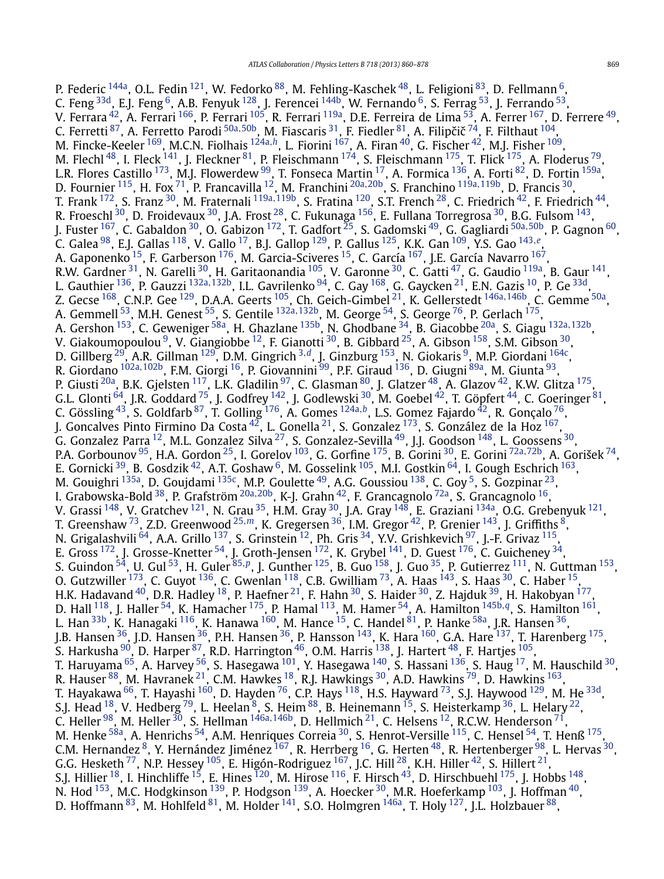P. Federic <sup>144a</sup>, O.L. Fedin <sup>121</sup>, W. Fedorko <sup>88</sup>, M. Fehling-Kaschek <sup>48</sup>, L. Feligioni <sup>83</sup>, D. Fellmann <sup>6</sup>, C. Feng $^{33\text{d}}$ , E.J. Feng $^6$  $^6$ , A.B. Fenyuk  $^{128}$ , J. Ferencei  $^{144\text{b}}$ , W. Fernando $^6$ , S. Ferrag $^{53}$  $^{53}$  $^{53}$ , J. Ferrando $^{53}$ , V. Ferrara <sup>42</sup>, A. Ferrari <sup>166</sup>, P. Ferrari <sup>105</sup>, R. Ferrari <sup>119a</sup>, D.E. Ferreira de Lima <sup>53</sup>, A. Ferrer <sup>167</sup>, D. Ferrere <sup>49</sup>, C. Ferretti <sup>87</sup>, A. Ferretto Parodi <sup>[50a](#page-16-0),50b</sup>, M. Fiascaris <sup>31</sup>, F. Fiedler <sup>81</sup>, A. Filipčič <sup>74</sup>, F. Filthaut <sup>104</sup>, M. Fincke-Keeler [169,](#page-17-0) M.C.N. Fiolhais [124a](#page-16-0)*,[h](#page-17-0)*, L. Fiorini [167](#page-17-0), A. Firan [40](#page-15-0), G. Fischer [42,](#page-15-0) M.J. Fisher [109,](#page-16-0) M. Flechl $^{48}$  $^{48}$  $^{48}$ , I. Fleck $^{141}$ , J. Fleckner $^{81}$  $^{81}$  $^{81}$ , P. Fleischmann $^{174}$ , S. Fleischmann $^{175}$ , T. Flick $^{175}$ , A. Floderus $^{79}$ , L.R. Flores Castillo <sup>[17](#page-15-0)3</sup>, M.J. Flowerdew <sup>99</sup>, T. Fonseca Martin <sup>17</sup>, A. Formica <sup>136</sup>, A. Forti <sup>82</sup>, D. Fortin <sup>159a</sup>, D. Fournier [115,](#page-16-0) H. Fox [71,](#page-16-0) P. Francavilla [12,](#page-15-0) M. Franchini [20a](#page-15-0)*,*[20b,](#page-15-0) S. Franchino [119a](#page-16-0)*,*[119b,](#page-16-0) D. Francis [30,](#page-15-0) T. Frank [172,](#page-17-0) S. Franz [30,](#page-15-0) M. Fraternali [119a](#page-16-0)*,*[119b,](#page-16-0) S. Fratina [120,](#page-16-0) S.T. French [28,](#page-15-0) C. Friedrich [42,](#page-15-0) F. Friedrich [44,](#page-15-0) R. Froeschl $^{\rm 30}$ , D. Froidevaux $^{\rm 30}$ , J.A. Frost $^{\rm 28}$ , C. Fukunaga  $^{\rm 156}$ , E. Fullana Torregrosa  $^{\rm 30}$ , B.G. Fulsom  $^{\rm 143}$  $^{\rm 143}$  $^{\rm 143}$ , J. Fuster [167,](#page-17-0) C. Gabaldon [30,](#page-15-0) O. Gabizon [172,](#page-17-0) T. Gadfort [25](#page-15-0), S. Gadomski [49,](#page-16-0) G. Gagliardi [50a](#page-16-0)*,*[50b,](#page-16-0) P. Gagnon [60,](#page-16-0) C. Galea [98](#page-16-0), E.J. Gallas [118,](#page-16-0) V. Gallo [17,](#page-15-0) B.J. Gallop [129,](#page-17-0) P. Gallus [125,](#page-17-0) K.K. Gan [109,](#page-16-0) Y.S. Gao [143](#page-17-0)*,[e](#page-17-0)*, A. Gaponenko <sup>15</sup>, F. Garberson <sup>176</sup>, M. Garcia-Sciveres <sup>15</sup>, C. García <sup>167</sup>, J.E. García Navarro <sup>167</sup>, R.W. Gardner  $^{31}$ , N. Garelli  $^{30}$ , H. Garitaonandia  $^{105}$ , V. Garonne  $^{30}$ , C. Gatti  $^{47}$ , G. Gaudio  $^{119$ a, B. Gaur  $^{141}$ , L. Gauthier [136](#page-17-0), P. Gauzzi [132a](#page-17-0)*,*[132b,](#page-17-0) I.L. Gavrilenko [94,](#page-16-0) C. Gay [168,](#page-17-0) G. Gaycken [21,](#page-15-0) E.N. Gazis [10,](#page-15-0) P. Ge [33d](#page-15-0), Z. Gecse [168,](#page-17-0) C.N.P. Gee [129,](#page-17-0) D.A.A. Geerts [105,](#page-16-0) Ch. Geich-Gimbel [21,](#page-15-0) K. Gellerstedt [146a](#page-17-0)*,*[146b,](#page-17-0) C. Gemme [50a,](#page-16-0) A. Gemmell [53,](#page-16-0) M.H. Genest [55,](#page-16-0) S. Gentile [132a](#page-17-0)*,*[132b,](#page-17-0) M. George [54,](#page-16-0) S. George [76,](#page-16-0) P. Gerlach [175,](#page-17-0) A. Gershon [153,](#page-17-0) C. Geweniger [58a,](#page-16-0) H. Ghazlane [135b,](#page-17-0) N. Ghodbane [34,](#page-15-0) B. Giacobbe [20a,](#page-15-0) S. Giagu [132a](#page-17-0)*,*[132b,](#page-17-0) V. Giakoumopoulou  $^9$  $^9$ , V. Giangiobbe  $^{12}$ , F. Gianotti  $^{30}$ , B. Gibbard  $^{25}$ , A. Gibson  $^{158}$ , S.M. Gibson  $^{30}$ , D. Gillberg [29,](#page-15-0) A.R. Gillman [129,](#page-17-0) D.M. Gingrich [3](#page-15-0)*,[d](#page-17-0)*, J. Ginzburg [153,](#page-17-0) N. Giokaris [9,](#page-15-0) M.P. Giordani [164c,](#page-17-0) R. Giordano [102a](#page-16-0)*,*[102b,](#page-16-0) F.M. Giorgi [16,](#page-15-0) P. Giovannini [99,](#page-16-0) P.F. Giraud [136,](#page-17-0) D. Giugni [89a,](#page-16-0) M. Giunta [93](#page-16-0), P. Giusti <sup>20a</sup>, B.K. Gjelsten <sup>117</sup>, L.K. Gladilin <sup>97</sup>, C. Glasman <sup>80</sup>, J. Glatzer <sup>[48](#page-16-0)</sup>, A. Glazov <sup>42</sup>, K.W. Glitza <sup>175</sup>, G.L. Glonti  $^{64}$ , J.R. Goddard  $^{75}$ , J. Godfrey  $^{142}$ , J. Godlewski  $^{30}$  $^{30}$  $^{30}$ , M. Goebel  $^{42}$ , T. Göpfert  $^{44}$ , C. Goeringer  $^{81}$ , C. Gössling [43,](#page-15-0) S. Goldfarb [87,](#page-16-0) T. Golling [176,](#page-17-0) A. Gomes [124a](#page-16-0)*,[b](#page-17-0)*, L.S. Gomez Fajardo [42,](#page-15-0) R. Gonçalo [76,](#page-16-0) J. Goncalves Pinto Firmino Da Costa [42,](#page-15-0) L. Gonella [21](#page-15-0), S. Gonzalez [173,](#page-17-0) S. González de la Hoz [167,](#page-17-0) G. Gonzalez Parra  $^{12}$ , M.L. Gonzalez Silva  $^{27}$ , S. Gonzalez-Sevilla  $^{49}$ , J.J. Goodson  $^{148}$ , L. Goossens  $^{30}$ , P.A. Gorbounov [95,](#page-16-0) H.A. Gordon [25,](#page-15-0) I. Gorelov [103,](#page-16-0) G. Gorfine [175,](#page-17-0) B. Gorini [30,](#page-15-0) E. Gorini [72a](#page-16-0)*,*[72b,](#page-16-0) A. Gorišek [74,](#page-16-0) E. Gornicki  $^{39}$ , B. Gosdzik  $^{42}$ , A.T. Goshaw  $^6$ , M. Gosselink  $^{105}$ , M.I. Gostkin  $^{64}$ , I. Gough Eschrich  $^{163}$ , M. Gouighri  $^{135$ a, D. Goujdami  $^{135}$ c, M.P. Goulette  $^{49}$ , A.G. Goussiou  $^{138}$ , C. Goy  $^5$ , S. Gozpinar  $^{23}$ , I. Grabowska-Bold [38,](#page-15-0) P. Grafström [20a](#page-15-0)*,*[20b,](#page-15-0) K-J. Grahn [42,](#page-15-0) F. Grancagnolo [72a,](#page-16-0) S. Grancagnolo [16,](#page-15-0) V. Grassi  $^{148}$ , V. Gratchev  $^{121}$ , N. Grau  $^{35}$  $^{35}$  $^{35}$ , H.M. Gray  $^{30}$ , J.A. Gray  $^{148}$ , E. Graziani  $^{134}$ , O.G. Grebenyuk  $^{121}$ , T. Greenshaw [73,](#page-16-0) Z.D. Greenwood [25](#page-15-0)*,[m](#page-17-0)*, K. Gregersen [36](#page-15-0), I.M. Gregor [42](#page-15-0), P. Grenier [143,](#page-17-0) J. Griffiths [8,](#page-15-0) N. Grigalashvili  $^{64}$ , A.A. Grillo  $^{137}$ , S. Grinstein  $^{12}$ , Ph. Gris  $^{34}$ , Y.V. Grishkevich  $^{97}$ , J.-F. Grivaz  $^{115}$ , E. Gross  $^{172}$ , J. Grosse-Knetter  $^{54}$ , J. Groth-Jensen  $^{172}$ , K. Grybel  $^{141}$ , D. Guest  $^{176}$ , C. Guicheney  $^{34}$ , S. Guindon [54,](#page-16-0) U. Gul [53,](#page-16-0) H. Guler [85](#page-16-0)*,[p](#page-17-0)*, J. Gunther [125,](#page-17-0) B. Guo [158](#page-17-0), J. Guo [35,](#page-15-0) P. Gutierrez [111,](#page-16-0) N. Guttman [153,](#page-17-0) O. Gutzwiller  $^{173}$ , C. Guyot  $^{136}$ , C. Gwenlan  $^{118}$ , C.B. Gwilliam  $^{73}$ , A. Haas  $^{143}$ , S. Haas  $^{30}$ , C. Haber  $^{15}$ , H.K. Hadavand  $^{40}$ , D.R. Hadley  $^{18}$ , P. Haefner  $^{21}$ , F. Hahn  $^{30}$ , S. Haider  $^{30}$ , Z. Hajduk  $^{39}$ , H. Hakobyan  $^{177}$ , D. Hall [118,](#page-16-0) J. Haller [54,](#page-16-0) K. Hamacher [175,](#page-17-0) P. Hamal [113,](#page-16-0) M. Hamer [54,](#page-16-0) A. Hamilton [145b](#page-17-0)*,[q](#page-18-0)*, S. Hamilton [161,](#page-17-0) L. Han <sup>33b</sup>, K. Hanagaki <sup>116</sup>, K. Hanawa <sup>160</sup>, M. Hance <sup>15</sup>, C. Handel <sup>81</sup>, P. Hanke <sup>58a</sup>, J.R. Hansen <sup>36</sup>, J.B. Hansen <sup>36</sup>, J.D. Hansen <sup>36</sup>, P.H. Hansen <sup>36</sup>, P. Hansson <sup>[143](#page-17-0)</sup>, K. Hara <sup>160</sup>, G.A. Hare <sup>[137](#page-17-0)</sup>, T. Harenberg <sup>175</sup>, S. Harkusha  $^{90}$ , D. Harper  $^{87}$ , R.D. Harrington  $^{46}$ , O.M. Harris  $^{138}$ , J. Hartert  $^{48}$ , F. Hartjes  $^{105}$ , T. Haruyama  $^{65}$ , A. Harvey  $^{56}$ , S. Hasegawa  $^{101}$ , Y. Hasegawa  $^{140}$ , S. Hassani  $^{136}$ , S. Haug  $^{17}$ , M. Hauschild  $^{30}$ , R. Hauser  $^{88}$ , M. Havranek  $^{21}$ , C.M. Hawkes  $^{18}$  $^{18}$  $^{18}$ , R.J. Hawkings  $^{30}$ , A.D. Hawkins  $^{79}$ , D. Hawkins  $^{163}$ , T. Hayakawa  $^{66}$ , T. Hayashi  $^{160}$  $^{160}$  $^{160}$ , D. Hayden  $^{76}$ , C.P. Hays  $^{118}$ , H.S. Hayward  $^{73}$ , S.J. Haywood  $^{129}$  $^{129}$  $^{129}$ , M. He  $^{33{\rm d}}$ , S.J. Head  $^{18}$ , V. Hedberg  $^{79}$ , L. Heelan  $^8$ , S. Heim  $^{88}$ , B. Heinemann  $^{15}$ , S. Heisterkamp  $^{36}$ , L. Helary  $^{22}$ , C. Heller [98,](#page-16-0) M. Heller [30,](#page-15-0) S. Hellman [146a](#page-17-0)*,*[146b,](#page-17-0) D. Hellmich [21,](#page-15-0) C. Helsens [12,](#page-15-0) R.C.W. Henderson [71,](#page-16-0) M. Henke <sup>58a</sup>, A. Henrichs <sup>54</sup>, A.M. Henriques Correia <sup>30</sup>, S. Henrot-Versille <sup>115</sup>, C. Hensel <sup>54</sup>, T. Henß <sup>175</sup>, C.M. Hernandez <sup>8</sup>, Y. Hernández Jiménez <sup>167</sup>, R. Herrberg <sup>16</sup>, G. Herten <sup>48</sup>, R. Hertenberger <sup>98</sup>, L. Hervas <sup>30</sup>, G.G. Hesketh  $^{77}$ , N.P. Hessey  $^{105}$ , E. Higón-Rodriguez  $^{167}$ , J.C. Hill  $^{28}$ , K.H. Hiller  $^{42}$  $^{42}$  $^{42}$ , S. Hillert  $^{21}$ , S.J. Hillier  $^{18}$ , I. Hinchliffe  $^{15}$ , E. Hines  $^{120}$ , M. Hirose  $^{116}$ , F. Hirsch  $^{43}$ , D. Hirschbuehl  $^{175}$ , J. Hobbs  $^{148}$  $^{148}$  $^{148}$ , N. Hod  $^{153}$ , M.C. Hodgkinson  $^{139}$ , P. Hodgson  $^{139}$ , A. Hoecker  $^{30}$ , M.R. Hoeferkamp  $^{103}$ , J. Hoffman  $^{40}$  $^{40}$  $^{40}$ , D. Hoffmann <sup>83</sup>, M. Hohlfeld <sup>81</sup>, M. Holder <sup>141</sup>, S.O. Holmgren <sup>146a</sup>, T. Holy <sup>127</sup>, J.L. Holzbauer <sup>88</sup>,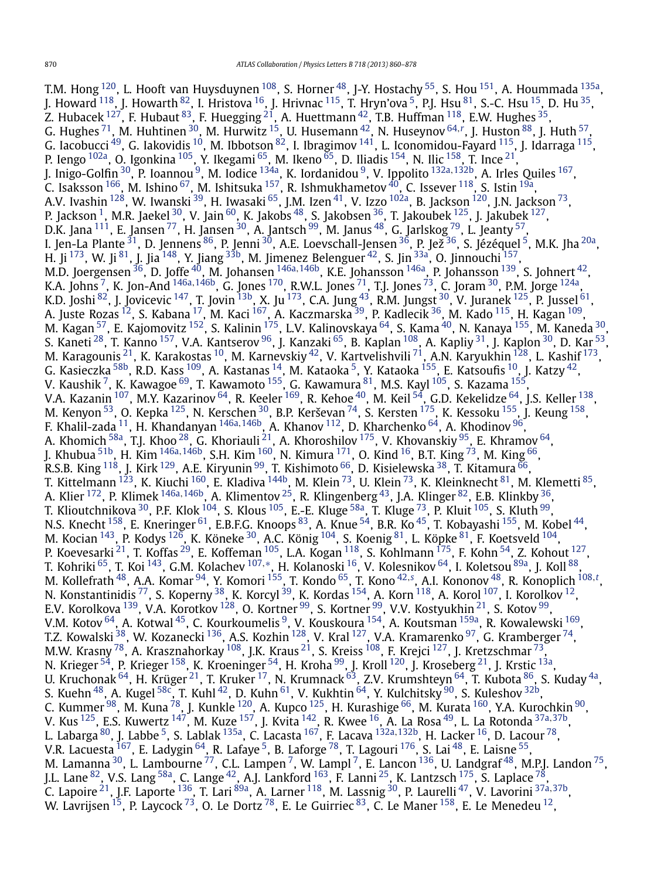T.M. Hong  $^{120}$  $^{120}$  $^{120}$ , L. Hooft van Huysduynen  $^{108}$  $^{108}$  $^{108}$ , S. Horner  $^{48}$ , J-Y. Hostachy  $^{55}$ , S. Hou  $^{151}$ , A. Hoummada  $^{135\mathrm{a}}$ , J. Howard  $^{118}$ , J. Howarth  $^{82}$ , I. Hristova  $^{16}$ , J. Hrivnac  $^{115}$ , T. Hryn'ova  $^5$ , P.J. Hsu  $^{81}$ , S.-C. Hsu  $^{15}$ , D. Hu  $^{35}$ , Z. Hubacek  $^{127}$ , F. Hubaut  $^{83}$ , F. Huegging  $^{21}$ , A. Huettmann  $^{42}$ , T.B. Huffman  $^{118}$ , E.W. Hughes  $^{35}$ , G. Hughes <sup>71</sup>, M. Huhtinen <sup>30</sup>, M. Hurwitz <sup>15</sup>, U. Husemann <sup>42</sup>, N. Huseynov <sup>[64](#page-16-0),[r](#page-18-0)</sup>, J. Huston <sup>88</sup>, J. Huth <sup>[57](#page-16-0)</sup>, G. Iacobucci  $^{49}$ , G. Iakovidis  $^{10}$ , M. Ibbotson  $^{82}$ , I. Ibragimov  $^{141}$  $^{141}$  $^{141}$ , L. Iconomidou-Fayard  $^{115}$ , J. Idarraga  $^{115}$ , P. Iengo  $^{102}$ , O. Igonkina  $^{105}$  $^{105}$  $^{105}$ , Y. Ikegami  $^{65}$  $^{65}$  $^{65}$ , M. Ikeno  $^{65}$ , D. Iliadis  $^{154}$ , N. Ilic  $^{158}$ , T. Ince  $^{21}$ , J. Inigo-Golfin [30,](#page-15-0) P. Ioannou [9,](#page-15-0) M. Iodice [134a,](#page-17-0) K. Iordanidou [9,](#page-15-0) V. Ippolito [132a](#page-17-0)*,*[132b](#page-17-0), A. Irles Quiles [167,](#page-17-0) C. Isaksson  $^{166}$  $^{166}$  $^{166}$ , M. Ishino  $^{67}$ , M. Ishitsuka  $^{157}$ , R. Ishmukhametov  $^{40}$ , C. Issever  $^{118}$ , S. Istin  $^{19a}$ , A.V. Ivashin <sup>[128](#page-17-0)</sup>, W. Iwanski <sup>39</sup>, H. Iwasaki <sup>65</sup>, J.M. Izen <sup>[41](#page-15-0)</sup>, V. Izzo <sup>102a</sup>, B. Jackson <sup>120</sup>, J.N. Jackson <sup>73</sup>, P. Jackson  $^1$ , M.R. Jaekel  $^{30}$ , V. Jain  $^{60}$ , K. Jakobs  $^{48}$ , S. Jakobsen  $^{36}$ , T. Jakoubek  $^{125}$ , J. Jakubek  $^{127}$ , D.K. Jana  $^{111}$ , E. Jansen  $^{77}$ , H. Jansen  $^{30}$ , A. Jantsch  $^{99}$ , M. Janus  $^{48}$ , G. Jarlskog  $^{79}$ , L. Jeanty  $^{57}$ , I. Jen-La Plante <sup>31</sup>, D. Jennens <sup>86</sup>, P. Jenni <sup>[30](#page-15-0)</sup>, A.E. Loevschall-Jensen <sup>36</sup>, P. Jež <sup>36</sup>, S. Jézéquel <sup>5</sup>, M.K. Jha <sup>20a</sup>, H. Ji  $^{173}$ , W. Ji  $^{81}$ , J. Jia  $^{148}$ , Y. Jiang  $^{33b}$  $^{33b}$  $^{33b}$ , M. Jimenez Belenguer  $^{42}$ , S. Jin  $^{33a}$ , O. Jinnouchi  $^{157}$ , M.D. Joergensen [36](#page-15-0), D. Joffe [40,](#page-15-0) M. Johansen [146a](#page-17-0)*,*[146b,](#page-17-0) K.E. Johansson [146a,](#page-17-0) P. Johansson [139,](#page-17-0) S. Johnert [42,](#page-15-0) K.A. Johns [7,](#page-15-0) K. Jon-And [146a](#page-17-0)*,*[146b,](#page-17-0) G. Jones [170](#page-17-0), R.W.L. Jones [71,](#page-16-0) T.J. Jones [73,](#page-16-0) C. Joram [30,](#page-15-0) P.M. Jorge [124a,](#page-16-0) K.D. Joshi  $^{82}$ , J. Jovicevic  $^{147}$  $^{147}$  $^{147}$ , T. Jovin  $^{13b}$ , X. Ju  $^{173}$ , C.A. Jung  $^{43}$ , R.M. Jungst  $^{30}$ , V. Juranek  $^{125}$ , P. Jussel  $^{61}$ , A. Juste Rozas <sup>12</sup>, S. Kabana <sup>17</sup>, M. Kaci <sup>167</sup>, A. Kaczmarska <sup>39</sup>, P. Kadlecik <sup>36</sup>, M. Kado <sup>115</sup>, H. Kagan <sup>[109](#page-16-0)</sup>, M. Kagan <sup>57</sup>, E. Kajomovitz <sup>[152](#page-17-0)</sup>, S. Kalinin <sup>175</sup>, L.V. Kalinovskaya <sup>64</sup>, S. Kama <sup>40</sup>, N. Kanaya <sup>155</sup>, M. Kaneda <sup>30</sup>, S. Kaneti $^{28}$ , T. Kanno  $^{157}$ , V.A. Kantserov  $^{96}$ , J. Kanzaki  $^{65}$ , B. Kaplan  $^{108}$ , A. Kapliy  $^{31}$ , J. Kaplon  $^{30}$ , D. Kar  $^{53}$ , M. Karagounis  $^{21}$ , K. Karakostas  $^{10}$ , M. Karnevskiy  $^{42}$ , V. Kartvelishvili  $^{71}$  $^{71}$  $^{71}$ , A.N. Karyukhin  $^{128}$ , L. Kashif  $^{173},$ G. Kasieczka  $^{58\mathrm{b}}$ , R.D. Kass  $^{109}$ , A. Kastanas  $^{14}$  $^{14}$  $^{14}$ , M. Kataoka  $^5$ , Y. Kataoka  $^{155}$ , E. Katsoufis  $^{10}$ , J. Katzy  $^{42}$ , V. Kaushik <sup>7</sup>, K. Kawagoe  $^{69}$ , T. Kawamoto  $^{155}$  $^{155}$  $^{155}$ , G. Kawamura  $^{81}$ , M.S. Kayl  $^{105}$  $^{105}$  $^{105}$ , S. Kazama  $^{155},$ V.A. Kazanin  $^{107}$ , M.Y. Kazarinov  $^{64}$  $^{64}$  $^{64}$ , R. Keeler  $^{169}$ , R. Kehoe  $^{40}$ , M. Keil  $^{54}$ , G.D. Kekelidze  $^{64}$ , J.S. Keller  $^{138}$ , M. Kenyon $^{53}$ , O. Kepka  $^{125}$ , N. Kerschen $^{30}$ , B.P. Kerševan $^{74}$ , S. Kersten $^{175}$  $^{175}$  $^{175}$ , K. Kessoku $^{155}$ , J. Keung $^{158}$ , F. Khalil-zada [11,](#page-15-0) H. Khandanyan [146a](#page-17-0)*,*[146b,](#page-17-0) A. Khanov [112,](#page-16-0) D. Kharchenko [64,](#page-16-0) A. Khodinov [96,](#page-16-0) A. Khomich  $^{58\text{a}}$ , T.J. Khoo  $^{28}$ , G. Khoriauli  $^{21}$ , A. Khoroshilov  $^{175}$ , V. Khovanskiy  $^{95}$ , E. Khramov  $^{64}$ , J. Khubua [51b,](#page-16-0) H. Kim [146a](#page-17-0)*,*[146b,](#page-17-0) S.H. Kim [160,](#page-17-0) N. Kimura [171,](#page-17-0) O. Kind [16,](#page-15-0) B.T. King [73,](#page-16-0) M. King [66,](#page-16-0) R.S.B. King  $^{118}$  $^{118}$  $^{118}$ , J. Kirk  $^{129}$ , A.E. Kiryunin  $^{99}$ , T. Kishimoto  $^{66}$ , D. Kisielewska  $^{38}$ , T. Kitamura  $^{66}$ , T. Kittelmann <sup>123</sup>, K. Kiuchi <sup>160</sup>, E. Kladiva <sup>144b</sup>, M. Klein <sup>73</sup>, U. Klein <sup>73</sup>, K. Kleinknecht <sup>81</sup>, M. Klemetti <sup>85</sup>, A. Klier [172,](#page-17-0) P. Klimek [146a](#page-17-0)*,*[146b,](#page-17-0) A. Klimentov [25,](#page-15-0) R. Klingenberg [43,](#page-15-0) J.A. Klinger [82,](#page-16-0) E.B. Klinkby [36](#page-15-0), T. Klioutchnikova  $^{30}$ , P.F. Klok  $^{104}$ , S. Klous  $^{105}$ , E.-E. Kluge  $^{58\mathrm{a}}$ , T. Kluge  $^{73}$ , P. Kluit  $^{105}$ , S. Kluth  $^{99}$ , N.S. Knecht <sup>158</sup>, E. Kneringer <sup>61</sup>, E.B.F.G. Knoops <sup>83</sup>, A. Knue <sup>[54](#page-16-0)</sup>, B.R. Ko <sup>45</sup>, T. Kobayashi <sup>155</sup>, M. Kobel <sup>44</sup>, M. Kocian  $^{143}$ , P. Kodys  $^{126}$  $^{126}$  $^{126}$ , K. Köneke  $^{30}$ , A.C. König  $^{104}$ , S. Koenig  $^{81}$ , L. Köpke  $^{81}$ , F. Koetsveld  $^{104}$ , P. Koevesarki <sup>21</sup>, T. Koffas <sup>29</sup>, E. Koffeman <sup>105</sup>, L.A. Kogan <sup>118</sup>, S. Kohlmann <sup>175</sup>, F. Kohn <sup>54</sup>, Z. Kohout <sup>127</sup>, T. Kohriki [65,](#page-16-0) T. Koi [143,](#page-17-0) G.M. Kolachev [107](#page-16-0)*,*[∗](#page-18-0), H. Kolanoski [16](#page-15-0), V. Kolesnikov [64,](#page-16-0) I. Koletsou [89a,](#page-16-0) J. Koll [88,](#page-16-0) M. Kollefrath [48,](#page-16-0) A.A. Komar [94,](#page-16-0) Y. Komori [155,](#page-17-0) T. Kondo [65,](#page-16-0) T. Kono [42](#page-15-0)*,[s](#page-18-0)* , A.I. Kononov [48,](#page-16-0) R. Konoplich [108](#page-16-0)*,[t](#page-18-0)* , N. Konstantinidis  $^{77}$ , S. Koperny  $^{38}$ , K. Korcyl  $^{39}$ , K. Kordas  $^{154}$ , A. Korn  $^{118}$ , A. Korol  $^{107}$ , I. Korolkov  $^{12}$ , E.V. Korolkova <sup>139</sup>, V.A. Korotkov <sup>128</sup>, O. Kortner <sup>99</sup>, S. Kortner <sup>99</sup>, V.V. Kostyukhin <sup>21</sup>, S. Kotov <sup>99</sup>, V.M. Kotov $^{64}$ , A. Kotwal $^{45}$ , C. Kourkoumelis $^9$ , V. Kouskoura  $^{154}$  $^{154}$  $^{154}$ , A. Koutsman  $^{159$ a, R. Kowalewski  $^{169}$ , T.Z. Kowalski  $^{38}$ , W. Kozanecki  $^{136}$ , A.S. Kozhin  $^{128}$ , V. Kral  $^{127}$ , V.A. Kramarenko  $^{97}$ , G. Kramberger  $^{74},$ M.W. Krasny<sup>78</sup>, A. Krasznahorkay<sup>108</sup>, J.K. Kraus<sup>[21](#page-15-0)</sup>, S. Kreiss<sup>108</sup>, F. Krejci <sup>127</sup>, J. Kretzschmar<sup>73</sup>, N. Krieger <sup>54</sup>, P. Krieger <sup>158</sup>, K. Kroeninger <sup>54</sup>, H. Kroha <sup>99</sup>, J. Kroll <sup>120</sup>, J. Kroseberg <sup>21</sup>, J. Krstic <sup>13a</sup>, U. Kruchonak <sup>64</sup>, H. Krüger <sup>21</sup>, T. Kruker <sup>17</sup>, N. Krumnack <sup>63</sup>, Z.V. Krumshteyn <sup>64</sup>, T. Kubota <sup>86</sup>, S. Kuday <sup>4a</sup>, S. Kuehn $^{48}$ , A. Kugel $^{58\mathrm{c}}$ , T. Kuhl $^{42}$ , D. Kuhn $^{61}$ , V. Kukhtin $^{64}$ , Y. Kulchitsky $^{90}$ , S. Kuleshov $^{32\mathrm{b}}$ , C. Kummer <sup>98</sup>, M. Kuna <sup>78</sup>, J. Kunkle <sup>120</sup>, A. Kupco <sup>[125](#page-17-0)</sup>, H. Kurashige <sup>66</sup>, M. Kurata <sup>[160](#page-17-0)</sup>, Y.A. Kurochkin <sup>90</sup>, V. Kus [125](#page-17-0), E.S. Kuwertz [147,](#page-17-0) M. Kuze [157,](#page-17-0) J. Kvita [142,](#page-17-0) R. Kwee [16,](#page-15-0) A. La Rosa [49,](#page-16-0) L. La Rotonda [37a](#page-15-0)*,*[37b,](#page-15-0) L. Labarga [80,](#page-16-0) J. Labbe [5,](#page-15-0) S. Lablak [135a,](#page-17-0) C. Lacasta [167,](#page-17-0) F. Lacava [132a](#page-17-0)*,*[132b,](#page-17-0) H. Lacker [16](#page-15-0), D. Lacour [78,](#page-16-0) V.R. Lacuesta  $^{167}$ , E. Ladygin  $^{64}$ , R. Lafaye  $^5$ , B. Laforge  $^{78}$ , T. Lagouri  $^{176}$ , S. Lai  $^{48}$ , E. Laisne  $^{55}$ , M. Lamanna  $30$ , L. Lambourne  $77$ , C.L. Lampen  $7$ , W. Lampl  $7$ , E. Lancon  $136$ , U. Landgraf  $48$ , M.P.J. Landon  $75$ , J.L. Lane  $^{82}$ , V.S. Lang  $^{58\mathrm{a}}$ , C. Lange  $^{42}$ , A.J. Lankford  $^{163}$ , F. Lanni  $^{25}$ , K. Lantzsch  $^{175}$  $^{175}$  $^{175}$ , S. Laplace  $^{78}$ , C. Lapoire [21,](#page-15-0) J.F. Laporte [136,](#page-17-0) T. Lari [89a,](#page-16-0) A. Larner [118,](#page-16-0) M. Lassnig [30,](#page-15-0) P. Laurelli [47,](#page-16-0) V. Lavorini [37a](#page-15-0)*,*[37b,](#page-15-0) W. Lavrijsen  $^{15}$ , P. Laycock  $^{73}$ , O. Le Dortz  $^{78}$ , E. Le Guirriec  $^{83}$ , C. Le Maner  $^{158}$ , E. Le Menedeu  $^{12}$ ,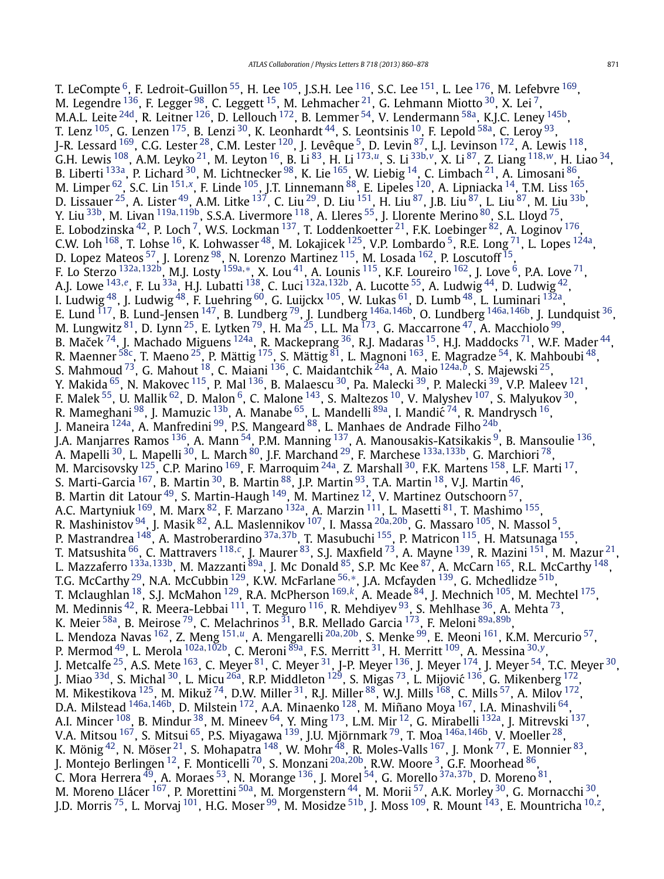T. LeCompte  $^6$ , F. Ledroit-Guillon  $^{55}$ , H. Lee  $^{105}$ , J.S.H. Lee  $^{116}$ , S.C. Lee  $^{151}$ , L. Lee  $^{176}$  $^{176}$  $^{176}$ , M. Lefebvre  $^{169}$  $^{169}$  $^{169}$ , M. Legendre  $^{136}$ , F. Legger  $^{98}$ , C. Leggett  $^{15}$ , M. Lehmacher  $^{21}$ , G. Lehmann Miotto  $^{30}$ , X. Lei  $^7$  $^7$ , M.A.L. Leite  $^{24\text{d}}$ , R. Leitner  $^{126}$ , D. Lellouch  $^{172}$ , B. Lemmer  $^{54}$ , V. Lendermann  $^{58\text{a}}$ , K.J.C. Leney  $^{145\text{b}}$ , T. Lenz  $^{105}$ , G. Lenzen  $^{175}$ , B. Lenzi  $^{30}$ , K. Leonhardt  $^{44}$  $^{44}$  $^{44}$ , S. Leontsinis  $^{10}$ , F. Lepold  $^{58\mathrm{a}}$ , C. Leroy  $^{93}$ , J-R. Lessard  $^{169}$ , C.G. Lester  $^{28}$ , C.M. Lester  $^{120}$ , J. Levêque  $^5$ , D. Levin  $^{87}$ , L.J. Levinson  $^{172}$ , A. Lewis  $^{118}$ , G.H. Lewis [108,](#page-16-0) A.M. Leyko [21,](#page-15-0) M. Leyton [16,](#page-15-0) B. Li [83,](#page-16-0) H. Li [173](#page-17-0)*,[u](#page-18-0)*, S. Li [33b](#page-15-0)*,[v](#page-18-0)*, X. Li [87,](#page-16-0) Z. Liang [118](#page-16-0)*,[w](#page-18-0)*, H. Liao [34,](#page-15-0) B. Liberti  $^{133}$ a, P. Lichard  $^{30}$ , M. Lichtnecker  $^{98}$  $^{98}$  $^{98}$ , K. Lie  $^{165}$ , W. Liebig  $^{14}$ , C. Limbach  $^{21}$ , A. Limosani  $^{86},$  $^{86},$  $^{86},$ M. Limper [62,](#page-16-0) S.C. Lin [151](#page-17-0)*,[x](#page-18-0)*, F. Linde [105,](#page-16-0) J.T. Linnemann [88,](#page-16-0) E. Lipeles [120,](#page-16-0) A. Lipniacka [14,](#page-15-0) T.M. Liss [165,](#page-17-0) D. Lissauer <sup>25</sup>, A. Lister <sup>49</sup>, A.M. Litke <sup>137</sup>, C. Liu <sup>29</sup>, D. Liu <sup>[151](#page-17-0)</sup>, H. Liu <sup>87</sup>, J.B. Liu <sup>87</sup>, L. Liu <sup>87</sup>, M. Liu <sup>33b</sup>, Y. Liu [33b,](#page-15-0) M. Livan [119a](#page-16-0)*,*[119b,](#page-16-0) S.S.A. Livermore [118,](#page-16-0) A. Lleres [55,](#page-16-0) J. Llorente Merino [80,](#page-16-0) S.L. Lloyd [75,](#page-16-0) E. Lobodzinska  $42$ , P. Loch <sup>7</sup>, W.S. Lockman  $137$ , T. Loddenkoetter  $21$ , F.K. Loebinger  $82$ , A. Loginov  $176$ , C.W. Loh  $^{168}$ , T. Lohse  $^{16}$ , K. Lohwasser  $^{48}$ , M. Lokajicek  $^{125}$ , V.P. Lombardo  $^5$ , R.E. Long  $^{71}$ , L. Lopes  $^{124}$ , D. Lopez Mateos  $^{57}$ , J. Lorenz  $^{98}$ , N. Lorenzo Martinez  $^{115}$ , M. Losada  $^{162}$ , P. Loscutoff  $^{15}$ , F. Lo Sterzo [132a](#page-17-0)*,*[132b](#page-17-0), M.J. Losty [159a](#page-17-0)*,*[∗](#page-18-0), X. Lou [41,](#page-15-0) A. Lounis [115,](#page-16-0) K.F. Loureiro [162,](#page-17-0) J. Love [6,](#page-15-0) P.A. Love [71,](#page-16-0) A.J. Lowe [143](#page-17-0)*,[e](#page-17-0)*, F. Lu [33a,](#page-15-0) H.J. Lubatti [138,](#page-17-0) C. Luci [132a](#page-17-0)*,*[132b,](#page-17-0) A. Lucotte [55,](#page-16-0) A. Ludwig [44](#page-15-0), D. Ludwig [42,](#page-15-0) I. Ludwig  $^{48}$ , J. Ludwig  $^{48}$ , F. Luehring  $^{60}$ , G. Luijckx  $^{105}$ , W. Lukas  $^{61}$ , D. Lumb  $^{48}$ , L. Luminari  $^{132}$ , E. Lund [117,](#page-16-0) B. Lund-Jensen [147,](#page-17-0) B. Lundberg [79,](#page-16-0) J. Lundberg [146a](#page-17-0)*,*[146b,](#page-17-0) O. Lundberg [146a](#page-17-0)*,*[146b,](#page-17-0) J. Lundquist [36,](#page-15-0) M. Lungwitz  $^{81}$ , D. Lynn  $^{25}$  $^{25}$  $^{25}$ , E. Lytken  $^{79}$ , H. Ma  $^{25}$ , L.L. Ma  $^{173}$ , G. Maccarrone  $^{47}$ , A. Macchiolo  $^{99}$ , B. Maček $^{74}$ , J. Machado Miguens  $^{124}$ a, R. Mackeprang $^{36}$ , R.J. Madaras  $^{15}$ , H.J. Maddocks  $^{71}$ , W.F. Mader  $^{44}$ , R. Maenner  $^{58\rm c}$ , T. Maeno  $^{25}$ , P. Mättig  $^{175}$ , S. Mättig  $^{81}$ , L. Magnoni  $^{163}$  $^{163}$  $^{163}$ , E. Magradze  $^{54}$ , K. Mahboubi  $^{48}$ , S. Mahmoud [73,](#page-16-0) G. Mahout [18,](#page-15-0) C. Maiani [136](#page-17-0), C. Maidantchik [24a,](#page-15-0) A. Maio [124a](#page-16-0)*,[b](#page-17-0)*, S. Majewski [25,](#page-15-0) Y. Makida <sup>65</sup>, N. Makovec <sup>115</sup>, P. Mal <sup>136</sup>, B. Malaescu <sup>30</sup>, Pa. Malecki <sup>39</sup>, P. Malecki <sup>39</sup>, V.P. Maleev <sup>[121](#page-16-0)</sup>, F. Malek  $^{55}$ , U. Mallik  $^{62}$ , D. Malon  $^6$ , C. Malone  $^{143}$ , S. Maltezos  $^{10}$ , V. Malyshev  $^{107}$ , S. Malyukov  $^{30}$ , R. Mameghani <sup>98</sup>, J. Mamuzic <sup>13b</sup>, A. Manabe <sup>65</sup>, L. Mandelli <sup>89a</sup>, I. Mandić <sup>74</sup>, R. Mandrysch <sup>16</sup>, J. Maneira <sup>124a</sup>, A. Manfredini <sup>99</sup>, P.S. Mangeard <sup>88</sup>, L. Manhaes de Andrade Filho <sup>24b</sup>, J.A. Manjarres Ramos <sup>136</sup>, A. Mann <sup>54</sup>, P.M. Manning <sup>137</sup>, A. Manousakis-Katsikakis <sup>9</sup>, B. Mansoulie <sup>136</sup>, A. Mapelli [30,](#page-15-0) L. Mapelli [30,](#page-15-0) L. March [80,](#page-16-0) J.F. Marchand [29,](#page-15-0) F. Marchese [133a](#page-17-0)*,*[133b,](#page-17-0) G. Marchiori [78,](#page-16-0) M. Marcisovsky  $^{125}$ , C.P. Marino  $^{169}$ , F. Marroquim  $^{24a}$ , Z. Marshall  $^{30}$ , F.K. Martens  $^{158}$ , L.F. Marti  $^{17}$ , S. Marti-Garcia  $^{167}$ , B. Martin  $^{30}$ , B. Martin  $^{88}$ , J.P. Martin  $^{93}$ , T.A. Martin  $^{18}$ , V.J. Martin  $^{46}$ , B. Martin dit Latour $^{49}$ , S. Martin-Haugh $^{149}$ , M. Martinez $^{12}$ , V. Martinez Outschoorn $^{57}$ , A.C. Martyniuk <sup>169</sup>, M. Marx <sup>82</sup>, F. Marzano <sup>[132a](#page-17-0)</sup>, A. Marzin <sup>111</sup>, L. Masetti <sup>[81](#page-16-0)</sup>, T. Mashimo <sup>155</sup>, R. Mashinistov [94,](#page-16-0) J. Masik [82](#page-16-0), A.L. Maslennikov [107,](#page-16-0) I. Massa [20a](#page-15-0)*,*[20b,](#page-15-0) G. Massaro [105,](#page-16-0) N. Massol [5,](#page-15-0) P. Mastrandrea [148,](#page-17-0) A. Mastroberardino [37a](#page-15-0)*,*[37b,](#page-15-0) T. Masubuchi [155,](#page-17-0) P. Matricon [115,](#page-16-0) H. Matsunaga [155,](#page-17-0) T. Matsushita [66,](#page-16-0) C. Mattravers [118](#page-16-0)*,[c](#page-17-0)*, J. Maurer [83,](#page-16-0) S.J. Maxfield [73,](#page-16-0) A. Mayne [139,](#page-17-0) R. Mazini [151,](#page-17-0) M. Mazur [21,](#page-15-0) L. Mazzaferro [133a](#page-17-0)*,*[133b,](#page-17-0) M. Mazzanti [89a,](#page-16-0) J. Mc Donald [85,](#page-16-0) S.P. Mc Kee [87,](#page-16-0) A. McCarn [165,](#page-17-0) R.L. McCarthy [148,](#page-17-0) T.G. McCarthy [29,](#page-15-0) N.A. McCubbin [129,](#page-17-0) K.W. McFarlane [56](#page-16-0)*,*[∗](#page-18-0), J.A. Mcfayden [139](#page-17-0), G. Mchedlidze [51b](#page-16-0), T. Mclaughlan [18,](#page-15-0) S.J. McMahon [129,](#page-17-0) R.A. McPherson [169](#page-17-0)*,[k](#page-17-0)*, A. Meade [84](#page-16-0), J. Mechnich [105](#page-16-0), M. Mechtel [175,](#page-17-0) M. Medinnis  $^{42}$ , R. Meera-Lebbai  $^{111}$ , T. Meguro  $^{116}$ , R. Mehdiyev  $^{93}$ , S. Mehlhase  $^{36}$ , A. Mehta  $^{73}$ , K. Meier [58a](#page-16-0), B. Meirose [79,](#page-16-0) C. Melachrinos [31,](#page-15-0) B.R. Mellado Garcia [173](#page-17-0), F. Meloni [89a](#page-16-0)*,*[89b,](#page-16-0) L. Mendoza Navas [162,](#page-17-0) Z. Meng [151](#page-17-0)*,[u](#page-18-0)*, A. Mengarelli [20a](#page-15-0)*,*[20b,](#page-15-0) S. Menke [99,](#page-16-0) E. Meoni [161,](#page-17-0) K.M. Mercurio [57,](#page-16-0) P. Mermod [49,](#page-16-0) L. Merola [102a](#page-16-0)*,*[102b,](#page-16-0) C. Meroni [89a,](#page-16-0) F.S. Merritt [31,](#page-15-0) H. Merritt [109](#page-16-0), A. Messina [30](#page-15-0)*,[y](#page-18-0)*, J. Metcalfe  $^{25}$ , A.S. Mete  $^{163}$ , C. Meyer  $^{81}$  $^{81}$  $^{81}$ , C. Meyer  $^{31}$ , J-P. Meyer  $^{136}$ , J. Meyer  $^{174}$ , J. Meyer  $^{54}$  $^{54}$  $^{54}$ , T.C. Meyer  $^{30}$ , J. Miao  $^{33\text{d}}$ , S. Michal  $^{30}$ , L. Micu  $^{26\text{a}}$ , R.P. Middleton  $^{129}$ , S. Migas  $^{73}$ , L. Mijović  $^{136}$ , G. Mikenberg  $^{172}$ , M. Mikestikova  $^{125}$ , M. Mikuž  $^{74}$ , D.W. Miller  $^{31}$ , R.J. Miller  $^{88}$ , W.J. Mills  $^{168}$ , C. Mills  $^{57}$ , A. Milov  $^{172}$ , D.A. Milstead [146a](#page-17-0)*,*[146b,](#page-17-0) D. Milstein [172,](#page-17-0) A.A. Minaenko [128,](#page-17-0) M. Miñano Moya [167,](#page-17-0) I.A. Minashvili [64,](#page-16-0) A.I. Mincer <sup>108</sup>, B. Mindur <sup>38</sup>, M. Mineev <sup>64</sup>, Y. Ming <sup>[173](#page-17-0)</sup>, L.M. Mir <sup>12</sup>, G. Mirabelli <sup>132a</sup>, J. Mitrevski <sup>137</sup>, V.A. Mitsou [167,](#page-17-0) S. Mitsui [65,](#page-16-0) P.S. Miyagawa [139](#page-17-0), J.U. Mjörnmark [79,](#page-16-0) T. Moa [146a](#page-17-0)*,*[146b,](#page-17-0) V. Moeller [28,](#page-15-0) K. Mönig $^{42}$ , N. Möser $^{21}$ , S. Mohapatra $^{148}$ , W. Mohr $^{48}$ , R. Moles-Valls  $^{167}$ , J. Monk $^{77}$ , E. Monnier $^{83},$ J. Montejo Berlingen [12,](#page-15-0) F. Monticelli [70,](#page-16-0) S. Monzani [20a](#page-15-0)*,*[20b](#page-15-0), R.W. Moore [3,](#page-15-0) G.F. Moorhead [86,](#page-16-0) C. Mora Herrera [49,](#page-16-0) A. Moraes [53,](#page-16-0) N. Morange [136,](#page-17-0) J. Morel [54](#page-16-0), G. Morello [37a](#page-15-0)*,*[37b,](#page-15-0) D. Moreno [81,](#page-16-0) M. Moreno Llácer <sup>167</sup>, P. Morettini <sup>50a</sup>, M. Morgenstern <sup>[44](#page-15-0)</sup>, M. Morii <sup>57</sup>, A.K. Morley <sup>[30](#page-15-0)</sup>, G. Mornacchi <sup>30</sup>, J.D. Morris [75,](#page-16-0) L. Morvaj [101,](#page-16-0) H.G. Moser [99,](#page-16-0) M. Mosidze [51b](#page-16-0), J. Moss [109,](#page-16-0) R. Mount [143,](#page-17-0) E. Mountricha [10](#page-15-0)*,[z](#page-18-0)* ,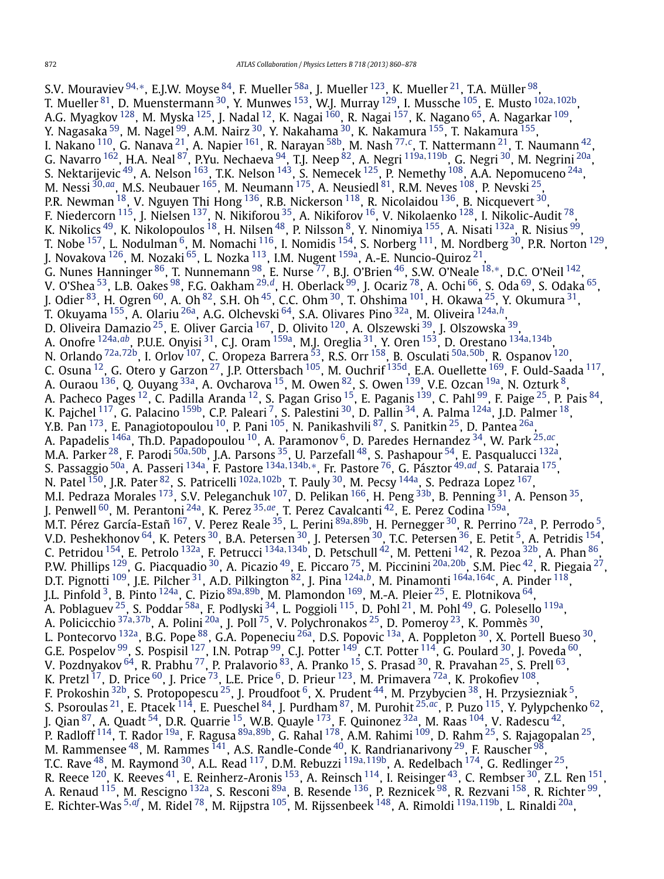S.V. Mouraviev <sup>[94](#page-16-0),[∗](#page-18-0)</sup>, E.J.W. Moyse <sup>84</sup>, F. Mueller <sup>58a</sup>, J. Mueller <sup>123</sup>, K. Mueller <sup>21</sup>, T.A. Müller <sup>98</sup>, T. Mueller [81,](#page-16-0) D. Muenstermann [30,](#page-15-0) Y. Munwes [153,](#page-17-0) W.J. Murray [129,](#page-17-0) I. Mussche [105,](#page-16-0) E. Musto [102a](#page-16-0)*,*[102b,](#page-16-0) A.G. Myagkov <sup>128</sup>, M. Myska <sup>125</sup>, J. Nadal <sup>12</sup>, K. Nagai <sup>160</sup>, R. Nagai <sup>157</sup>, K. Nagano <sup>65</sup>, A. Nagarkar <sup>109</sup>, Y. Nagasaka <sup>59</sup>, M. Nagel <sup>99</sup>, A.M. Nairz <sup>30</sup>, Y. Nakahama <sup>30</sup>, K. Nakamura <sup>155</sup>, T. Nakamura <sup>155</sup>, I. Nakano [110,](#page-16-0) G. Nanava [21,](#page-15-0) A. Napier [161,](#page-17-0) R. Narayan [58b,](#page-16-0) M. Nash [77](#page-16-0)*,[c](#page-17-0)*, T. Nattermann [21,](#page-15-0) T. Naumann [42,](#page-15-0) G. Navarro [162,](#page-17-0) H.A. Neal [87,](#page-16-0) P.Yu. Nechaeva [94,](#page-16-0) T.J. Neep [82,](#page-16-0) A. Negri [119a](#page-16-0)*,*[119b,](#page-16-0) G. Negri [30,](#page-15-0) M. Negrini [20a,](#page-15-0) S. Nektarijevic  $^{49}$ , A. Nelson  $^{163}$ , T.K. Nelson  $^{143}$ , S. Nemecek  $^{125}$ , P. Nemethy  $^{108}$ , A.A. Nepomuceno  $^{24a}$ , M. Nessi <sup>[30](#page-15-0),*[aa](#page-18-0)*</sup>, M.S. Neubauer <sup>165</sup>, M. Neumann <sup>175</sup>, A. Neusiedl <sup>81</sup>, R.M. Neves <sup>108</sup>, P. Nevski <sup>25</sup>, P.R. Newman <sup>18</sup>, V. Nguyen Thi Hong <sup>[136](#page-17-0)</sup>, R.B. Nickerson <sup>[118](#page-16-0)</sup>, R. Nicolaidou <sup>136</sup>, B. Nicquevert <sup>[30](#page-15-0)</sup>, F. Niedercorn <sup>115</sup>, J. Nielsen <sup>137</sup>, N. Nikiforou <sup>35</sup>, A. Nikiforov <sup>[16](#page-15-0)</sup>, V. Nikolaenko <sup>128</sup>, I. Nikolic-Audit <sup>78</sup>, K. Nikolics <sup>49</sup>, K. Nikolopoulos <sup>[18](#page-15-0)</sup>, H. Nilsen <sup>[48](#page-16-0)</sup>, P. Nilsson <sup>8</sup>, Y. Ninomiya <sup>155</sup>, A. Nisati <sup>132a</sup>, R. Nisius <sup>99</sup>, T. Nobe  $^{157}$ , L. Nodulman  $^6$ , M. Nomachi  $^{116}$ , I. Nomidis  $^{154}$ , S. Norberg  $^{111}$ , M. Nordberg  $^{30}$  $^{30}$  $^{30}$ , P.R. Norton  $^{129}$ , J. Novakova <sup>126</sup>, M. Nozaki <sup>65</sup>, L. Nozka <sup>113</sup>, I.M. Nugent <sup>[159a](#page-17-0)</sup>, A.-E. Nuncio-Quiroz <sup>21</sup>, G. Nunes Hanninger [86,](#page-16-0) T. Nunnemann [98,](#page-16-0) E. Nurse [77,](#page-16-0) B.J. O'Brien [46,](#page-15-0) S.W. O'Neale [18](#page-15-0)*,*[∗](#page-18-0), D.C. O'Neil [142,](#page-17-0) V. O'Shea [53,](#page-16-0) L.B. Oakes [98,](#page-16-0) F.G. Oakham [29](#page-15-0)*,[d](#page-17-0)*, H. Oberlack [99,](#page-16-0) J. Ocariz [78,](#page-16-0) A. Ochi [66,](#page-16-0) S. Oda [69,](#page-16-0) S. Odaka [65,](#page-16-0) J. Odier  $^{83}$  $^{83}$  $^{83}$ , H. Ogren  $^{60}$ , A. Oh  $^{82}$ , S.H. Oh  $^{45}$ , C.C. Ohm  $^{30}$ , T. Ohshima  $^{101}$ , H. Okawa  $^{25}$ , Y. Okumura  $^{31}$ , T. Okuyama [155,](#page-17-0) A. Olariu [26a,](#page-15-0) A.G. Olchevski [64,](#page-16-0) S.A. Olivares Pino [32a](#page-15-0), M. Oliveira [124a](#page-16-0)*,[h](#page-17-0)*, D. Oliveira Damazio <sup>25</sup>, E. Oliver Garcia <sup>167</sup>, D. Olivito <sup>120</sup>, A. Olszewski <sup>39</sup>, J. Olszowska <sup>39</sup>, A. Onofre [124a](#page-16-0)*,[ab](#page-18-0)*, P.U.E. Onyisi [31,](#page-15-0) C.J. Oram [159a,](#page-17-0) M.J. Oreglia [31,](#page-15-0) Y. Oren [153](#page-17-0), D. Orestano [134a](#page-17-0)*,*[134b](#page-17-0), N. Orlando [72a](#page-16-0)*,*[72b,](#page-16-0) I. Orlov [107,](#page-16-0) C. Oropeza Barrera [53,](#page-16-0) R.S. Orr [158,](#page-17-0) B. Osculati [50a](#page-16-0)*,*[50b,](#page-16-0) R. Ospanov [120,](#page-16-0) C. Osuna  $^{12}$ , G. Otero y Garzon $^{27}$ , J.P. Ottersbach  $^{105}$ , M. Ouchrif  $^{135\mathrm{d}}$ , E.A. Ouellette  $^{169}$ , F. Ould-Saada  $^{117}$ , A. Ouraou  $^{136}$ , Q. Ouyang  $^{33a}$ , A. Ovcharova  $^{15}$ , M. Owen  $^{82}$ , S. Owen  $^{139}$ , V.E. Ozcan  $^{19a}$ , N. Ozturk  $^8$ , A. Pacheco Pages <sup>12</sup>, C. Padilla Aranda <sup>12</sup>, S. Pagan Griso <sup>15</sup>, E. Paganis <sup>139</sup>, C. Pahl <sup>99</sup>, F. Paige <sup>25</sup>, P. Pais <sup>84</sup>, K. Pajchel  $^{117}$ , G. Palacino  $^{159b}$ , C.P. Paleari  $^7$ , S. Palestini  $^{30}$ , D. Pallin  $^{34}$  $^{34}$  $^{34}$ , A. Palma  $^{124a}$ , J.D. Palmer  $^{18}$  $^{18}$  $^{18}$ , Y.B. Pan  $^{173}$ , E. Panagiotopoulou  $^{10}$ , P. Pani  $^{105}$ , N. Panikashvili  $^{87}$ , S. Panitkin  $^{25}$ , D. Pantea  $^{26\mathrm{a}}$ , A. Papadelis [146a,](#page-17-0) Th.D. Papadopoulou [10,](#page-15-0) A. Paramonov [6,](#page-15-0) D. Paredes Hernandez [34,](#page-15-0) W. Park [25](#page-15-0)*,[ac](#page-18-0)*, M.A. Parker <sup>28</sup>, F. Parodi <sup>[50a](#page-16-0), 50b</sup>, J.A. Parsons <sup>35</sup>, U. Parzefall <sup>48</sup>, S. Pashapour <sup>54</sup>, E. Pasqualucci <sup>[132a](#page-17-0)</sup>, S. Passaggio [50a,](#page-16-0) A. Passeri [134a,](#page-17-0) F. Pastore [134a](#page-17-0)*,*[134b](#page-17-0)*,*[∗](#page-18-0), Fr. Pastore [76,](#page-16-0) G. Pásztor [49](#page-16-0)*,[ad](#page-18-0)*, S. Pataraia [175,](#page-17-0) N. Patel [150](#page-17-0), J.R. Pater [82,](#page-16-0) S. Patricelli [102a](#page-16-0)*,*[102b,](#page-16-0) T. Pauly [30,](#page-15-0) M. Pecsy [144a,](#page-17-0) S. Pedraza Lopez [167,](#page-17-0) M.I. Pedraza Morales  $^{173}$ , S.V. Peleganchuk  $^{107}$ , D. Pelikan  $^{166}$ , H. Peng  $^{33\mathrm{b}}$ , B. Penning  $^{31}$ , A. Penson  $^{35}$ , J. Penwell [60,](#page-16-0) M. Perantoni [24a,](#page-15-0) K. Perez [35](#page-15-0)*,[ae](#page-18-0)*, T. Perez Cavalcanti [42,](#page-15-0) E. Perez Codina [159a,](#page-17-0) M.T. Pérez García-Estañ [167,](#page-17-0) V. Perez Reale [35,](#page-15-0) L. Perini [89a](#page-16-0)*,*[89b,](#page-16-0) H. Pernegger [30,](#page-15-0) R. Perrino [72a,](#page-16-0) P. Perrodo [5,](#page-15-0) V.D. Peshekhonov  $^{64}$ , K. Peters  $^{30}$  $^{30}$  $^{30}$ , B.A. Petersen  $^{30}$ , J. Petersen  $^{30}$ , T.C. Petersen  $^{36}$ , E. Petit  $^5$ , A. Petridis  $^{154}$ , C. Petridou [154,](#page-17-0) E. Petrolo [132a,](#page-17-0) F. Petrucci [134a](#page-17-0)*,*[134b,](#page-17-0) D. Petschull [42,](#page-15-0) M. Petteni [142,](#page-17-0) R. Pezoa [32b,](#page-15-0) A. Phan [86,](#page-16-0) P.W. Phillips [129,](#page-17-0) G. Piacquadio [30,](#page-15-0) A. Picazio [49,](#page-16-0) E. Piccaro [75,](#page-16-0) M. Piccinini [20a](#page-15-0)*,*[20b,](#page-15-0) S.M. Piec [42,](#page-15-0) R. Piegaia [27,](#page-15-0) D.T. Pignotti [109,](#page-16-0) J.E. Pilcher [31,](#page-15-0) A.D. Pilkington [82,](#page-16-0) J. Pina [124a](#page-16-0)*,[b](#page-17-0)*, M. Pinamonti [164a](#page-17-0)*,*[164c,](#page-17-0) A. Pinder [118,](#page-16-0) J.L. Pinfold [3,](#page-15-0) B. Pinto [124a,](#page-16-0) C. Pizio [89a](#page-16-0)*,*[89b,](#page-16-0) M. Plamondon [169,](#page-17-0) M.-A. Pleier [25](#page-15-0), E. Plotnikova [64,](#page-16-0) A. Poblaguev <sup>25</sup>, S. Poddar <sup>58a</sup>, F. Podlyski <sup>34</sup>, L. Poggioli <sup>115</sup>, D. Pohl <sup>21</sup>, M. Pohl <sup>49</sup>, G. Polesello <sup>119a</sup>, A. Policicchio [37a](#page-15-0)*,*[37b](#page-15-0), A. Polini [20a,](#page-15-0) J. Poll [75,](#page-16-0) V. Polychronakos [25,](#page-15-0) D. Pomeroy [23,](#page-15-0) K. Pommès [30,](#page-15-0) L. Pontecorvo  $^{132a}$ , B.G. Pope  $^{88}$ , G.A. Popeneciu  $^{26a}$ , D.S. Popovic  $^{13a}$ , A. Poppleton  $^{30}$ , X. Portell Bueso  $^{30}$ , G.E. Pospelov  $^{99}$ , S. Pospisil  $^{127}$ , I.N. Potrap  $^{99}$ , C.J. Potter  $^{149}$ , C.T. Potter  $^{114}$ , G. Poulard  $^{30}$ , J. Poveda  $^{60}$ , V. Pozdnyakov  $^{64}$ , R. Prabhu  $^{77}$ , P. Pralavorio  $^{83}$ , A. Pranko  $^{15}$ , S. Prasad  $^{30}$ , R. Pravahan  $^{25}$  $^{25}$  $^{25}$ , S. Prell  $^{63}$ , K. Pretzl  $^{17}$ , D. Price  $^{60}$ , J. Price  $^{73}$ , L.E. Price  $^6$ , D. Prieur  $^{123}$ , M. Primavera  $^{72}$ , K. Prokofiev  $^{108},$ F. Prokoshin  $^{32\text{b}}$ , S. Protopopescu  $^{25}$ , J. Proudfoot  $^6$ , X. Prudent  $^{44}$ , M. Przybycien  $^{38}$ , H. Przysiezniak  $^5$ , S. Psoroulas [21,](#page-15-0) E. Ptacek [114,](#page-16-0) E. Pueschel [84,](#page-16-0) J. Purdham [87,](#page-16-0) M. Purohit [25](#page-15-0)*,[ac](#page-18-0)*, P. Puzo [115,](#page-16-0) Y. Pylypchenko [62,](#page-16-0) J. Qian  $^{87}$ , A. Quadt  $^{54}$ , D.R. Quarrie  $^{15}$ , W.B. Quayle  $^{173}$ , F. Quinonez  $^{32}$ , M. Raas  $^{104}$ , V. Radescu  $^{42}$ , P. Radloff [114](#page-16-0), T. Rador [19a,](#page-15-0) F. Ragusa [89a](#page-16-0)*,*[89b,](#page-16-0) G. Rahal [178,](#page-17-0) A.M. Rahimi [109,](#page-16-0) D. Rahm [25,](#page-15-0) S. Rajagopalan [25,](#page-15-0) M. Rammensee  $^{48}$  $^{48}$  $^{48}$ , M. Rammes  $^{141}$ , A.S. Randle-Conde  $^{40}$ , K. Randrianarivony  $^{29}$ , F. Rauscher  $^{98}$ , T.C. Rave [48,](#page-16-0) M. Raymond [30,](#page-15-0) A.L. Read [117,](#page-16-0) D.M. Rebuzzi [119a](#page-16-0)*,*[119b,](#page-16-0) A. Redelbach [174,](#page-17-0) G. Redlinger [25,](#page-15-0) R. Reece  $^{120}$ , K. Reeves  $^{41}$ , E. Reinherz-Aronis  $^{153}$ , A. Reinsch  $^{114}$ , I. Reisinger  $^{43}$ , C. Rembser  $^{30}$ , Z.L. Ren  $^{151}$ , A. Renaud <sup>115</sup>, M. Rescigno <sup>132a</sup>, S. Resconi <sup>89a</sup>, B. Resende <sup>136</sup>, P. Reznicek <sup>98</sup>, R. Rezvani <sup>158</sup>, R. Richter <sup>99</sup>, E. Richter-Was [5](#page-15-0)*,[af](#page-18-0)* , M. Ridel [78,](#page-16-0) M. Rijpstra [105,](#page-16-0) M. Rijssenbeek [148,](#page-17-0) A. Rimoldi [119a](#page-16-0)*,*[119b,](#page-16-0) L. Rinaldi [20a,](#page-15-0)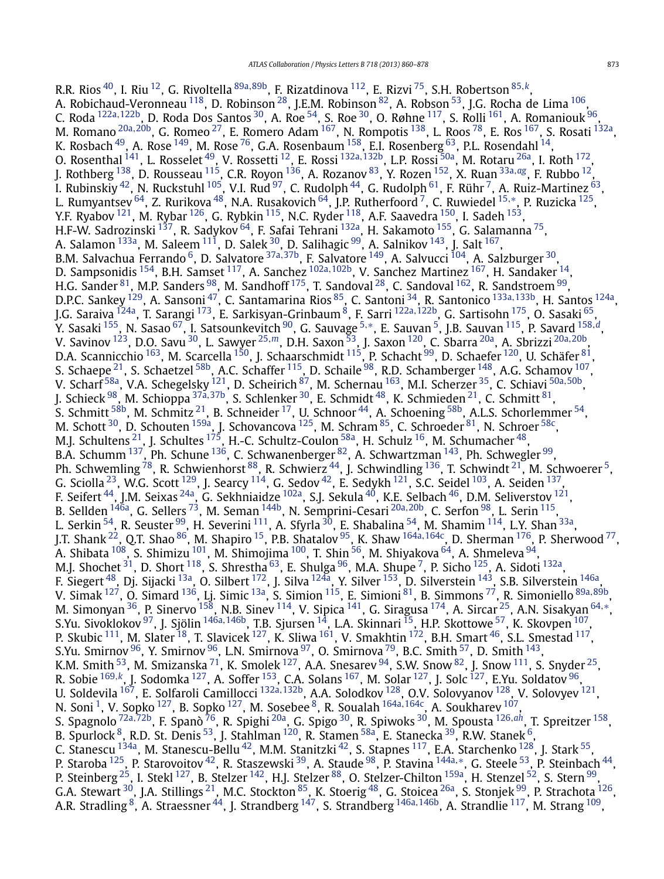R.R. Rios [40,](#page-15-0) I. Riu [12,](#page-15-0) G. Rivoltella [89a](#page-16-0)*,*[89b,](#page-16-0) F. Rizatdinova [112,](#page-16-0) E. Rizvi [75,](#page-16-0) S.H. Robertson [85](#page-16-0)*,[k](#page-17-0)*, A. Robichaud-Veronneau <sup>[118](#page-16-0)</sup>, D. Robinson <sup>28</sup>, J.E.M. Robinson <sup>82</sup>, A. Robson <sup>53</sup>, J.G. Rocha de Lima <sup>106</sup>, C. Roda [122a](#page-16-0)*,*[122b,](#page-16-0) D. Roda Dos Santos [30,](#page-15-0) A. Roe [54,](#page-16-0) S. Roe [30,](#page-15-0) O. Røhne [117,](#page-16-0) S. Rolli [161,](#page-17-0) A. Romaniouk [96,](#page-16-0) M. Romano [20a](#page-15-0)*,*[20b,](#page-15-0) G. Romeo [27,](#page-15-0) E. Romero Adam [167,](#page-17-0) N. Rompotis [138,](#page-17-0) L. Roos [78,](#page-16-0) E. Ros [167,](#page-17-0) S. Rosati [132a,](#page-17-0) K. Rosbach  $^{49}$ , A. Rose  $^{149}$ , M. Rose  $^{76}$ , G.A. Rosenbaum  $^{158}$ , E.I. Rosenberg  $^{63}$ , P.L. Rosendahl  $^{14}$ , O. Rosenthal [141,](#page-17-0) L. Rosselet [49,](#page-16-0) V. Rossetti [12,](#page-15-0) E. Rossi [132a](#page-17-0)*,*[132b,](#page-17-0) L.P. Rossi [50a,](#page-16-0) M. Rotaru [26a](#page-15-0), I. Roth [172,](#page-17-0) J. Rothberg [138,](#page-17-0) D. Rousseau [115,](#page-16-0) C.R. Royon [136,](#page-17-0) A. Rozanov [83,](#page-16-0) Y. Rozen [152,](#page-17-0) X. Ruan [33a](#page-15-0)*,[ag](#page-18-0)*, F. Rubbo [12,](#page-15-0) I. Rubinskiy $^{42}$ , N. Ruckstuhl $^{105}$ , V.I. Rud $^{97}$ , C. Rudolph $^{44}$ , G. Rudolph $^{61}$ , F. Rühr $^7$ , A. Ruiz-Martinez $^{63}$ , L. Rumyantsev [64,](#page-16-0) Z. Rurikova [48,](#page-16-0) N.A. Rusakovich [64,](#page-16-0) J.P. Rutherfoord [7,](#page-15-0) C. Ruwiedel [15](#page-15-0)*,*[∗](#page-18-0), P. Ruzicka [125,](#page-17-0) Y.F. Ryabov  $^{121}$ , M. Rybar  $^{126}$ , G. Rybkin  $^{115}$ , N.C. Ryder  $^{118}$ , A.F. Saavedra  $^{150}$ , I. Sadeh  $^{153}$ , H.F-W. Sadrozinski <sup>137</sup>, R. Sadykov <sup>64</sup>, F. Safai Tehrani <sup>132a</sup>, H. Sakamoto <sup>155</sup>, G. Salamanna <sup>75</sup>, A. Salamon  $^{133$ a, M. Saleem  $^{111}$ , D. Salek  $^{30}$ , D. Salihagic  $^{99}$  $^{99}$  $^{99}$ , A. Salnikov  $^{143}$ , J. Salt  $^{167},$ B.M. Salvachua Ferrando [6,](#page-15-0) D. Salvatore [37a](#page-15-0)*,*[37b,](#page-15-0) F. Salvatore [149,](#page-17-0) A. Salvucci [104,](#page-16-0) A. Salzburger [30,](#page-15-0) D. Sampsonidis [154,](#page-17-0) B.H. Samset [117](#page-16-0), A. Sanchez [102a](#page-16-0)*,*[102b,](#page-16-0) V. Sanchez Martinez [167,](#page-17-0) H. Sandaker [14](#page-15-0), H.G. Sander  $^{81}$ , M.P. Sanders  $^{98}$  $^{98}$  $^{98}$ , M. Sandhoff  $^{175}$ , T. Sandoval  $^{28}$ , C. Sandoval  $^{162}$ , R. Sandstroem  $^{99}$  $^{99}$  $^{99}$ , D.P.C. Sankey [129,](#page-17-0) A. Sansoni [47,](#page-16-0) C. Santamarina Rios [85,](#page-16-0) C. Santoni [34,](#page-15-0) R. Santonico [133a](#page-17-0)*,*[133b,](#page-17-0) H. Santos [124a,](#page-16-0) J.G. Saraiva [124a,](#page-16-0) T. Sarangi [173,](#page-17-0) E. Sarkisyan-Grinbaum [8,](#page-15-0) F. Sarri [122a](#page-16-0)*,*[122b,](#page-16-0) G. Sartisohn [175,](#page-17-0) O. Sasaki [65,](#page-16-0) Y. Sasaki [155,](#page-17-0) N. Sasao [67,](#page-16-0) I. Satsounkevitch [90](#page-16-0), G. Sauvage [5](#page-15-0)*,*[∗](#page-18-0), E. Sauvan [5,](#page-15-0) J.B. Sauvan [115,](#page-16-0) P. Savard [158](#page-17-0)*,[d](#page-17-0)*, V. Savinov [123,](#page-16-0) D.O. Savu [30,](#page-15-0) L. Sawyer [25](#page-15-0)*,[m](#page-17-0)*, D.H. Saxon [53,](#page-16-0) J. Saxon [120,](#page-16-0) C. Sbarra [20a,](#page-15-0) A. Sbrizzi [20a](#page-15-0)*,*[20b,](#page-15-0) D.A. Scannicchio <sup>163</sup>, M. Scarcella <sup>150</sup>, J. Schaarschmidt <sup>115</sup>, P. Schacht <sup>99</sup>, D. Schaefer <sup>120</sup>, U. Schäfer <sup>81</sup>, S. Schaepe $^{21}$ , S. Schaetzel  $^{58\mathrm{b}}$ , A.C. Schaffer  $^{115}$ , D. Schaile  $^{98}$ , R.D. Schamberger  $^{148}$ , A.G. Schamov  $^{107}$ , V. Scharf [58a](#page-16-0), V.A. Schegelsky [121,](#page-16-0) D. Scheirich [87,](#page-16-0) M. Schernau [163](#page-17-0), M.I. Scherzer [35](#page-15-0), C. Schiavi [50a](#page-16-0)*,*[50b,](#page-16-0) J. Schieck [98,](#page-16-0) M. Schioppa [37a](#page-15-0)*,*[37b,](#page-15-0) S. Schlenker [30,](#page-15-0) E. Schmidt [48,](#page-16-0) K. Schmieden [21,](#page-15-0) C. Schmitt [81,](#page-16-0) S. Schmitt  $^{58\text{b}}$ , M. Schmitz  $^{21}$ , B. Schneider  $^{17}$ , U. Schnoor  $^{44}$ , A. Schoening  $^{58\text{b}}$ , A.L.S. Schorlemmer  $^{54}$ , M. Schott <sup>[30](#page-15-0)</sup>, D. Schouten <sup>159a</sup>, J. Schovancova <sup>[125](#page-17-0)</sup>, M. Schram <sup>85</sup>, C. Schroeder <sup>81</sup>, N. Schroer <sup>58c</sup>, M.J. Schultens  $^{21}$ , J. Schultes  $^{175}$ , H.-C. Schultz-Coulon  $^{58a}$ , H. Schulz  $^{16}$ , M. Schumacher  $^{48}$ , B.A. Schumm  $^{137}$ , Ph. Schune  $^{136}$ , C. Schwanenberger  $^{82}$ , A. Schwartzman  $^{143}$ , Ph. Schwegler  $^{99}$ , Ph. Schwemling <sup>78</sup>, R. Schwienhorst  $^{88}$ , R. Schwierz  $^{44}$  $^{44}$  $^{44}$ , J. Schwindling  $^{136}$ , T. Schwindt  $^{21}$  $^{21}$  $^{21}$ , M. Schwoerer  $^5$  $^5$ , G. Sciolla  $^{23}$ , W.G. Scott  $^{129}$ , J. Searcy  $^{114}$ , G. Sedov  $^{42}$ , E. Sedykh  $^{121}$ , S.C. Seidel  $^{103}$ , A. Seiden  $^{137}$ , F. Seifert  $^{44}$ , J.M. Seixas  $^{24}$ , G. Sekhniaidze  $^{102}$ , S.J. Sekula  $^{40}$ , K.E. Selbach  $^{46}$ , D.M. Seliverstov  $^{121}$ , B. Sellden [146a,](#page-17-0) G. Sellers [73,](#page-16-0) M. Seman [144b,](#page-17-0) N. Semprini-Cesari [20a](#page-15-0)*,*[20b,](#page-15-0) C. Serfon [98,](#page-16-0) L. Serin [115,](#page-16-0) L. Serkin <sup>54</sup>, R. Seuster <sup>99</sup>, H. Severini <sup>111</sup>, A. Sfyrla <sup>30</sup>, E. Shabalina <sup>54</sup>, M. Shamim <sup>114</sup>, L.Y. Shan <sup>33a</sup>, J.T. Shank [22,](#page-15-0) Q.T. Shao [86,](#page-16-0) M. Shapiro [15,](#page-15-0) P.B. Shatalov [95](#page-16-0), K. Shaw [164a](#page-17-0)*,*[164c,](#page-17-0) D. Sherman [176,](#page-17-0) P. Sherwood [77,](#page-16-0) A. Shibata  $^{108}$ , S. Shimizu  $^{101}$ , M. Shimojima  $^{100}$ , T. Shin  $^{56}$ , M. Shiyakova  $^{64}$ , A. Shmeleva  $^{94}$ , M.J. Shochet  $^{31}$ , D. Short  $^{118}$ , S. Shrestha  $^{63}$ , E. Shulga  $^{96}$ , M.A. Shupe  $^7$ , P. Sicho  $^{125}$ , A. Sidoti  $^{132}$ , F. Siegert <sup>[48](#page-16-0)</sup>, Dj. Sijacki <sup>13a</sup>, O. Silbert <sup>172</sup>, J. Silva <sup>[124a](#page-16-0)</sup>, Y. Silver <sup>[153](#page-17-0)</sup>, D. Silverstein <sup>143</sup>, S.B. Silverstein <sup>146a</sup>, V. Simak [127,](#page-17-0) O. Simard [136,](#page-17-0) Lj. Simic [13a,](#page-15-0) S. Simion [115,](#page-16-0) E. Simioni [81,](#page-16-0) B. Simmons [77,](#page-16-0) R. Simoniello [89a](#page-16-0)*,*[89b,](#page-16-0) M. Simonyan [36,](#page-15-0) P. Sinervo [158](#page-17-0), N.B. Sinev [114,](#page-16-0) V. Sipica [141,](#page-17-0) G. Siragusa [174,](#page-17-0) A. Sircar [25,](#page-15-0) A.N. Sisakyan [64](#page-16-0)*,*[∗](#page-18-0), S.Yu. Sivoklokov [97,](#page-16-0) J. Sjölin [146a](#page-17-0)*,*[146b,](#page-17-0) T.B. Sjursen [14,](#page-15-0) L.A. Skinnari [15,](#page-15-0) H.P. Skottowe [57](#page-16-0), K. Skovpen [107](#page-16-0), P. Skubic <sup>111</sup>, M. Slater <sup>18</sup>, T. Slavicek <sup>[127](#page-17-0)</sup>, K. Sliwa <sup>161</sup>, V. Smakhtin <sup>172</sup>, B.H. Smart <sup>46</sup>, S.L. Smestad <sup>117</sup>, S.Yu. Smirnov  $^{96}$ , Y. Smirnov  $^{96}$ , L.N. Smirnova  $^{97}$ , O. Smirnova  $^{79}$ , B.C. Smith  $^{57}$  $^{57}$  $^{57}$ , D. Smith  $^{143}$ , K.M. Smith  $^{53}$ , M. Smizanska  $^{71}$ , K. Smolek  $^{127}$ , A.A. Snesarev  $^{94}$ , S.W. Snow  $^{82}$ , J. Snow  $^{111}$ , S. Snyder  $^{25}$ , R. Sobie [169](#page-17-0)*,[k](#page-17-0)*, J. Sodomka [127,](#page-17-0) A. Soffer [153,](#page-17-0) C.A. Solans [167,](#page-17-0) M. Solar [127,](#page-17-0) J. Solc [127](#page-17-0), E.Yu. Soldatov [96](#page-16-0), U. Soldevila [167,](#page-17-0) E. Solfaroli Camillocci [132a](#page-17-0)*,*[132b,](#page-17-0) A.A. Solodkov [128,](#page-17-0) O.V. Solovyanov [128,](#page-17-0) V. Solovyev [121,](#page-16-0) N. Soni [1,](#page-15-0) V. Sopko [127,](#page-17-0) B. Sopko [127,](#page-17-0) M. Sosebee [8,](#page-15-0) R. Soualah [164a](#page-17-0)*,*[164c](#page-17-0), A. Soukharev [107,](#page-16-0) S. Spagnolo [72a](#page-16-0)*,*[72b,](#page-16-0) F. Spanò [76,](#page-16-0) R. Spighi [20a](#page-15-0), G. Spigo [30,](#page-15-0) R. Spiwoks [30,](#page-15-0) M. Spousta [126](#page-17-0)*,[ah](#page-18-0)*, T. Spreitzer [158,](#page-17-0) B. Spurlock  $\frac{8}{3}$ , R.D. St. Denis  $\frac{53}{3}$ , J. Stahlman  $\frac{120}{3}$ , R. Stamen  $\frac{58a}{3}$ , E. Stanecka  $\frac{39}{3}$ , R.W. Stanek  $\frac{6}{3}$ , C. Stanescu <sup>134a</sup>, M. Stanescu-Bellu <sup>42</sup>, M.M. Stanitzki <sup>42</sup>, S. Stapnes <sup>117</sup>, E.A. Starchenko <sup>128</sup>, J. Stark <sup>55</sup>, P. Staroba [125,](#page-17-0) P. Starovoitov [42,](#page-15-0) R. Staszewski [39,](#page-15-0) A. Staude [98,](#page-16-0) P. Stavina [144a](#page-17-0)*,*[∗](#page-18-0), G. Steele [53,](#page-16-0) P. Steinbach [44,](#page-15-0) P. Steinberg<sup>25</sup>, I. Stekl <sup>127</sup>, B. Stelzer <sup>[142](#page-17-0)</sup>, H.J. Stelzer <sup>[88](#page-16-0)</sup>, O. Stelzer-Chilton <sup>159a</sup>, H. Stenzel <sup>52</sup>, S. Stern <sup>99</sup>, G.A. Stewart <sup>30</sup>, J.A. Stillings <sup>21</sup>, M.C. Stockton <sup>[85](#page-16-0)</sup>, K. Stoerig <sup>48</sup>, G. Stoicea <sup>26a</sup>, S. Stonjek <sup>99</sup>, P. Strachota <sup>126</sup>, A.R. Stradling [8,](#page-15-0) A. Straessner [44,](#page-15-0) J. Strandberg [147,](#page-17-0) S. Strandberg [146a](#page-17-0)*,*[146b,](#page-17-0) A. Strandlie [117,](#page-16-0) M. Strang [109,](#page-16-0)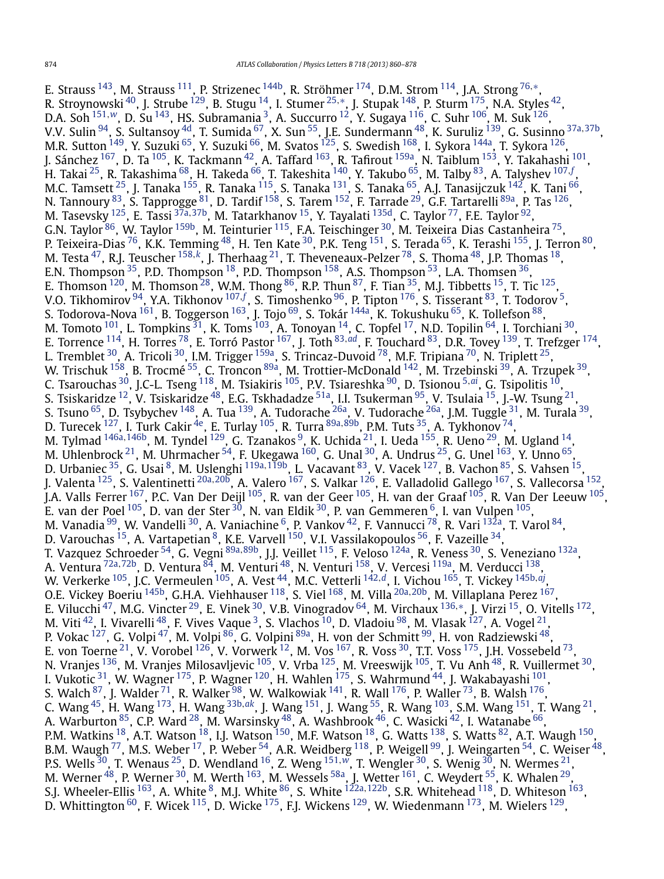E. Strauss [143,](#page-17-0) M. Strauss [111,](#page-16-0) P. Strizenec [144b,](#page-17-0) R. Ströhmer [174,](#page-17-0) D.M. Strom [114](#page-16-0), J.A. Strong [76](#page-16-0)*,*[∗](#page-18-0), R. Stroynowski [40,](#page-15-0) J. Strube [129,](#page-17-0) B. Stugu [14,](#page-15-0) I. Stumer [25](#page-15-0)*,*[∗](#page-18-0), J. Stupak [148,](#page-17-0) P. Sturm [175,](#page-17-0) N.A. Styles [42,](#page-15-0) D.A. Soh [151](#page-17-0)*,[w](#page-18-0)*, D. Su [143,](#page-17-0) HS. Subramania [3,](#page-15-0) A. Succurro [12,](#page-15-0) Y. Sugaya [116,](#page-16-0) C. Suhr [106,](#page-16-0) M. Suk [126,](#page-17-0) V.V. Sulin [94,](#page-16-0) S. Sultansoy [4d,](#page-15-0) T. Sumida [67,](#page-16-0) X. Sun [55](#page-16-0), J.E. Sundermann [48,](#page-16-0) K. Suruliz [139,](#page-17-0) G. Susinno [37a](#page-15-0)*,*[37b,](#page-15-0) M.R. Sutton <sup>149</sup>, Y. Suzuki <sup>[65](#page-16-0)</sup>, Y. Suzuki <sup>66</sup>, M. Svatos <sup>125</sup>, S. Swedish <sup>168</sup>, I. Sykora <sup>[144a](#page-17-0)</sup>, T. Sykora <sup>[126](#page-17-0)</sup>, J. Sánchez <sup>167</sup>, D. Ta <sup>105</sup>, K. Tackmann <sup>42</sup>, A. Taffard <sup>163</sup>, R. Tafirout <sup>[159a](#page-17-0)</sup>, N. Taiblum <sup>153</sup>, Y. Takahashi <sup>101</sup>, H. Takai [25,](#page-15-0) R. Takashima [68,](#page-16-0) H. Takeda [66,](#page-16-0) T. Takeshita [140,](#page-17-0) Y. Takubo [65,](#page-16-0) M. Talby [83,](#page-16-0) A. Talyshev [107](#page-16-0)*,[f](#page-17-0)* , M.C. Tamsett <sup>25</sup>, J. Tanaka <sup>155</sup>, R. Tanaka <sup>115</sup>, S. Tanaka <sup>131</sup>, S. Tanaka <sup>65</sup>, A.J. Tanasijczuk <sup>142</sup>, K. Tani <sup>66</sup>, N. Tannoury  $^{83}$ , S. Tapprogge  $^{81}$  $^{81}$  $^{81}$ , D. Tardif  $^{158}$ , S. Tarem  $^{152}$ , F. Tarrade  $^{29}$ , G.F. Tartarelli  $^{89\mathrm{a}}$ , P. Tas  $^{126}$ , M. Tasevsky [125,](#page-17-0) E. Tassi [37a](#page-15-0)*,*[37b,](#page-15-0) M. Tatarkhanov [15,](#page-15-0) Y. Tayalati [135d](#page-17-0), C. Taylor [77,](#page-16-0) F.E. Taylor [92,](#page-16-0) G.N. Taylor  $^{86}$ , W. Taylor  $^{159\mathrm{b}}$ , M. Teinturier  $^{115}$ , F.A. Teischinger  $^{30}$ , M. Teixeira Dias Castanheira  $^{75}$ , P. Teixeira-Dias <sup>76</sup>, K.K. Temming <sup>48</sup>, H. Ten Kate <sup>30</sup>, P.K. Teng <sup>151</sup>, S. Terada <sup>65</sup>, K. Terashi <sup>[155](#page-17-0)</sup>, J. Terron <sup>80</sup>, M. Testa [47,](#page-16-0) R.J. Teuscher [158](#page-17-0)*,[k](#page-17-0)*, J. Therhaag [21,](#page-15-0) T. Theveneaux-Pelzer [78,](#page-16-0) S. Thoma [48,](#page-16-0) J.P. Thomas [18,](#page-15-0) E.N. Thompson  $^{35}$ , P.D. Thompson  $^{18}$ , P.D. Thompson  $^{158}$ , A.S. Thompson  $^{53}$ , L.A. Thomsen  $^{36}$ , E. Thomson  $^{120}$ , M. Thomson  $^{28}$ , W.M. Thong  $^{86}$ , R.P. Thun  $^{87}$ , F. Tian  $^{35}$ , M.J. Tibbetts  $^{15}$ , T. Tic  $^{125}$ , V.O. Tikhomirov <sup>94</sup>, Y.A. Tikhonov <sup>[107](#page-16-0), [f](#page-17-0)</sup>, S. Timoshenko <sup>96</sup>, P. Tipton <sup>176</sup>, S. Tisserant <sup>83</sup>, T. Todorov <sup>5</sup>, S. Todorova-Nova <sup>161</sup>, B. Toggerson <sup>163</sup>, J. Tojo <sup>69</sup>, S. Tokár <sup>144a</sup>, K. Tokushuku <sup>65</sup>, K. Tollefson <sup>88</sup>, M. Tomoto  $^{101}$ , L. Tompkins  $^{31}$ , K. Toms  $^{103}$ , A. Tonoyan  $^{14}$ , C. Topfel  $^{17}$ , N.D. Topilin  $^{64}$  $^{64}$  $^{64}$ , I. Torchiani  $^{30}$ , E. Torrence [114,](#page-16-0) H. Torres [78](#page-16-0), E. Torró Pastor [167,](#page-17-0) J. Toth [83](#page-16-0)*,[ad](#page-18-0)*, F. Touchard [83,](#page-16-0) D.R. Tovey [139](#page-17-0), T. Trefzger [174,](#page-17-0) L. Tremblet <sup>30</sup>, A. Tricoli <sup>30</sup>, I.M. Trigger <sup>159a</sup>, S. Trincaz-Duvoid <sup>78</sup>, M.F. Tripiana <sup>[70](#page-16-0)</sup>, N. Triplett <sup>25</sup>, W. Trischuk <sup>158</sup>, B. Trocmé <sup>55</sup>, C. Troncon <sup>89a</sup>, M. Trottier-McDonald <sup>142</sup>, M. Trzebinski <sup>39</sup>, A. Trzupek <sup>39</sup>, C. Tsarouchas [30,](#page-15-0) J.C-L. Tseng [118,](#page-16-0) M. Tsiakiris [105,](#page-16-0) P.V. Tsiareshka [90,](#page-16-0) D. Tsionou [5](#page-15-0)*,[ai](#page-18-0)*, G. Tsipolitis [10,](#page-15-0) S. Tsiskaridze  $^{12}$ , V. Tsiskaridze  $^{48}$ , E.G. Tskhadadze  $^{51a}$ , I.I. Tsukerman  $^{95}$ , V. Tsulaia  $^{15}$  $^{15}$  $^{15}$ , J.-W. Tsung  $^{21}$ , S. Tsuno <sup>65</sup>, D. Tsybychev <sup>148</sup>, A. Tua <sup>139</sup>, A. Tudorache <sup>[26a](#page-15-0)</sup>, V. Tudorache <sup>26a</sup>, J.M. Tuggle <sup>31</sup>, M. Turala <sup>39</sup>, D. Turecek [127,](#page-17-0) I. Turk Cakir [4e,](#page-15-0) E. Turlay [105,](#page-16-0) R. Turra [89a](#page-16-0)*,*[89b,](#page-16-0) P.M. Tuts [35,](#page-15-0) A. Tykhonov [74,](#page-16-0) M. Tylmad [146a](#page-17-0)*,*[146b,](#page-17-0) M. Tyndel [129,](#page-17-0) G. Tzanakos [9,](#page-15-0) K. Uchida [21,](#page-15-0) I. Ueda [155,](#page-17-0) R. Ueno [29,](#page-15-0) M. Ugland [14](#page-15-0), M. Uhlenbrock  $^{21}$ , M. Uhrmacher  $^{54}$ , F. Ukegawa  $^{160}$ , G. Unal  $^{30}$ , A. Undrus  $^{25}$ , G. Unel  $^{163}$ , Y. Unno  $^{65}$ , D. Urbaniec [35,](#page-15-0) G. Usai [8,](#page-15-0) M. Uslenghi [119a](#page-16-0)*,*[119b,](#page-16-0) L. Vacavant [83,](#page-16-0) V. Vacek [127,](#page-17-0) B. Vachon [85,](#page-16-0) S. Vahsen [15,](#page-15-0) J. Valenta [125,](#page-17-0) S. Valentinetti [20a](#page-15-0)*,*[20b,](#page-15-0) A. Valero [167,](#page-17-0) S. Valkar [126,](#page-17-0) E. Valladolid Gallego [167](#page-17-0), S. Vallecorsa [152,](#page-17-0) J.A. Valls Ferrer <sup>[167](#page-17-0)</sup>, P.C. Van Der Deijl <sup>105</sup>, R. van der Geer <sup>105</sup>, H. van der Graaf <sup>105</sup>, R. Van Der Leeuw <sup>105</sup>, E. van der Poel $^{105}$ , D. van der Ster $^{30}$  $^{30}$  $^{30}$ , N. van Eldik $^{30}$ , P. van Gemmeren $^6$ , I. van Vulpen $^{105}$ , M. Vanadia  $99$ , W. Vandelli  $30$ , A. Vaniachine  $6$ , P. Vankov  $42$ , F. Vannucci  $78$ , R. Vari  $132a$ , T. Varol  $84$ , D. Varouchas <sup>15</sup>, A. Vartapetian <sup>8</sup>, K.E. Varvell <sup>150</sup>, V.I. Vassilakopoulos <sup>56</sup>, F. Vazeille <sup>34</sup>, T. Vazquez Schroeder [54,](#page-16-0) G. Vegni [89a](#page-16-0)*,*[89b,](#page-16-0) J.J. Veillet [115,](#page-16-0) F. Veloso [124a,](#page-16-0) R. Veness [30](#page-15-0), S. Veneziano [132a,](#page-17-0) A. Ventura [72a](#page-16-0)*,*[72b,](#page-16-0) D. Ventura [84,](#page-16-0) M. Venturi [48,](#page-16-0) N. Venturi [158,](#page-17-0) V. Vercesi [119a,](#page-16-0) M. Verducci [138,](#page-17-0) W. Verkerke [105,](#page-16-0) J.C. Vermeulen [105,](#page-16-0) A. Vest [44,](#page-15-0) M.C. Vetterli [142](#page-17-0)*,[d](#page-17-0)*, I. Vichou [165,](#page-17-0) T. Vickey [145b](#page-17-0)*,[aj](#page-18-0)*, O.E. Vickey Boeriu [145b,](#page-17-0) G.H.A. Viehhauser [118](#page-16-0), S. Viel [168,](#page-17-0) M. Villa [20a](#page-15-0)*,*[20b,](#page-15-0) M. Villaplana Perez [167,](#page-17-0) E. Vilucchi [47](#page-16-0), M.G. Vincter [29,](#page-15-0) E. Vinek [30,](#page-15-0) V.B. Vinogradov [64,](#page-16-0) M. Virchaux [136](#page-17-0)*,*[∗](#page-18-0), J. Virzi [15,](#page-15-0) O. Vitells [172,](#page-17-0) M. Viti $^{42}$ , I. Vivarelli $^{48}$ , F. Vives Vaque $^3$ , S. Vlachos  $^{10}$ , D. Vladoiu  $^{98}$ , M. Vlasak  $^{127}$ , A. Vogel  $^{21}$ , P. Vokac <sup>127</sup>, G. Volpi <sup>47</sup>, M. Volpi <sup>86</sup>, G. Volpini <sup>89a</sup>, H. von der Schmitt <sup>99</sup>, H. von Radziewski <sup>[48](#page-16-0)</sup>, E. von Toerne $^{21}$ , V. Vorobel  $^{126}$  $^{126}$  $^{126}$ , V. Vorwerk  $^{12}$ , M. Vos  $^{167}$ , R. Voss  $^{30}$ , T.T. Voss  $^{175}$ , J.H. Vossebeld  $^{73}$ , N. Vranjes <sup>136</sup>, M. Vranjes Milosavljevic <sup>105</sup>, V. Vrba <sup>125</sup>, M. Vreeswijk <sup>105</sup>, T. Vu Anh <sup>48</sup>, R. Vuillermet <sup>30</sup>, I. Vukotic  $^{\rm 31}$ , W. Wagner  $^{\rm 175}$ , P. Wagner  $^{\rm 120}$ , H. Wahlen  $^{\rm 175}$ , S. Wahrmund  $^{\rm 44}$ , J. Wakabayashi  $^{\rm 101}$ , S. Walch  $^{87}$ , J. Walder  $^{71}$ , R. Walker  $^{98}$ , W. Walkowiak  $^{141}$ , R. Wall  $^{176}$ , P. Waller  $^{73}$ , B. Walsh  $^{176}$ , C. Wang [45,](#page-15-0) H. Wang [173,](#page-17-0) H. Wang [33b](#page-15-0)*,[ak](#page-18-0)*, J. Wang [151,](#page-17-0) J. Wang [55,](#page-16-0) R. Wang [103,](#page-16-0) S.M. Wang [151,](#page-17-0) T. Wang [21,](#page-15-0) A. Warburton  $^{85}$ , C.P. Ward  $^{28}$ , M. Warsinsky  $^{48}$  $^{48}$  $^{48}$ , A. Washbrook  $^{46}$ , C. Wasicki  $^{42}$ , I. Watanabe  $^{66},$ P.M. Watkins  $^{18}$ , A.T. Watson  $^{18}$ , I.J. Watson  $^{150}$ , M.F. Watson  $^{18}$ , G. Watts  $^{138}$ , S. Watts  $^{82}$  $^{82}$  $^{82}$ , A.T. Waugh  $^{150}$ , B.M. Waugh  $^{77}$ , M.S. Weber  $^{17}$ , P. Weber  $^{54}$ , A.R. Weidberg  $^{118}$ , P. Weigell  $^{99}$ , J. Weingarten  $^{54}$ , C. Weiser  $^{48}$ , P.S. Wells [30,](#page-15-0) T. Wenaus [25,](#page-15-0) D. Wendland [16,](#page-15-0) Z. Weng [151](#page-17-0)*,[w](#page-18-0)*, T. Wengler [30,](#page-15-0) S. Wenig [30,](#page-15-0) N. Wermes [21,](#page-15-0) M. Werner $^{48}$ , P. Werner $^{30}$ , M. Werth $^{163}$  $^{163}$  $^{163}$ , M. Wessels $^{58\mathrm{a}}$ , J. Wetter $^{161}$ , C. Weydert $^{55}$ , K. Whalen $^{29}$  $^{29}$  $^{29}$ , S.J. Wheeler-Ellis <sup>163</sup>, A. White <sup>[8](#page-15-0)</sup>, M.J. White <sup>[86](#page-16-0)</sup>, S. White <sup>[122a](#page-16-0), 122b</sup>, S.R. Whitehead <sup>118</sup>, D. Whiteson <sup>[163](#page-17-0)</sup>, D. Whittington <sup>60</sup>, F. Wicek <sup>115</sup>, D. Wicke <sup>175</sup>, F.J. Wickens <sup>129</sup>, W. Wiedenmann <sup>[173](#page-17-0)</sup>, M. Wielers <sup>129</sup>,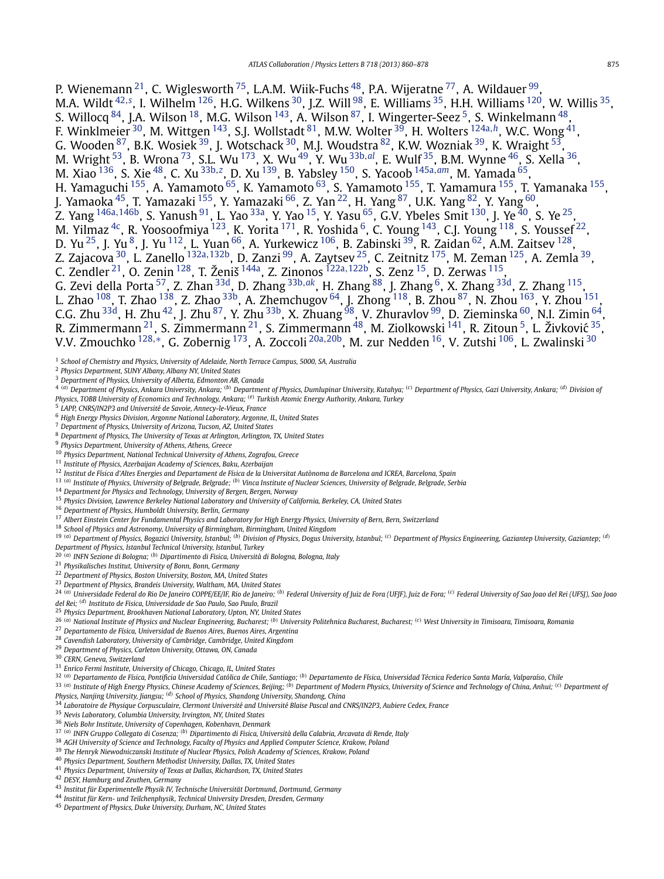<span id="page-15-0"></span>P. Wienemann <sup>21</sup>, C. Wiglesworth <sup>75</sup>, L.A.M. Wiik-Fuchs <sup>48</sup>, P.A. Wijeratne <sup>77</sup>, A. Wildauer <sup>99</sup>, M.A. Wildt <sup>42</sup>*,[s](#page-18-0)* , I. Wilhelm [126,](#page-17-0) H.G. Wilkens 30, J.Z. Will [98,](#page-16-0) E. Williams 35, H.H. Williams [120,](#page-16-0) W. Willis 35, S. Willocq  $^{84}$ , J.A. Wilson  $^{18}$ , M.G. Wilson  $^{143}$ , A. Wilson  $^{87}$ , I. Wingerter-Seez  $^5$ , S. Winkelmann  $^{48}$ , F. Winklmeier 30, M. Wittgen [143,](#page-17-0) S.J. Wollstadt [81,](#page-16-0) M.W. Wolter 39, H. Wolters [124a](#page-16-0)*,[h](#page-17-0)*, W.C. Wong 41, G. Wooden <sup>87</sup>, B.K. Wosiek <sup>39</sup>, J. Wotschack <sup>30</sup>, M.J. Woudstra <sup>82</sup>, K.W. Wozniak <sup>39</sup>, K. Wraight <sup>53</sup>, M. Wright [53,](#page-16-0) B. Wrona [73,](#page-16-0) S.L. Wu [173,](#page-17-0) X. Wu [49,](#page-16-0) Y. Wu 33b*,[al](#page-18-0)*, E. Wulf 35, B.M. Wynne 46, S. Xella 36, M. Xiao [136,](#page-17-0) S. Xie [48,](#page-16-0) C. Xu 33b*,[z](#page-18-0)* , D. Xu [139,](#page-17-0) B. Yabsley [150,](#page-17-0) S. Yacoob [145a](#page-17-0)*,[am](#page-18-0)*, M. Yamada [65,](#page-16-0) H. Yamaguchi <sup>155</sup>, A. Yamamoto <sup>65</sup>, K. Yamamoto <sup>63</sup>, S. Yamamoto <sup>155</sup>, T. Yamamura <sup>155</sup>, T. Yamanaka <sup>155</sup>, J. Yamaoka <sup>45</sup>, T. Yamazaki <sup>155</sup>, Y. Yamazaki <sup>66</sup>, Z. Yan <sup>22</sup>, H. Yang <sup>87</sup>, U.K. Yang <sup>82</sup>, Y. Yang <sup>60</sup>, Z. Yang [146a](#page-17-0)*,*[146b,](#page-17-0) S. Yanush [91,](#page-16-0) L. Yao 33a, Y. Yao 15, Y. Yasu [65](#page-16-0), G.V. Ybeles Smit [130,](#page-17-0) J. Ye 40, S. Ye 25, M. Yilmaz  $^{4c}$ , R. Yoosoofmiya  $^{123}$ , K. Yorita  $^{171}$ , R. Yoshida  $^6$ , C. Young  $^{143}$ , C.J. Young  $^{118}$  $^{118}$  $^{118}$ , S. Youssef  $^{22}$ , D. Yu  $^{25}$ , J. Yu  $^8$ , J. Yu  $^{112}$ , L. Yuan  $^{66}$ , A. Yurkewicz  $^{106}$ , B. Zabinski  $^{39}$ , R. Zaidan  $^{62}$ , A.M. Zaitsev  $^{128},$ Z. Zajacova 30, L. Zanello [132a](#page-17-0)*,*[132b,](#page-17-0) D. Zanzi [99](#page-16-0), A. Zaytsev 25, C. Zeitnitz [175,](#page-17-0) M. Zeman [125,](#page-17-0) A. Zemla 39, C. Zendler 21, O. Zenin [128,](#page-17-0) T. Ženiš [144a,](#page-17-0) Z. Zinonos [122a](#page-16-0)*,*[122b,](#page-16-0) S. Zenz 15, D. Zerwas [115,](#page-16-0) G. Zevi della Porta [57,](#page-16-0) Z. Zhan 33d, D. Zhang 33b*,[ak](#page-18-0)*, H. Zhang [88,](#page-16-0) J. Zhang 6, X. Zhang 33d, Z. Zhang [115,](#page-16-0) L. Zhao  $^{108}$ , T. Zhao  $^{138}$ , Z. Zhao  $^{33b}$ , A. Zhemchugov  $^{64}$ , J. Zhong  $^{118}$  $^{118}$  $^{118}$ , B. Zhou  $^{87}$ , N. Zhou  $^{163}$  $^{163}$  $^{163}$ , Y. Zhou  $^{151}$ , C.G. Zhu <sup>33d</sup>, H. Zhu <sup>42</sup>, J. Zhu <sup>87</sup>, Y. Zhu <sup>33b</sup>, X. Zhuang <sup>98</sup>, V. Zhuravlov <sup>99</sup>, D. Zieminska <sup>60</sup>, N.I. Zimin <sup>64</sup>, R. Zimmermann $^{21}$ , S. Zimmermann $^{21}$ , S. Zimmermann $^{48}$ , M. Ziolkowski  $^{141}$ , R. Zitoun $^5$ , L. Živković  $^{35}$ , V.V. Zmouchko [128](#page-17-0)*,*[∗](#page-18-0), G. Zobernig [173,](#page-17-0) A. Zoccoli 20a*,*20b, M. zur Nedden 16, V. Zutshi [106,](#page-16-0) L. Zwalinski <sup>30</sup>

<sup>1</sup> *School of Chemistry and Physics, University of Adelaide, North Terrace Campus, 5000, SA, Australia*

<sup>2</sup> *Physics Department, SUNY Albany, Albany NY, United States*

- <sup>3</sup> *Department of Physics, University of Alberta, Edmonton AB, Canada*
- 4 <sup>(a)</sup> Department of Physics, Ankara University, Ankara; <sup>(b)</sup> Department of Physics, Dumlupinar University, Kutahya; <sup>(c)</sup> Department of Physics, Gazi University, Ankara; <sup>(d)</sup> Division of *Physics, TOBB University of Economics and Technology, Ankara; (e) Turkish Atomic Energy Authority, Ankara, Turkey*
- <sup>5</sup> *LAPP, CNRS/IN2P3 and Université de Savoie, Annecy-le-Vieux, France*
- <sup>6</sup> *High Energy Physics Division, Argonne National Laboratory, Argonne, IL, United States*
- <sup>7</sup> *Department of Physics, University of Arizona, Tucson, AZ, United States*
- <sup>8</sup> *Department of Physics, The University of Texas at Arlington, Arlington, TX, United States*
- <sup>9</sup> *Physics Department, University of Athens, Athens, Greece*
- <sup>10</sup> *Physics Department, National Technical University of Athens, Zografou, Greece*
- <sup>11</sup> *Institute of Physics, Azerbaijan Academy of Sciences, Baku, Azerbaijan*
- <sup>12</sup> *Institut de Física d'Altes Energies and Departament de Física de la Universitat Autònoma de Barcelona and ICREA, Barcelona, Spain*
- <sup>13</sup> *(a) Institute of Physics, University of Belgrade, Belgrade; (b) Vinca Institute of Nuclear Sciences, University of Belgrade, Belgrade, Serbia*

<sup>14</sup> *Department for Physics and Technology, University of Bergen, Bergen, Norway*

- <sup>15</sup> *Physics Division, Lawrence Berkeley National Laboratory and University of California, Berkeley, CA, United States*
- <sup>16</sup> *Department of Physics, Humboldt University, Berlin, Germany*
- <sup>17</sup> *Albert Einstein Center for Fundamental Physics and Laboratory for High Energy Physics, University of Bern, Bern, Switzerland*

<sup>18</sup> *School of Physics and Astronomy, University of Birmingham, Birmingham, United Kingdom*

- <sup>19 (a)</sup> Department of Physics, Bogazici University, Istanbul; <sup>(b)</sup> Division of Physics, Dogus University, Istanbul; <sup>(c)</sup> Department of Physics Engineering, Gaziantep University, Gaziantep: (<sup>d)</sup> *Department of Physics, Istanbul Technical University, Istanbul, Turkey*
- <sup>20</sup> *(a) INFN Sezione di Bologna; (b) Dipartimento di Fisica, Università di Bologna, Bologna, Italy*

<sup>21</sup> *Physikalisches Institut, University of Bonn, Bonn, Germany*

- <sup>22</sup> *Department of Physics, Boston University, Boston, MA, United States*
- <sup>23</sup> *Department of Physics, Brandeis University, Waltham, MA, United States*
- <sup>24 (a)</sup> Universidade Federal do Rio De Janeiro COPPE/EE/IF, Rio de Janeiro; <sup>(b)</sup> Federal University of Juiz de Fora (UFJF), Juiz de Fora; <sup>(c)</sup> Federal University of Sao Joao del Rei (UFSJ), Sao Joao *del Rei; (d) Instituto de Fisica, Universidade de Sao Paulo, Sao Paulo, Brazil*
- <sup>25</sup> *Physics Department, Brookhaven National Laboratory, Upton, NY, United States*
- <sup>26</sup><sup>(a)</sup> National Institute of Physics and Nuclear Engineering, Bucharest; <sup>(b)</sup> University Politehnica Bucharest, Bucharest; <sup>(c)</sup> West University in Timisoara, Timisoara, Romania
- <sup>27</sup> *Departamento de Física, Universidad de Buenos Aires, Buenos Aires, Argentina*
- <sup>28</sup> *Cavendish Laboratory, University of Cambridge, Cambridge, United Kingdom*
- <sup>29</sup> *Department of Physics, Carleton University, Ottawa, ON, Canada*

<sup>30</sup> *CERN, Geneva, Switzerland*

- <sup>31</sup> *Enrico Fermi Institute, University of Chicago, Chicago, IL, United States*
- 32 (a) Departamento de Física, Pontificia Universidad Católica de Chile, Santiago; (b) Departamento de Física, Universidad Técnica Federico Santa María, Valparaíso, Chile
- 33 (a) Institute of High Energy Physics, Chinese Academy of Sciences, Beijing; (b) Department of Modern Physics, University of Science and Technology of China, Anhui; (c) Department of *Physics, Nanjing University, Jiangsu; (d) School of Physics, Shandong University, Shandong, China*
- 
- <sup>34</sup> *Laboratoire de Physique Corpusculaire, Clermont Université and Université Blaise Pascal and CNRS/IN2P3, Aubiere Cedex, France*
- <sup>35</sup> *Nevis Laboratory, Columbia University, Irvington, NY, United States*
- <sup>36</sup> *Niels Bohr Institute, University of Copenhagen, Kobenhavn, Denmark*
- <sup>37</sup> *(a) INFN Gruppo Collegato di Cosenza; (b) Dipartimento di Fisica, Università della Calabria, Arcavata di Rende, Italy*
- <sup>38</sup> *AGH University of Science and Technology, Faculty of Physics and Applied Computer Science, Krakow, Poland*
- <sup>39</sup> *The Henryk Niewodniczanski Institute of Nuclear Physics, Polish Academy of Sciences, Krakow, Poland*
- <sup>40</sup> *Physics Department, Southern Methodist University, Dallas, TX, United States*
- <sup>41</sup> *Physics Department, University of Texas at Dallas, Richardson, TX, United States*

<sup>42</sup> *DESY, Hamburg and Zeuthen, Germany*

- <sup>43</sup> *Institut für Experimentelle Physik IV, Technische Universität Dortmund, Dortmund, Germany*
- <sup>44</sup> *Institut für Kern- und Teilchenphysik, Technical University Dresden, Dresden, Germany*
- <sup>45</sup> *Department of Physics, Duke University, Durham, NC, United States*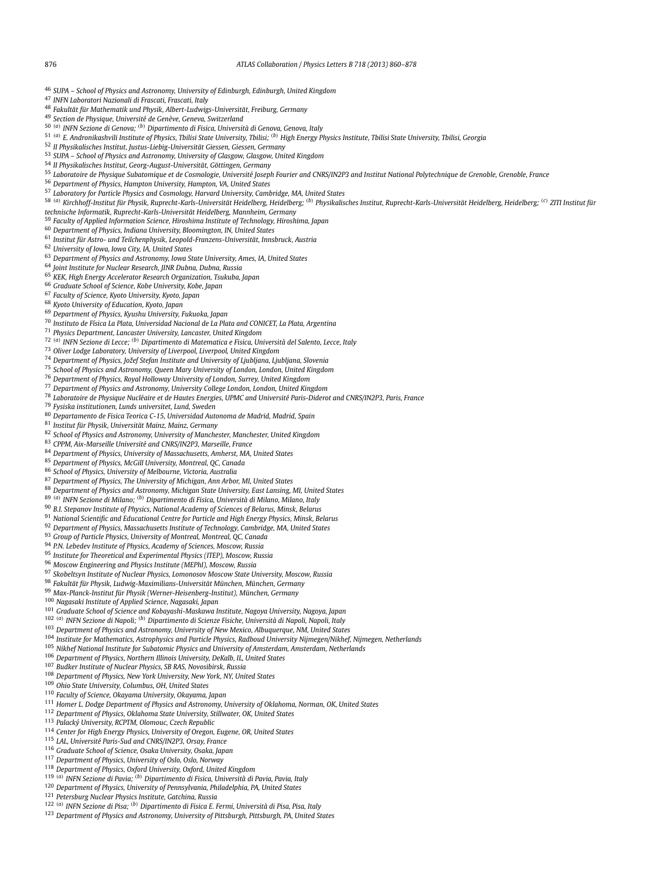- <span id="page-16-0"></span>*SUPA – School of Physics and Astronomy, University of Edinburgh, Edinburgh, United Kingdom*
- *INFN Laboratori Nazionali di Frascati, Frascati, Italy*
- *Fakultät für Mathematik und Physik, Albert-Ludwigs-Universität, Freiburg, Germany*
- *Section de Physique, Université de Genève, Geneva, Switzerland*
- *(a) INFN Sezione di Genova; (b) Dipartimento di Fisica, Università di Genova, Genova, Italy*
- *(a) E. Andronikashvili Institute of Physics, Tbilisi State University, Tbilisi; (b) High Energy Physics Institute, Tbilisi State University, Tbilisi, Georgia*
- *II Physikalisches Institut, Justus-Liebig-Universität Giessen, Giessen, Germany*
- *SUPA School of Physics and Astronomy, University of Glasgow, Glasgow, United Kingdom*
- *II Physikalisches Institut, Georg-August-Universität, Göttingen, Germany*
- *Laboratoire de Physique Subatomique et de Cosmologie, Université Joseph Fourier and CNRS/IN2P3 and Institut National Polytechnique de Grenoble, Grenoble, France*
- *Department of Physics, Hampton University, Hampton, VA, United States*
- *Laboratory for Particle Physics and Cosmology, Harvard University, Cambridge, MA, United States*
- <sup>58 (a)</sup> Kirchhoff-Institut für Physik, Ruprecht-Karls-Universität Heidelberg, Heidelberg; <sup>(b)</sup> Physikalisches Institut, Ruprecht-Karls-Universität Heidelberg, Heidelberg; <sup>(c)</sup> ZITI Institut für
- *technische Informatik, Ruprecht-Karls-Universität Heidelberg, Mannheim, Germany*
- *Faculty of Applied Information Science, Hiroshima Institute of Technology, Hiroshima, Japan*
- *Department of Physics, Indiana University, Bloomington, IN, United States*
- *Institut für Astro- und Teilchenphysik, Leopold-Franzens-Universität, Innsbruck, Austria*
- *University of Iowa, Iowa City, IA, United States*
- *Department of Physics and Astronomy, Iowa State University, Ames, IA, United States*
- *Joint Institute for Nuclear Research, JINR Dubna, Dubna, Russia*
- *KEK, High Energy Accelerator Research Organization, Tsukuba, Japan*
- *Graduate School of Science, Kobe University, Kobe, Japan*
- *Faculty of Science, Kyoto University, Kyoto, Japan*
- *Kyoto University of Education, Kyoto, Japan*
- *Department of Physics, Kyushu University, Fukuoka, Japan*
- *Instituto de Física La Plata, Universidad Nacional de La Plata and CONICET, La Plata, Argentina*
- *Physics Department, Lancaster University, Lancaster, United Kingdom*
- *(a) INFN Sezione di Lecce; (b) Dipartimento di Matematica e Fisica, Università del Salento, Lecce, Italy*
- *Oliver Lodge Laboratory, University of Liverpool, Liverpool, United Kingdom*
- *Department of Physics, Jožef Stefan Institute and University of Ljubljana, Ljubljana, Slovenia*
- *School of Physics and Astronomy, Queen Mary University of London, London, United Kingdom*
- *Department of Physics, Royal Holloway University of London, Surrey, United Kingdom*
- *Department of Physics and Astronomy, University College London, London, United Kingdom*
- *Laboratoire de Physique Nucléaire et de Hautes Energies, UPMC and Université Paris-Diderot and CNRS/IN2P3, Paris, France*
- *Fysiska institutionen, Lunds universitet, Lund, Sweden*
- *Departamento de Fisica Teorica C-15, Universidad Autonoma de Madrid, Madrid, Spain*
- *Institut für Physik, Universität Mainz, Mainz, Germany*
- *School of Physics and Astronomy, University of Manchester, Manchester, United Kingdom*
- *CPPM, Aix-Marseille Université and CNRS/IN2P3, Marseille, France*
- *Department of Physics, University of Massachusetts, Amherst, MA, United States*
- *Department of Physics, McGill University, Montreal, QC, Canada*
- *School of Physics, University of Melbourne, Victoria, Australia*
- *Department of Physics, The University of Michigan, Ann Arbor, MI, United States*
- *Department of Physics and Astronomy, Michigan State University, East Lansing, MI, United States*
- *(a) INFN Sezione di Milano; (b) Dipartimento di Fisica, Università di Milano, Milano, Italy*
- *B.I. Stepanov Institute of Physics, National Academy of Sciences of Belarus, Minsk, Belarus*
- *National Scientific and Educational Centre for Particle and High Energy Physics, Minsk, Belarus*
- *Department of Physics, Massachusetts Institute of Technology, Cambridge, MA, United States*
- *Group of Particle Physics, University of Montreal, Montreal, QC, Canada*
- *P.N. Lebedev Institute of Physics, Academy of Sciences, Moscow, Russia*
- *Institute for Theoretical and Experimental Physics (ITEP), Moscow, Russia*
- 
- *Moscow Engineering and Physics Institute (MEPhI), Moscow, Russia*
- *Skobeltsyn Institute of Nuclear Physics, Lomonosov Moscow State University, Moscow, Russia*
- *Fakultät für Physik, Ludwig-Maximilians-Universität München, München, Germany*
- *Max-Planck-Institut für Physik (Werner-Heisenberg-Institut), München, Germany*
- *Nagasaki Institute of Applied Science, Nagasaki, Japan*
- *Graduate School of Science and Kobayashi-Maskawa Institute, Nagoya University, Nagoya, Japan*
- *(a) INFN Sezione di Napoli; (b) Dipartimento di Scienze Fisiche, Università di Napoli, Napoli, Italy*
- *Department of Physics and Astronomy, University of New Mexico, Albuquerque, NM, United States*
- *Institute for Mathematics, Astrophysics and Particle Physics, Radboud University Nijmegen/Nikhef, Nijmegen, Netherlands*
- *Nikhef National Institute for Subatomic Physics and University of Amsterdam, Amsterdam, Netherlands*
- *Department of Physics, Northern Illinois University, DeKalb, IL, United States*
- *Budker Institute of Nuclear Physics, SB RAS, Novosibirsk, Russia*
- *Department of Physics, New York University, New York, NY, United States*
- *Ohio State University, Columbus, OH, United States*
- *Faculty of Science, Okayama University, Okayama, Japan*
- *Homer L. Dodge Department of Physics and Astronomy, University of Oklahoma, Norman, OK, United States*
- *Department of Physics, Oklahoma State University, Stillwater, OK, United States*
- *Palacký University, RCPTM, Olomouc, Czech Republic*
- *Center for High Energy Physics, University of Oregon, Eugene, OR, United States*
- *LAL, Université Paris-Sud and CNRS/IN2P3, Orsay, France*
- *Graduate School of Science, Osaka University, Osaka, Japan*
- *Department of Physics, University of Oslo, Oslo, Norway*
- *Department of Physics, Oxford University, Oxford, United Kingdom*
- *(a) INFN Sezione di Pavia; (b) Dipartimento di Fisica, Università di Pavia, Pavia, Italy*
- *Department of Physics, University of Pennsylvania, Philadelphia, PA, United States*
- *Petersburg Nuclear Physics Institute, Gatchina, Russia*
- *(a) INFN Sezione di Pisa; (b) Dipartimento di Fisica E. Fermi, Università di Pisa, Pisa, Italy*
- *Department of Physics and Astronomy, University of Pittsburgh, Pittsburgh, PA, United States*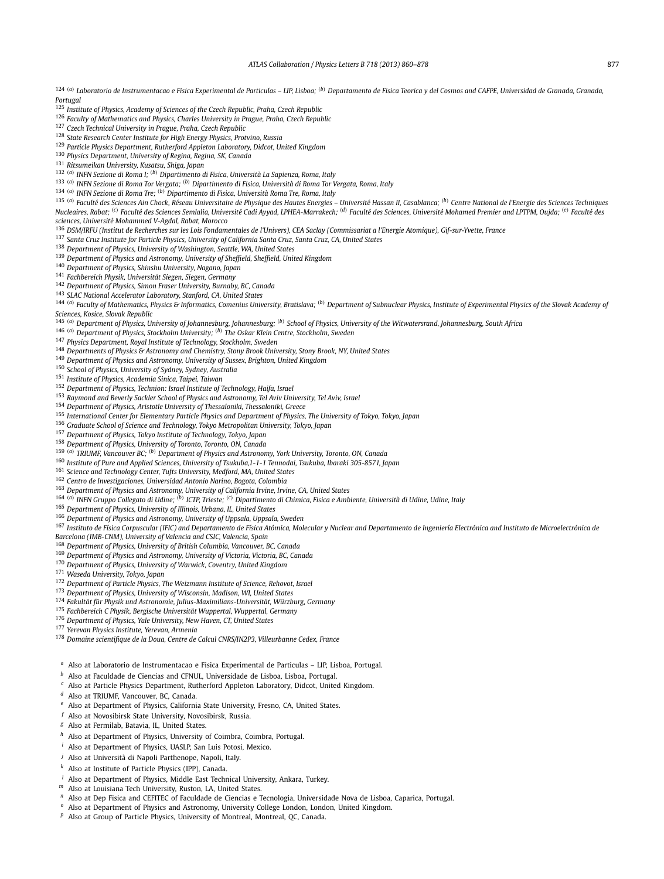<span id="page-17-0"></span><sup>124 (a)</sup> Laboratorio de Instrumentacao e Fisica Experimental de Particulas – LIP, Lisboa; <sup>(b)</sup> Departamento de Fisica Teorica y del Cosmos and CAFPE, Universidad de Granada, Granada, *Portugal Institute of Physics, Academy of Sciences of the Czech Republic, Praha, Czech Republic Faculty of Mathematics and Physics, Charles University in Prague, Praha, Czech Republic Czech Technical University in Prague, Praha, Czech Republic State Research Center Institute for High Energy Physics, Protvino, Russia Particle Physics Department, Rutherford Appleton Laboratory, Didcot, United Kingdom Physics Department, University of Regina, Regina, SK, Canada Ritsumeikan University, Kusatsu, Shiga, Japan (a) INFN Sezione di Roma I; (b) Dipartimento di Fisica, Università La Sapienza, Roma, Italy (a) INFN Sezione di Roma Tor Vergata; (b) Dipartimento di Fisica, Università di Roma Tor Vergata, Roma, Italy (a) INFN Sezione di Roma Tre; (b) Dipartimento di Fisica, Università Roma Tre, Roma, Italy* 135 (a) Faculté des Sciences Ain Chock, Réseau Universitaire de Physique des Hautes Energies - Université Hassan II, Casablanca; (b) Centre National de l'Energie des Sciences Techniaues Nucleaires, Rabat; <sup>(c)</sup> Faculté des Sciences Semlalia, Université Cadi Ayyad, LPHEA-Marrakech; <sup>(d)</sup> Faculté des Sciences, Université Mohamed Premier and LPTPM, Oujda; <sup>(e)</sup> Faculté des *sciences, Université Mohammed V-Agdal, Rabat, Morocco DSM/IRFU (Institut de Recherches sur les Lois Fondamentales de l'Univers), CEA Saclay (Commissariat a l'Energie Atomique), Gif-sur-Yvette, France Santa Cruz Institute for Particle Physics, University of California Santa Cruz, Santa Cruz, CA, United States Department of Physics, University of Washington, Seattle, WA, United States Department of Physics and Astronomy, University of Sheffield, Sheffield, United Kingdom Department of Physics, Shinshu University, Nagano, Japan Fachbereich Physik, Universität Siegen, Siegen, Germany Department of Physics, Simon Fraser University, Burnaby, BC, Canada SLAC National Accelerator Laboratory, Stanford, CA, United States* <sup>144 (a)</sup> Faculty of Mathematics, Physics & Informatics, Comenius University, Bratislava; <sup>(b)</sup> Department of Subnuclear Physics, Institute of Experimental Physics of the Slovak Academy of *Sciences, Kosice, Slovak Republic (a) Department of Physics, University of Johannesburg, Johannesburg; (b) School of Physics, University of the Witwatersrand, Johannesburg, South Africa (a) Department of Physics, Stockholm University; (b) The Oskar Klein Centre, Stockholm, Sweden Physics Department, Royal Institute of Technology, Stockholm, Sweden Departments of Physics & Astronomy and Chemistry, Stony Brook University, Stony Brook, NY, United States Department of Physics and Astronomy, University of Sussex, Brighton, United Kingdom School of Physics, University of Sydney, Sydney, Australia Institute of Physics, Academia Sinica, Taipei, Taiwan Department of Physics, Technion: Israel Institute of Technology, Haifa, Israel Raymond and Beverly Sackler School of Physics and Astronomy, Tel Aviv University, Tel Aviv, Israel Department of Physics, Aristotle University of Thessaloniki, Thessaloniki, Greece International Center for Elementary Particle Physics and Department of Physics, The University of Tokyo, Tokyo, Japan Graduate School of Science and Technology, Tokyo Metropolitan University, Tokyo, Japan Department of Physics, Tokyo Institute of Technology, Tokyo, Japan Department of Physics, University of Toronto, Toronto, ON, Canada (a) TRIUMF, Vancouver BC; (b) Department of Physics and Astronomy, York University, Toronto, ON, Canada Institute of Pure and Applied Sciences, University of Tsukuba,1-1-1 Tennodai, Tsukuba, Ibaraki 305-8571, Japan*

*Science and Technology Center, Tufts University, Medford, MA, United States*

*Centro de Investigaciones, Universidad Antonio Narino, Bogota, Colombia*

*Department of Physics and Astronomy, University of California Irvine, Irvine, CA, United States*

*(a) INFN Gruppo Collegato di Udine; (b) ICTP, Trieste; (c) Dipartimento di Chimica, Fisica e Ambiente, Università di Udine, Udine, Italy*

*Department of Physics, University of Illinois, Urbana, IL, United States*

*Department of Physics and Astronomy, University of Uppsala, Uppsala, Sweden*

*Instituto de Física Corpuscular (IFIC) and Departamento de Física Atómica, Molecular y Nuclear and Departamento de Ingeniería Electrónica and Instituto de Microelectrónica de*

*Barcelona (IMB-CNM), University of Valencia and CSIC, Valencia, Spain*

*Department of Physics, University of British Columbia, Vancouver, BC, Canada*

*Department of Physics and Astronomy, University of Victoria, Victoria, BC, Canada*

*Department of Physics, University of Warwick, Coventry, United Kingdom*

*Waseda University, Tokyo, Japan*

*Department of Particle Physics, The Weizmann Institute of Science, Rehovot, Israel*

*Department of Physics, University of Wisconsin, Madison, WI, United States*

*Fakultät für Physik und Astronomie, Julius-Maximilians-Universität, Würzburg, Germany*

*Fachbereich C Physik, Bergische Universität Wuppertal, Wuppertal, Germany*

*Department of Physics, Yale University, New Haven, CT, United States*

*Yerevan Physics Institute, Yerevan, Armenia*

*Domaine scientifique de la Doua, Centre de Calcul CNRS/IN2P3, Villeurbanne Cedex, France*

*<sup>a</sup>* Also at Laboratorio de Instrumentacao e Fisica Experimental de Particulas – LIP, Lisboa, Portugal.

*<sup>b</sup>* Also at Faculdade de Ciencias and CFNUL, Universidade de Lisboa, Lisboa, Portugal.

*<sup>c</sup>* Also at Particle Physics Department, Rutherford Appleton Laboratory, Didcot, United Kingdom.

*<sup>d</sup>* Also at TRIUMF, Vancouver, BC, Canada.

*<sup>e</sup>* Also at Department of Physics, California State University, Fresno, CA, United States.

*<sup>f</sup>* Also at Novosibirsk State University, Novosibirsk, Russia.

*<sup>g</sup>* Also at Fermilab, Batavia, IL, United States.

*<sup>h</sup>* Also at Department of Physics, University of Coimbra, Coimbra, Portugal.

*<sup>i</sup>* Also at Department of Physics, UASLP, San Luis Potosi, Mexico.

*<sup>j</sup>* Also at Università di Napoli Parthenope, Napoli, Italy.

*<sup>k</sup>* Also at Institute of Particle Physics (IPP), Canada.

*<sup>l</sup>* Also at Department of Physics, Middle East Technical University, Ankara, Turkey.

*<sup>m</sup>* Also at Louisiana Tech University, Ruston, LA, United States.

*<sup>n</sup>* Also at Dep Fisica and CEFITEC of Faculdade de Ciencias e Tecnologia, Universidade Nova de Lisboa, Caparica, Portugal.

*<sup>o</sup>* Also at Department of Physics and Astronomy, University College London, London, United Kingdom.

*<sup>p</sup>* Also at Group of Particle Physics, University of Montreal, Montreal, QC, Canada.